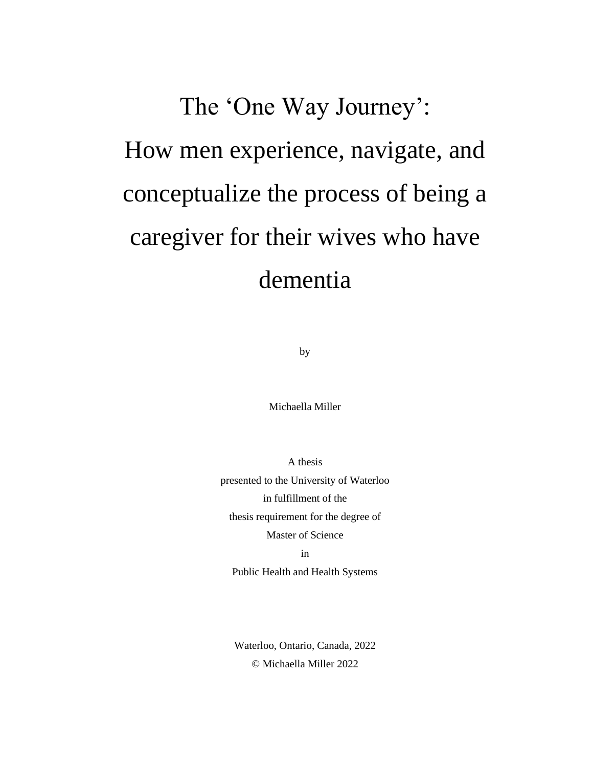# The 'One Way Journey': How men experience, navigate, and conceptualize the process of being a caregiver for their wives who have dementia

by

Michaella Miller

A thesis presented to the University of Waterloo in fulfillment of the thesis requirement for the degree of Master of Science in

Public Health and Health Systems

Waterloo, Ontario, Canada, 2022 © Michaella Miller 2022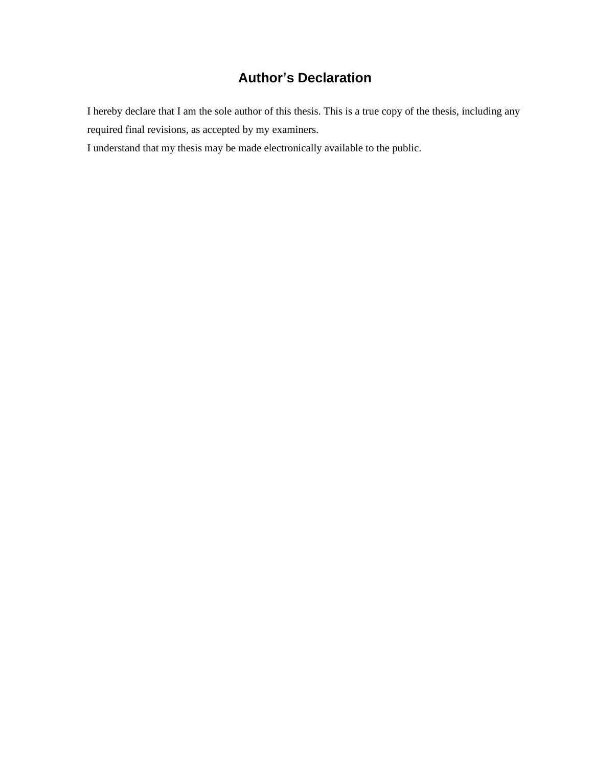# **Author's Declaration**

I hereby declare that I am the sole author of this thesis. This is a true copy of the thesis, including any required final revisions, as accepted by my examiners.

I understand that my thesis may be made electronically available to the public.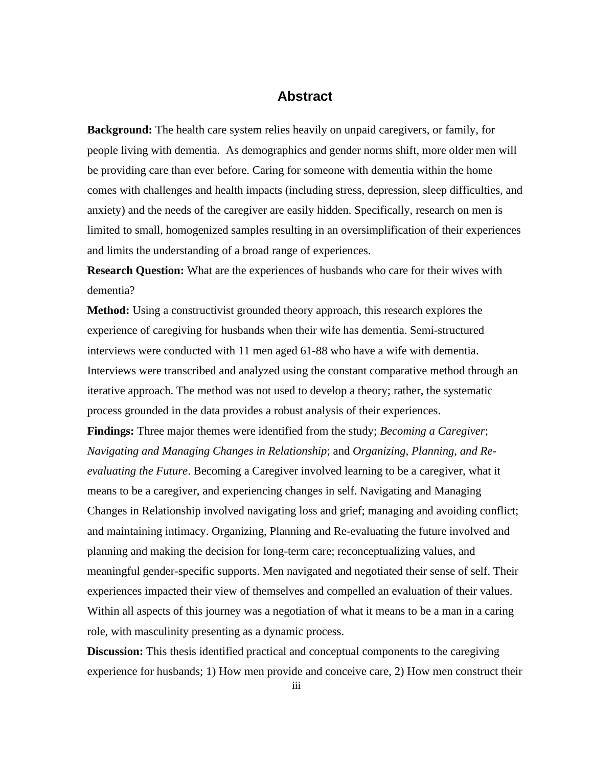# **Abstract**

**Background:** The health care system relies heavily on unpaid caregivers, or family, for people living with dementia. As demographics and gender norms shift, more older men will be providing care than ever before. Caring for someone with dementia within the home comes with challenges and health impacts (including stress, depression, sleep difficulties, and anxiety) and the needs of the caregiver are easily hidden. Specifically, research on men is limited to small, homogenized samples resulting in an oversimplification of their experiences and limits the understanding of a broad range of experiences.

**Research Question:** What are the experiences of husbands who care for their wives with dementia?

**Method:** Using a constructivist grounded theory approach, this research explores the experience of caregiving for husbands when their wife has dementia. Semi-structured interviews were conducted with 11 men aged 61-88 who have a wife with dementia. Interviews were transcribed and analyzed using the constant comparative method through an iterative approach. The method was not used to develop a theory; rather, the systematic process grounded in the data provides a robust analysis of their experiences.

**Findings:** Three major themes were identified from the study; *Becoming a Caregiver*; *Navigating and Managing Changes in Relationship*; and *Organizing, Planning, and Reevaluating the Future*. Becoming a Caregiver involved learning to be a caregiver, what it means to be a caregiver, and experiencing changes in self. Navigating and Managing Changes in Relationship involved navigating loss and grief; managing and avoiding conflict; and maintaining intimacy. Organizing, Planning and Re-evaluating the future involved and planning and making the decision for long-term care; reconceptualizing values, and meaningful gender-specific supports. Men navigated and negotiated their sense of self. Their experiences impacted their view of themselves and compelled an evaluation of their values. Within all aspects of this journey was a negotiation of what it means to be a man in a caring role, with masculinity presenting as a dynamic process.

**Discussion:** This thesis identified practical and conceptual components to the caregiving experience for husbands; 1) How men provide and conceive care, 2) How men construct their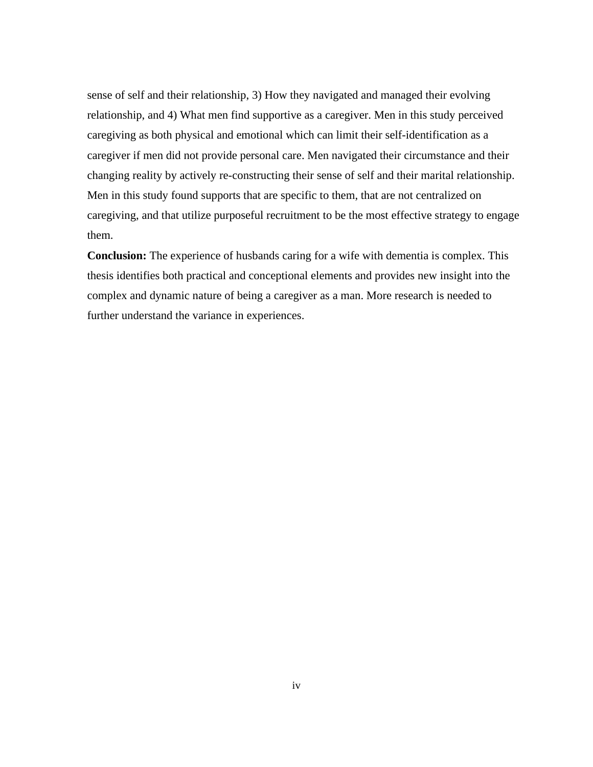sense of self and their relationship, 3) How they navigated and managed their evolving relationship, and 4) What men find supportive as a caregiver. Men in this study perceived caregiving as both physical and emotional which can limit their self-identification as a caregiver if men did not provide personal care. Men navigated their circumstance and their changing reality by actively re-constructing their sense of self and their marital relationship. Men in this study found supports that are specific to them, that are not centralized on caregiving, and that utilize purposeful recruitment to be the most effective strategy to engage them.

**Conclusion:** The experience of husbands caring for a wife with dementia is complex. This thesis identifies both practical and conceptional elements and provides new insight into the complex and dynamic nature of being a caregiver as a man. More research is needed to further understand the variance in experiences.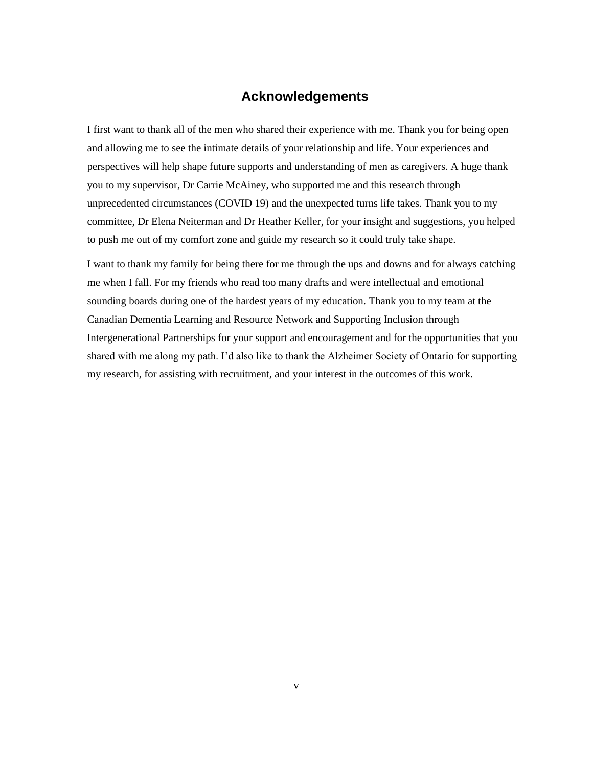## **Acknowledgements**

I first want to thank all of the men who shared their experience with me. Thank you for being open and allowing me to see the intimate details of your relationship and life. Your experiences and perspectives will help shape future supports and understanding of men as caregivers. A huge thank you to my supervisor, Dr Carrie McAiney, who supported me and this research through unprecedented circumstances (COVID 19) and the unexpected turns life takes. Thank you to my committee, Dr Elena Neiterman and Dr Heather Keller, for your insight and suggestions, you helped to push me out of my comfort zone and guide my research so it could truly take shape.

I want to thank my family for being there for me through the ups and downs and for always catching me when I fall. For my friends who read too many drafts and were intellectual and emotional sounding boards during one of the hardest years of my education. Thank you to my team at the Canadian Dementia Learning and Resource Network and Supporting Inclusion through Intergenerational Partnerships for your support and encouragement and for the opportunities that you shared with me along my path. I'd also like to thank the Alzheimer Society of Ontario for supporting my research, for assisting with recruitment, and your interest in the outcomes of this work.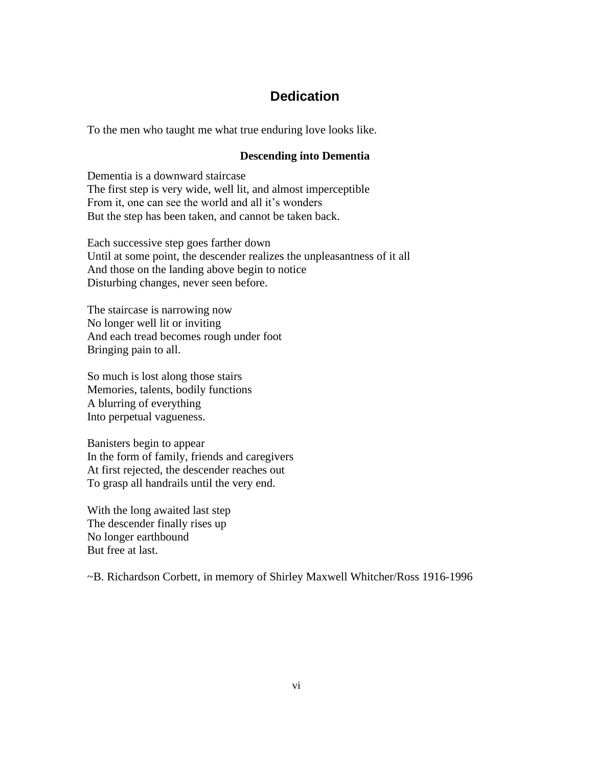# **Dedication**

To the men who taught me what true enduring love looks like.

#### **Descending into Dementia**

Dementia is a downward staircase The first step is very wide, well lit, and almost imperceptible From it, one can see the world and all it's wonders But the step has been taken, and cannot be taken back.

Each successive step goes farther down Until at some point, the descender realizes the unpleasantness of it all And those on the landing above begin to notice Disturbing changes, never seen before.

The staircase is narrowing now No longer well lit or inviting And each tread becomes rough under foot Bringing pain to all.

So much is lost along those stairs Memories, talents, bodily functions A blurring of everything Into perpetual vagueness.

Banisters begin to appear In the form of family, friends and caregivers At first rejected, the descender reaches out To grasp all handrails until the very end.

With the long awaited last step The descender finally rises up No longer earthbound But free at last.

~B. Richardson Corbett, in memory of Shirley Maxwell Whitcher/Ross 1916-1996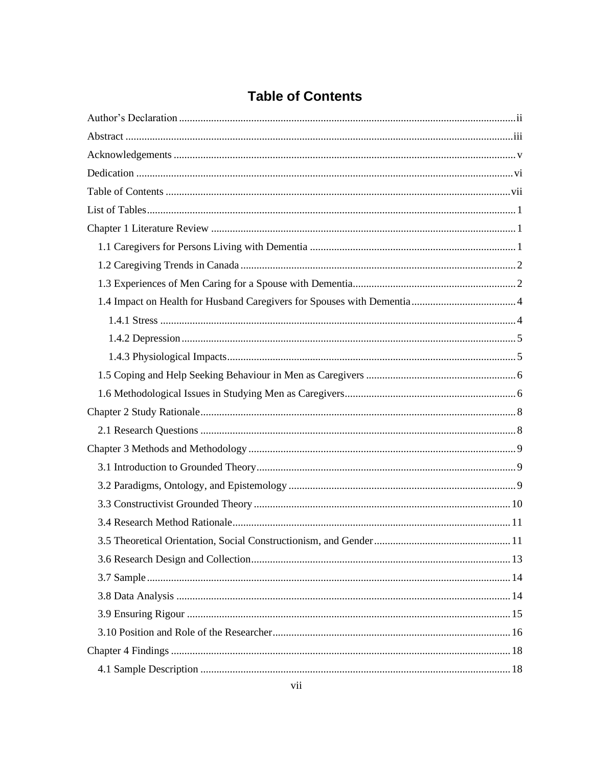# **Table of Contents**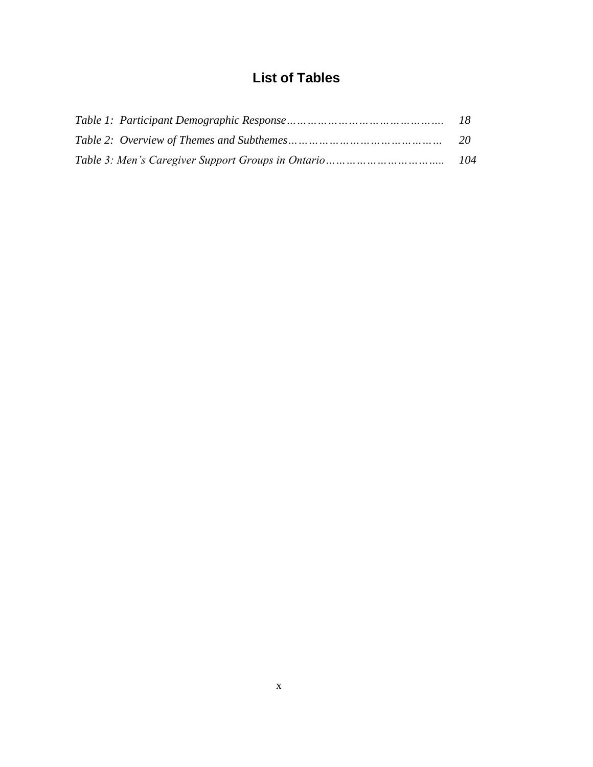# **List of Tables**

| 20 |
|----|
|    |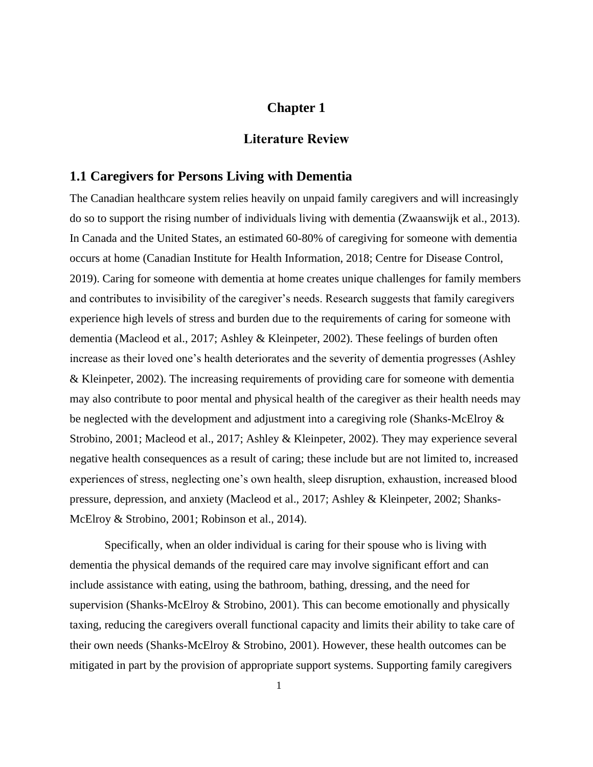# **Chapter 1**

## **Literature Review**

#### **1.1 Caregivers for Persons Living with Dementia**

The Canadian healthcare system relies heavily on unpaid family caregivers and will increasingly do so to support the rising number of individuals living with dementia (Zwaanswijk et al., 2013). In Canada and the United States, an estimated 60-80% of caregiving for someone with dementia occurs at home (Canadian Institute for Health Information, 2018; Centre for Disease Control, 2019). Caring for someone with dementia at home creates unique challenges for family members and contributes to invisibility of the caregiver's needs. Research suggests that family caregivers experience high levels of stress and burden due to the requirements of caring for someone with dementia (Macleod et al., 2017; Ashley & Kleinpeter, 2002). These feelings of burden often increase as their loved one's health deteriorates and the severity of dementia progresses (Ashley & Kleinpeter, 2002). The increasing requirements of providing care for someone with dementia may also contribute to poor mental and physical health of the caregiver as their health needs may be neglected with the development and adjustment into a caregiving role (Shanks-McElroy & Strobino, 2001; Macleod et al., 2017; Ashley & Kleinpeter, 2002). They may experience several negative health consequences as a result of caring; these include but are not limited to, increased experiences of stress, neglecting one's own health, sleep disruption, exhaustion, increased blood pressure, depression, and anxiety (Macleod et al., 2017; Ashley & Kleinpeter, 2002; Shanks-McElroy & Strobino, 2001; Robinson et al., 2014).

Specifically, when an older individual is caring for their spouse who is living with dementia the physical demands of the required care may involve significant effort and can include assistance with eating, using the bathroom, bathing, dressing, and the need for supervision (Shanks-McElroy & Strobino, 2001). This can become emotionally and physically taxing, reducing the caregivers overall functional capacity and limits their ability to take care of their own needs (Shanks-McElroy & Strobino, 2001). However, these health outcomes can be mitigated in part by the provision of appropriate support systems. Supporting family caregivers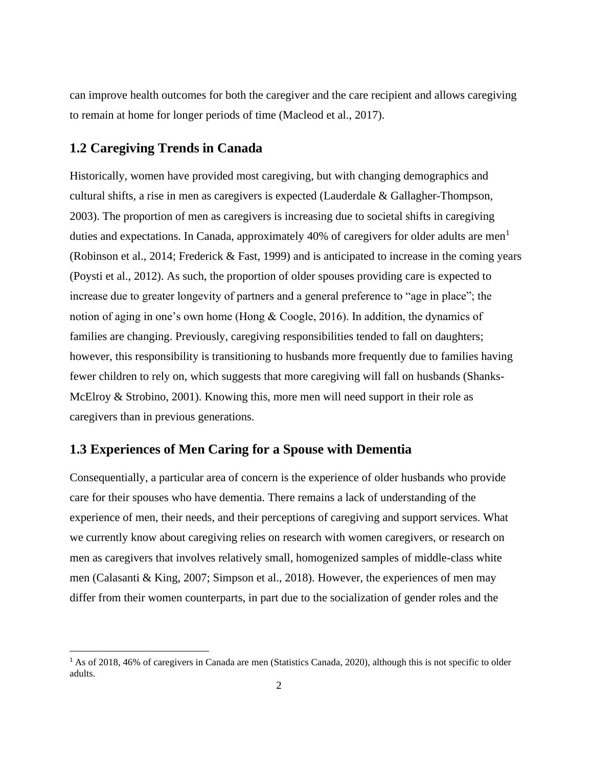can improve health outcomes for both the caregiver and the care recipient and allows caregiving to remain at home for longer periods of time (Macleod et al., 2017).

# **1.2 Caregiving Trends in Canada**

Historically, women have provided most caregiving, but with changing demographics and cultural shifts, a rise in men as caregivers is expected (Lauderdale & Gallagher-Thompson, 2003). The proportion of men as caregivers is increasing due to societal shifts in caregiving duties and expectations. In Canada, approximately 40% of caregivers for older adults are men<sup>1</sup> (Robinson et al., 2014; Frederick & Fast, 1999) and is anticipated to increase in the coming years (Poysti et al., 2012). As such, the proportion of older spouses providing care is expected to increase due to greater longevity of partners and a general preference to "age in place"; the notion of aging in one's own home (Hong & Coogle, 2016). In addition, the dynamics of families are changing. Previously, caregiving responsibilities tended to fall on daughters; however, this responsibility is transitioning to husbands more frequently due to families having fewer children to rely on, which suggests that more caregiving will fall on husbands (Shanks-McElroy & Strobino, 2001). Knowing this, more men will need support in their role as caregivers than in previous generations.

# **1.3 Experiences of Men Caring for a Spouse with Dementia**

Consequentially, a particular area of concern is the experience of older husbands who provide care for their spouses who have dementia. There remains a lack of understanding of the experience of men, their needs, and their perceptions of caregiving and support services. What we currently know about caregiving relies on research with women caregivers, or research on men as caregivers that involves relatively small, homogenized samples of middle-class white men (Calasanti & King, 2007; Simpson et al., 2018). However, the experiences of men may differ from their women counterparts, in part due to the socialization of gender roles and the

<sup>&</sup>lt;sup>1</sup> As of 2018, 46% of caregivers in Canada are men (Statistics Canada, 2020), although this is not specific to older adults.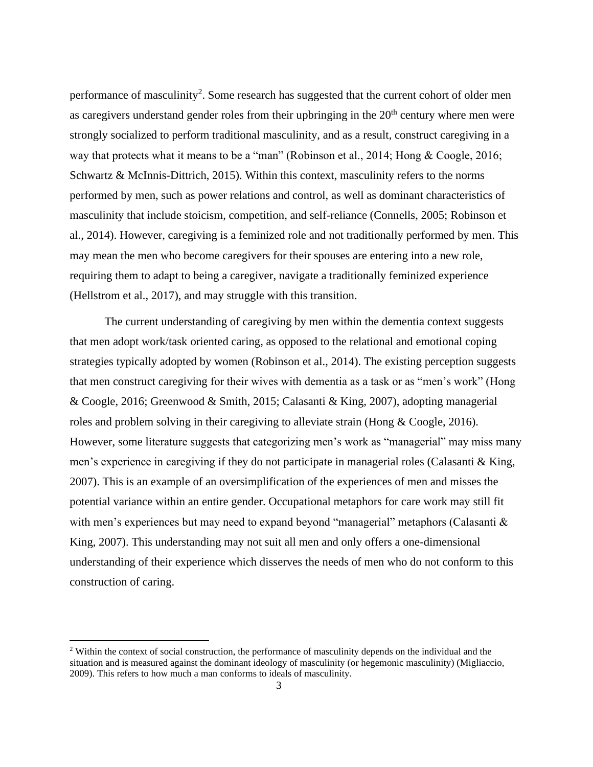performance of masculinity<sup>2</sup>. Some research has suggested that the current cohort of older men as caregivers understand gender roles from their upbringing in the  $20<sup>th</sup>$  century where men were strongly socialized to perform traditional masculinity, and as a result, construct caregiving in a way that protects what it means to be a "man" (Robinson et al., 2014; Hong & Coogle, 2016; Schwartz & McInnis-Dittrich, 2015). Within this context, masculinity refers to the norms performed by men, such as power relations and control, as well as dominant characteristics of masculinity that include stoicism, competition, and self-reliance (Connells, 2005; Robinson et al., 2014). However, caregiving is a feminized role and not traditionally performed by men. This may mean the men who become caregivers for their spouses are entering into a new role, requiring them to adapt to being a caregiver, navigate a traditionally feminized experience (Hellstrom et al., 2017), and may struggle with this transition.

The current understanding of caregiving by men within the dementia context suggests that men adopt work/task oriented caring, as opposed to the relational and emotional coping strategies typically adopted by women (Robinson et al., 2014). The existing perception suggests that men construct caregiving for their wives with dementia as a task or as "men's work" (Hong & Coogle, 2016; Greenwood & Smith, 2015; Calasanti & King, 2007), adopting managerial roles and problem solving in their caregiving to alleviate strain (Hong & Coogle, 2016). However, some literature suggests that categorizing men's work as "managerial" may miss many men's experience in caregiving if they do not participate in managerial roles (Calasanti & King, 2007). This is an example of an oversimplification of the experiences of men and misses the potential variance within an entire gender. Occupational metaphors for care work may still fit with men's experiences but may need to expand beyond "managerial" metaphors (Calasanti & King, 2007). This understanding may not suit all men and only offers a one-dimensional understanding of their experience which disserves the needs of men who do not conform to this construction of caring.

<sup>&</sup>lt;sup>2</sup> Within the context of social construction, the performance of masculinity depends on the individual and the situation and is measured against the dominant ideology of masculinity (or hegemonic masculinity) (Migliaccio, 2009). This refers to how much a man conforms to ideals of masculinity.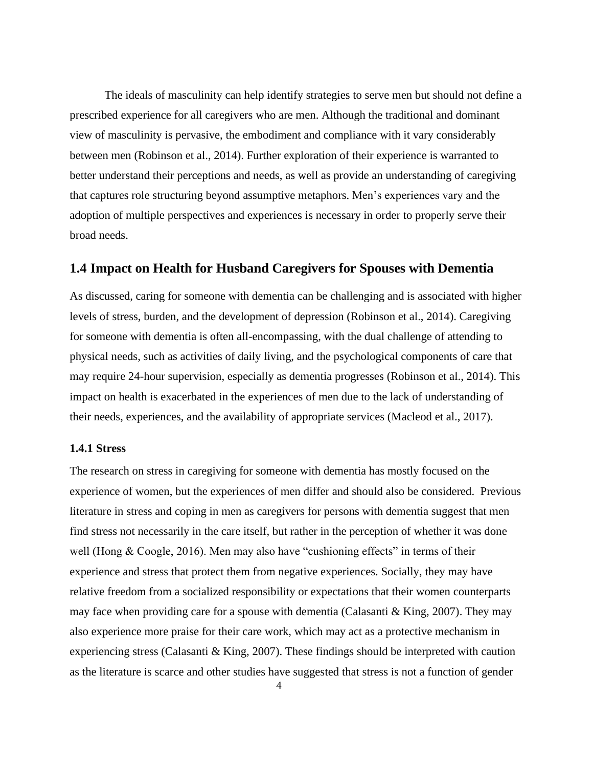The ideals of masculinity can help identify strategies to serve men but should not define a prescribed experience for all caregivers who are men. Although the traditional and dominant view of masculinity is pervasive, the embodiment and compliance with it vary considerably between men (Robinson et al., 2014). Further exploration of their experience is warranted to better understand their perceptions and needs, as well as provide an understanding of caregiving that captures role structuring beyond assumptive metaphors. Men's experiences vary and the adoption of multiple perspectives and experiences is necessary in order to properly serve their broad needs.

#### **1.4 Impact on Health for Husband Caregivers for Spouses with Dementia**

As discussed, caring for someone with dementia can be challenging and is associated with higher levels of stress, burden, and the development of depression (Robinson et al., 2014). Caregiving for someone with dementia is often all-encompassing, with the dual challenge of attending to physical needs, such as activities of daily living, and the psychological components of care that may require 24-hour supervision, especially as dementia progresses (Robinson et al., 2014). This impact on health is exacerbated in the experiences of men due to the lack of understanding of their needs, experiences, and the availability of appropriate services (Macleod et al., 2017).

#### **1.4.1 Stress**

The research on stress in caregiving for someone with dementia has mostly focused on the experience of women, but the experiences of men differ and should also be considered. Previous literature in stress and coping in men as caregivers for persons with dementia suggest that men find stress not necessarily in the care itself, but rather in the perception of whether it was done well (Hong & Coogle, 2016). Men may also have "cushioning effects" in terms of their experience and stress that protect them from negative experiences. Socially, they may have relative freedom from a socialized responsibility or expectations that their women counterparts may face when providing care for a spouse with dementia (Calasanti  $\&$  King, 2007). They may also experience more praise for their care work, which may act as a protective mechanism in experiencing stress (Calasanti & King, 2007). These findings should be interpreted with caution as the literature is scarce and other studies have suggested that stress is not a function of gender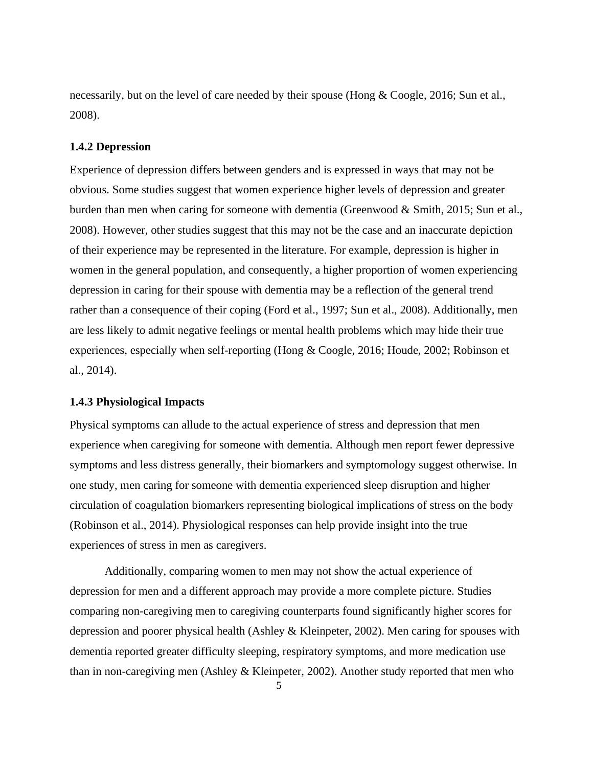necessarily, but on the level of care needed by their spouse (Hong & Coogle, 2016; Sun et al., 2008).

#### **1.4.2 Depression**

Experience of depression differs between genders and is expressed in ways that may not be obvious. Some studies suggest that women experience higher levels of depression and greater burden than men when caring for someone with dementia (Greenwood & Smith, 2015; Sun et al., 2008). However, other studies suggest that this may not be the case and an inaccurate depiction of their experience may be represented in the literature. For example, depression is higher in women in the general population, and consequently, a higher proportion of women experiencing depression in caring for their spouse with dementia may be a reflection of the general trend rather than a consequence of their coping (Ford et al., 1997; Sun et al., 2008). Additionally, men are less likely to admit negative feelings or mental health problems which may hide their true experiences, especially when self-reporting (Hong & Coogle, 2016; Houde, 2002; Robinson et al., 2014).

#### **1.4.3 Physiological Impacts**

Physical symptoms can allude to the actual experience of stress and depression that men experience when caregiving for someone with dementia. Although men report fewer depressive symptoms and less distress generally, their biomarkers and symptomology suggest otherwise. In one study, men caring for someone with dementia experienced sleep disruption and higher circulation of coagulation biomarkers representing biological implications of stress on the body (Robinson et al., 2014). Physiological responses can help provide insight into the true experiences of stress in men as caregivers.

Additionally, comparing women to men may not show the actual experience of depression for men and a different approach may provide a more complete picture. Studies comparing non-caregiving men to caregiving counterparts found significantly higher scores for depression and poorer physical health (Ashley & Kleinpeter, 2002). Men caring for spouses with dementia reported greater difficulty sleeping, respiratory symptoms, and more medication use than in non-caregiving men (Ashley & Kleinpeter, 2002). Another study reported that men who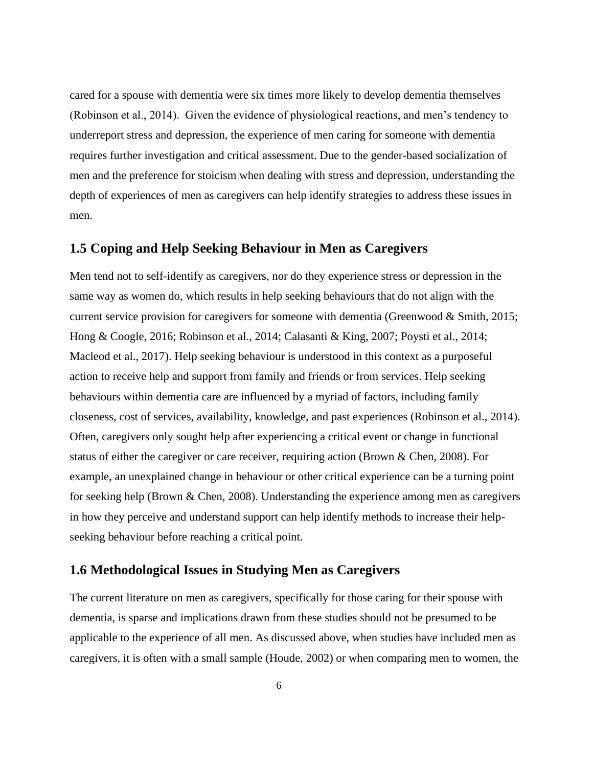cared for a spouse with dementia were six times more likely to develop dementia themselves (Robinson et al., 2014). Given the evidence of physiological reactions, and men's tendency to underreport stress and depression, the experience of men caring for someone with dementia requires further investigation and critical assessment. Due to the gender-based socialization of men and the preference for stoicism when dealing with stress and depression, understanding the depth of experiences of men as caregivers can help identify strategies to address these issues in men.

#### **1.5 Coping and Help Seeking Behaviour in Men as Caregivers**

Men tend not to self-identify as caregivers, nor do they experience stress or depression in the same way as women do, which results in help seeking behaviours that do not align with the current service provision for caregivers for someone with dementia (Greenwood & Smith, 2015; Hong & Coogle, 2016; Robinson et al., 2014; Calasanti & King, 2007; Poysti et al., 2014; Macleod et al., 2017). Help seeking behaviour is understood in this context as a purposeful action to receive help and support from family and friends or from services. Help seeking behaviours within dementia care are influenced by a myriad of factors, including family closeness, cost of services, availability, knowledge, and past experiences (Robinson et al., 2014). Often, caregivers only sought help after experiencing a critical event or change in functional status of either the caregiver or care receiver, requiring action (Brown & Chen, 2008). For example, an unexplained change in behaviour or other critical experience can be a turning point for seeking help (Brown & Chen, 2008). Understanding the experience among men as caregivers in how they perceive and understand support can help identify methods to increase their helpseeking behaviour before reaching a critical point.

#### **1.6 Methodological Issues in Studying Men as Caregivers**

The current literature on men as caregivers, specifically for those caring for their spouse with dementia, is sparse and implications drawn from these studies should not be presumed to be applicable to the experience of all men. As discussed above, when studies have included men as caregivers, it is often with a small sample (Houde, 2002) or when comparing men to women, the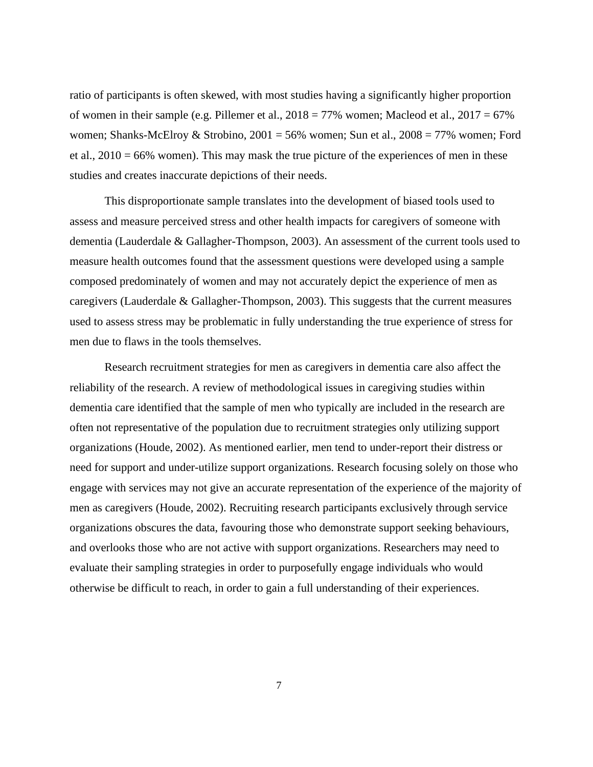ratio of participants is often skewed, with most studies having a significantly higher proportion of women in their sample (e.g. Pillemer et al.,  $2018 = 77\%$  women; Macleod et al.,  $2017 = 67\%$ women; Shanks-McElroy & Strobino, 2001 = 56% women; Sun et al., 2008 = 77% women; Ford et al.,  $2010 = 66\%$  women). This may mask the true picture of the experiences of men in these studies and creates inaccurate depictions of their needs.

This disproportionate sample translates into the development of biased tools used to assess and measure perceived stress and other health impacts for caregivers of someone with dementia (Lauderdale & Gallagher-Thompson, 2003). An assessment of the current tools used to measure health outcomes found that the assessment questions were developed using a sample composed predominately of women and may not accurately depict the experience of men as caregivers (Lauderdale & Gallagher-Thompson, 2003). This suggests that the current measures used to assess stress may be problematic in fully understanding the true experience of stress for men due to flaws in the tools themselves.

Research recruitment strategies for men as caregivers in dementia care also affect the reliability of the research. A review of methodological issues in caregiving studies within dementia care identified that the sample of men who typically are included in the research are often not representative of the population due to recruitment strategies only utilizing support organizations (Houde, 2002). As mentioned earlier, men tend to under-report their distress or need for support and under-utilize support organizations. Research focusing solely on those who engage with services may not give an accurate representation of the experience of the majority of men as caregivers (Houde, 2002). Recruiting research participants exclusively through service organizations obscures the data, favouring those who demonstrate support seeking behaviours, and overlooks those who are not active with support organizations. Researchers may need to evaluate their sampling strategies in order to purposefully engage individuals who would otherwise be difficult to reach, in order to gain a full understanding of their experiences.

7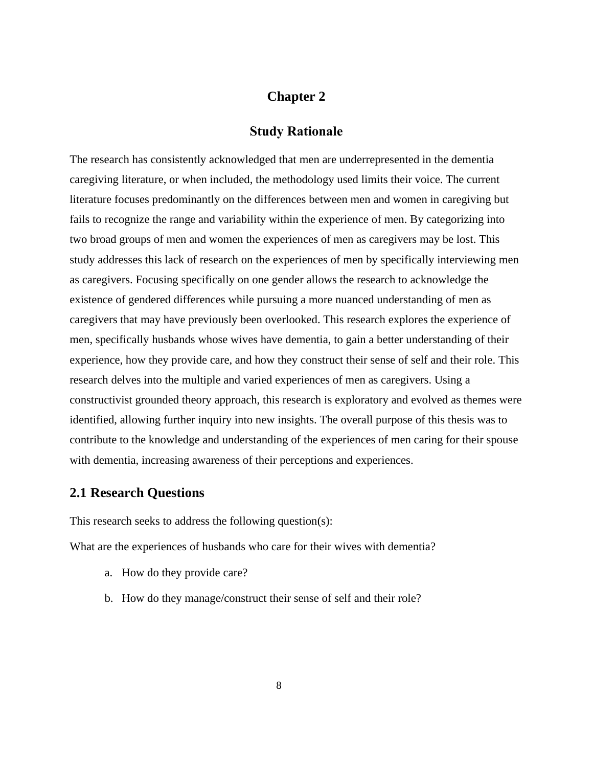#### **Chapter 2**

#### **Study Rationale**

The research has consistently acknowledged that men are underrepresented in the dementia caregiving literature, or when included, the methodology used limits their voice. The current literature focuses predominantly on the differences between men and women in caregiving but fails to recognize the range and variability within the experience of men. By categorizing into two broad groups of men and women the experiences of men as caregivers may be lost. This study addresses this lack of research on the experiences of men by specifically interviewing men as caregivers. Focusing specifically on one gender allows the research to acknowledge the existence of gendered differences while pursuing a more nuanced understanding of men as caregivers that may have previously been overlooked. This research explores the experience of men, specifically husbands whose wives have dementia, to gain a better understanding of their experience, how they provide care, and how they construct their sense of self and their role. This research delves into the multiple and varied experiences of men as caregivers. Using a constructivist grounded theory approach, this research is exploratory and evolved as themes were identified, allowing further inquiry into new insights. The overall purpose of this thesis was to contribute to the knowledge and understanding of the experiences of men caring for their spouse with dementia, increasing awareness of their perceptions and experiences.

#### **2.1 Research Questions**

This research seeks to address the following question(s):

What are the experiences of husbands who care for their wives with dementia?

- a. How do they provide care?
- b. How do they manage/construct their sense of self and their role?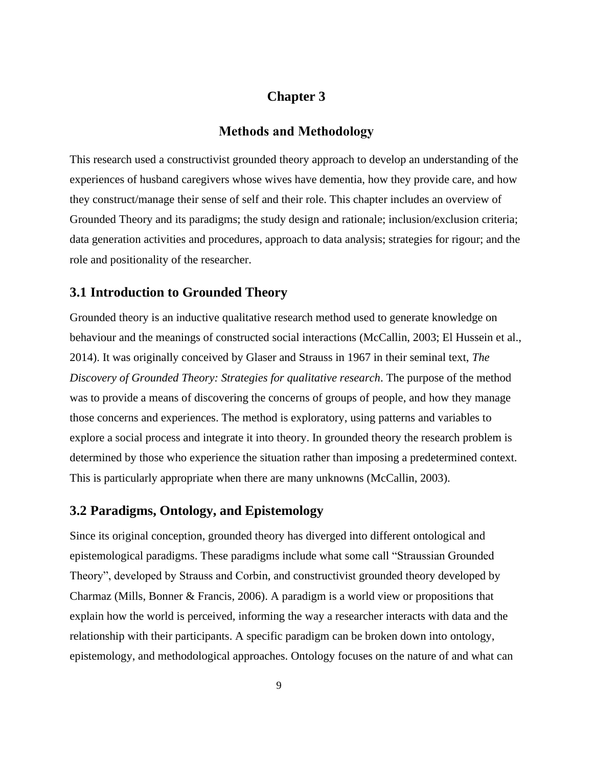# **Chapter 3**

#### **Methods and Methodology**

This research used a constructivist grounded theory approach to develop an understanding of the experiences of husband caregivers whose wives have dementia, how they provide care, and how they construct/manage their sense of self and their role. This chapter includes an overview of Grounded Theory and its paradigms; the study design and rationale; inclusion/exclusion criteria; data generation activities and procedures, approach to data analysis; strategies for rigour; and the role and positionality of the researcher.

#### **3.1 Introduction to Grounded Theory**

Grounded theory is an inductive qualitative research method used to generate knowledge on behaviour and the meanings of constructed social interactions (McCallin, 2003; El Hussein et al., 2014). It was originally conceived by Glaser and Strauss in 1967 in their seminal text, *The Discovery of Grounded Theory: Strategies for qualitative research*. The purpose of the method was to provide a means of discovering the concerns of groups of people, and how they manage those concerns and experiences. The method is exploratory, using patterns and variables to explore a social process and integrate it into theory. In grounded theory the research problem is determined by those who experience the situation rather than imposing a predetermined context. This is particularly appropriate when there are many unknowns (McCallin, 2003).

# **3.2 Paradigms, Ontology, and Epistemology**

Since its original conception, grounded theory has diverged into different ontological and epistemological paradigms. These paradigms include what some call "Straussian Grounded Theory", developed by Strauss and Corbin, and constructivist grounded theory developed by Charmaz (Mills, Bonner & Francis, 2006). A paradigm is a world view or propositions that explain how the world is perceived, informing the way a researcher interacts with data and the relationship with their participants. A specific paradigm can be broken down into ontology, epistemology, and methodological approaches. Ontology focuses on the nature of and what can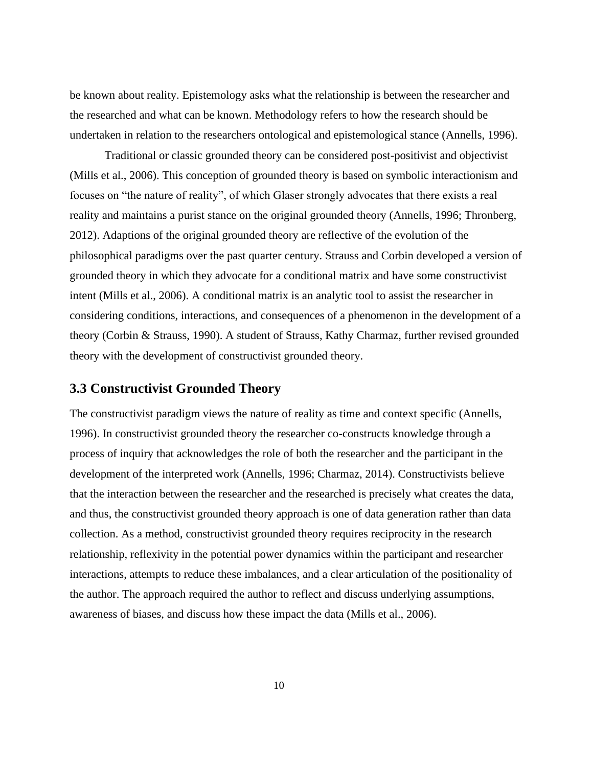be known about reality. Epistemology asks what the relationship is between the researcher and the researched and what can be known. Methodology refers to how the research should be undertaken in relation to the researchers ontological and epistemological stance (Annells, 1996).

Traditional or classic grounded theory can be considered post-positivist and objectivist (Mills et al., 2006). This conception of grounded theory is based on symbolic interactionism and focuses on "the nature of reality", of which Glaser strongly advocates that there exists a real reality and maintains a purist stance on the original grounded theory (Annells, 1996; Thronberg, 2012). Adaptions of the original grounded theory are reflective of the evolution of the philosophical paradigms over the past quarter century. Strauss and Corbin developed a version of grounded theory in which they advocate for a conditional matrix and have some constructivist intent (Mills et al., 2006). A conditional matrix is an analytic tool to assist the researcher in considering conditions, interactions, and consequences of a phenomenon in the development of a theory (Corbin & Strauss, 1990). A student of Strauss, Kathy Charmaz, further revised grounded theory with the development of constructivist grounded theory.

## **3.3 Constructivist Grounded Theory**

The constructivist paradigm views the nature of reality as time and context specific (Annells, 1996). In constructivist grounded theory the researcher co-constructs knowledge through a process of inquiry that acknowledges the role of both the researcher and the participant in the development of the interpreted work (Annells, 1996; Charmaz, 2014). Constructivists believe that the interaction between the researcher and the researched is precisely what creates the data, and thus, the constructivist grounded theory approach is one of data generation rather than data collection. As a method, constructivist grounded theory requires reciprocity in the research relationship, reflexivity in the potential power dynamics within the participant and researcher interactions, attempts to reduce these imbalances, and a clear articulation of the positionality of the author. The approach required the author to reflect and discuss underlying assumptions, awareness of biases, and discuss how these impact the data (Mills et al., 2006).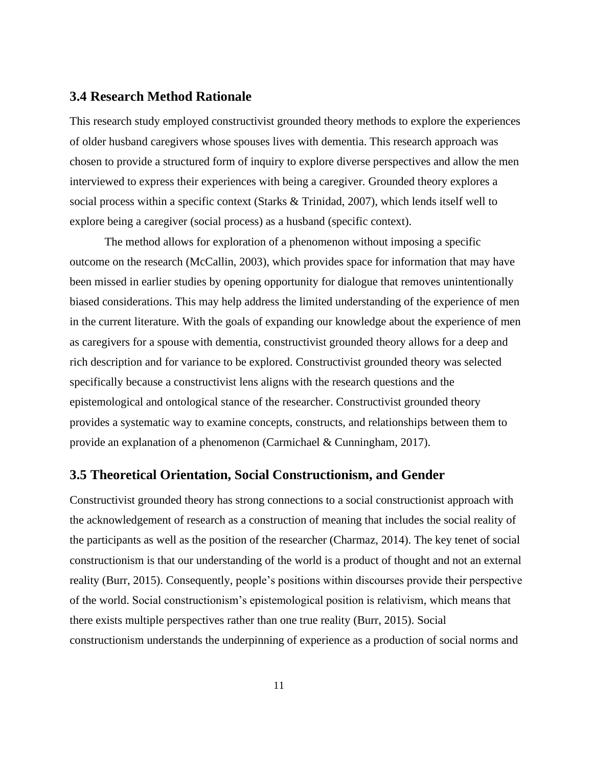#### **3.4 Research Method Rationale**

This research study employed constructivist grounded theory methods to explore the experiences of older husband caregivers whose spouses lives with dementia. This research approach was chosen to provide a structured form of inquiry to explore diverse perspectives and allow the men interviewed to express their experiences with being a caregiver. Grounded theory explores a social process within a specific context (Starks & Trinidad, 2007), which lends itself well to explore being a caregiver (social process) as a husband (specific context).

The method allows for exploration of a phenomenon without imposing a specific outcome on the research (McCallin, 2003), which provides space for information that may have been missed in earlier studies by opening opportunity for dialogue that removes unintentionally biased considerations. This may help address the limited understanding of the experience of men in the current literature. With the goals of expanding our knowledge about the experience of men as caregivers for a spouse with dementia, constructivist grounded theory allows for a deep and rich description and for variance to be explored. Constructivist grounded theory was selected specifically because a constructivist lens aligns with the research questions and the epistemological and ontological stance of the researcher. Constructivist grounded theory provides a systematic way to examine concepts, constructs, and relationships between them to provide an explanation of a phenomenon (Carmichael & Cunningham, 2017).

#### **3.5 Theoretical Orientation, Social Constructionism, and Gender**

Constructivist grounded theory has strong connections to a social constructionist approach with the acknowledgement of research as a construction of meaning that includes the social reality of the participants as well as the position of the researcher (Charmaz, 2014). The key tenet of social constructionism is that our understanding of the world is a product of thought and not an external reality (Burr, 2015). Consequently, people's positions within discourses provide their perspective of the world. Social constructionism's epistemological position is relativism, which means that there exists multiple perspectives rather than one true reality (Burr, 2015). Social constructionism understands the underpinning of experience as a production of social norms and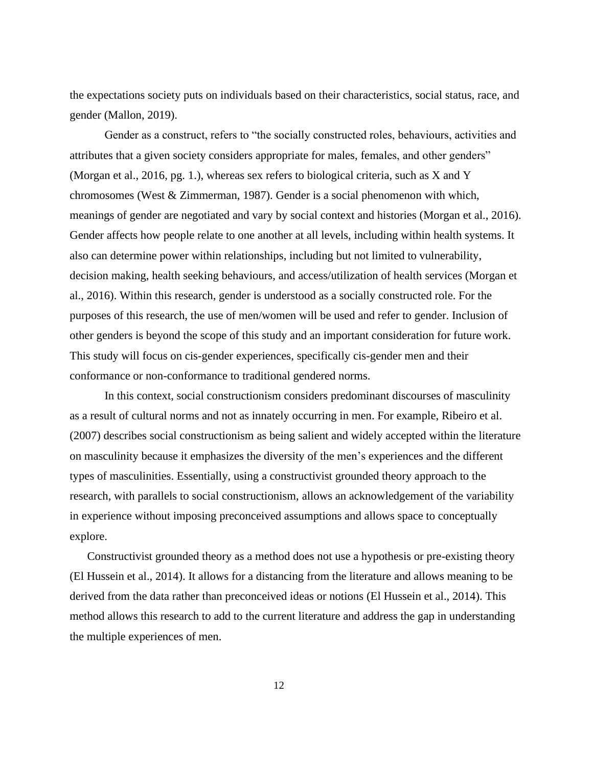the expectations society puts on individuals based on their characteristics, social status, race, and gender (Mallon, 2019).

Gender as a construct, refers to "the socially constructed roles, behaviours, activities and attributes that a given society considers appropriate for males, females, and other genders" (Morgan et al., 2016, pg. 1.), whereas sex refers to biological criteria, such as X and Y chromosomes (West & Zimmerman, 1987). Gender is a social phenomenon with which, meanings of gender are negotiated and vary by social context and histories (Morgan et al., 2016). Gender affects how people relate to one another at all levels, including within health systems. It also can determine power within relationships, including but not limited to vulnerability, decision making, health seeking behaviours, and access/utilization of health services (Morgan et al., 2016). Within this research, gender is understood as a socially constructed role. For the purposes of this research, the use of men/women will be used and refer to gender. Inclusion of other genders is beyond the scope of this study and an important consideration for future work. This study will focus on cis-gender experiences, specifically cis-gender men and their conformance or non-conformance to traditional gendered norms.

In this context, social constructionism considers predominant discourses of masculinity as a result of cultural norms and not as innately occurring in men. For example, Ribeiro et al. (2007) describes social constructionism as being salient and widely accepted within the literature on masculinity because it emphasizes the diversity of the men's experiences and the different types of masculinities. Essentially, using a constructivist grounded theory approach to the research, with parallels to social constructionism, allows an acknowledgement of the variability in experience without imposing preconceived assumptions and allows space to conceptually explore.

Constructivist grounded theory as a method does not use a hypothesis or pre-existing theory (El Hussein et al., 2014). It allows for a distancing from the literature and allows meaning to be derived from the data rather than preconceived ideas or notions (El Hussein et al., 2014). This method allows this research to add to the current literature and address the gap in understanding the multiple experiences of men.

12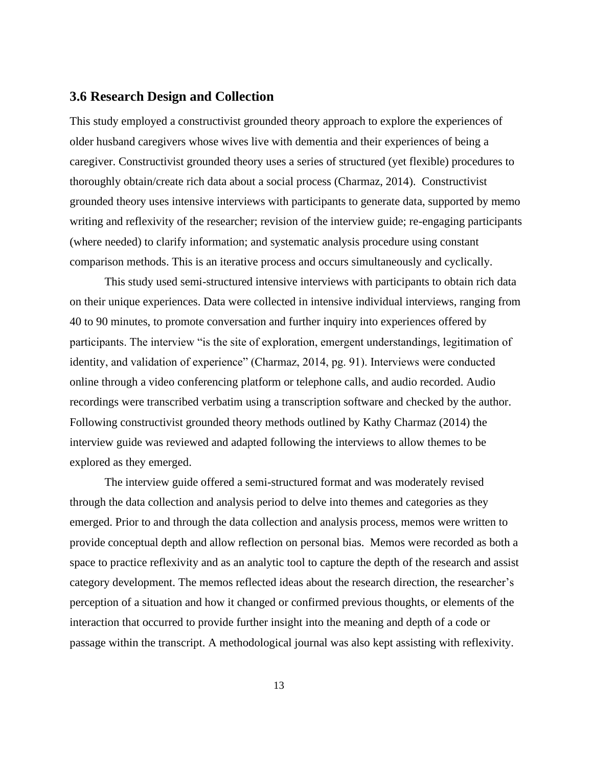### **3.6 Research Design and Collection**

This study employed a constructivist grounded theory approach to explore the experiences of older husband caregivers whose wives live with dementia and their experiences of being a caregiver. Constructivist grounded theory uses a series of structured (yet flexible) procedures to thoroughly obtain/create rich data about a social process (Charmaz, 2014). Constructivist grounded theory uses intensive interviews with participants to generate data, supported by memo writing and reflexivity of the researcher; revision of the interview guide; re-engaging participants (where needed) to clarify information; and systematic analysis procedure using constant comparison methods. This is an iterative process and occurs simultaneously and cyclically.

This study used semi-structured intensive interviews with participants to obtain rich data on their unique experiences. Data were collected in intensive individual interviews, ranging from 40 to 90 minutes, to promote conversation and further inquiry into experiences offered by participants. The interview "is the site of exploration, emergent understandings, legitimation of identity, and validation of experience" (Charmaz, 2014, pg. 91). Interviews were conducted online through a video conferencing platform or telephone calls, and audio recorded. Audio recordings were transcribed verbatim using a transcription software and checked by the author. Following constructivist grounded theory methods outlined by Kathy Charmaz (2014) the interview guide was reviewed and adapted following the interviews to allow themes to be explored as they emerged.

The interview guide offered a semi-structured format and was moderately revised through the data collection and analysis period to delve into themes and categories as they emerged. Prior to and through the data collection and analysis process, memos were written to provide conceptual depth and allow reflection on personal bias. Memos were recorded as both a space to practice reflexivity and as an analytic tool to capture the depth of the research and assist category development. The memos reflected ideas about the research direction, the researcher's perception of a situation and how it changed or confirmed previous thoughts, or elements of the interaction that occurred to provide further insight into the meaning and depth of a code or passage within the transcript. A methodological journal was also kept assisting with reflexivity.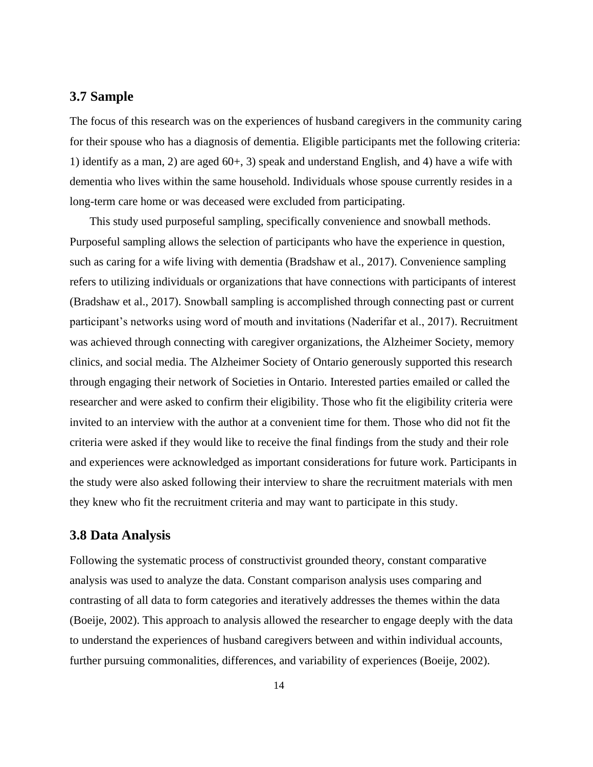#### **3.7 Sample**

The focus of this research was on the experiences of husband caregivers in the community caring for their spouse who has a diagnosis of dementia. Eligible participants met the following criteria: 1) identify as a man, 2) are aged 60+, 3) speak and understand English, and 4) have a wife with dementia who lives within the same household. Individuals whose spouse currently resides in a long-term care home or was deceased were excluded from participating.

This study used purposeful sampling, specifically convenience and snowball methods. Purposeful sampling allows the selection of participants who have the experience in question, such as caring for a wife living with dementia (Bradshaw et al., 2017). Convenience sampling refers to utilizing individuals or organizations that have connections with participants of interest (Bradshaw et al., 2017). Snowball sampling is accomplished through connecting past or current participant's networks using word of mouth and invitations (Naderifar et al., 2017). Recruitment was achieved through connecting with caregiver organizations, the Alzheimer Society, memory clinics, and social media. The Alzheimer Society of Ontario generously supported this research through engaging their network of Societies in Ontario. Interested parties emailed or called the researcher and were asked to confirm their eligibility. Those who fit the eligibility criteria were invited to an interview with the author at a convenient time for them. Those who did not fit the criteria were asked if they would like to receive the final findings from the study and their role and experiences were acknowledged as important considerations for future work. Participants in the study were also asked following their interview to share the recruitment materials with men they knew who fit the recruitment criteria and may want to participate in this study.

#### **3.8 Data Analysis**

Following the systematic process of constructivist grounded theory, constant comparative analysis was used to analyze the data. Constant comparison analysis uses comparing and contrasting of all data to form categories and iteratively addresses the themes within the data (Boeije, 2002). This approach to analysis allowed the researcher to engage deeply with the data to understand the experiences of husband caregivers between and within individual accounts, further pursuing commonalities, differences, and variability of experiences (Boeije, 2002).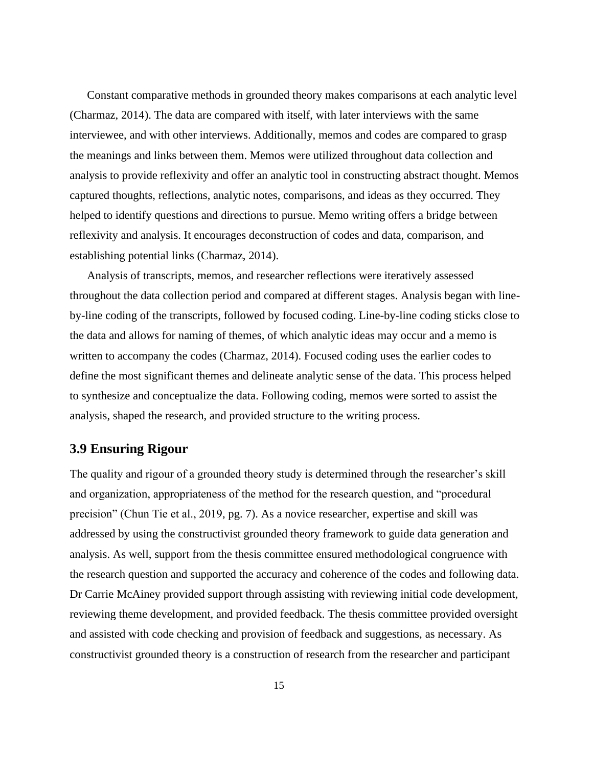Constant comparative methods in grounded theory makes comparisons at each analytic level (Charmaz, 2014). The data are compared with itself, with later interviews with the same interviewee, and with other interviews. Additionally, memos and codes are compared to grasp the meanings and links between them. Memos were utilized throughout data collection and analysis to provide reflexivity and offer an analytic tool in constructing abstract thought. Memos captured thoughts, reflections, analytic notes, comparisons, and ideas as they occurred. They helped to identify questions and directions to pursue. Memo writing offers a bridge between reflexivity and analysis. It encourages deconstruction of codes and data, comparison, and establishing potential links (Charmaz, 2014).

Analysis of transcripts, memos, and researcher reflections were iteratively assessed throughout the data collection period and compared at different stages. Analysis began with lineby-line coding of the transcripts, followed by focused coding. Line-by-line coding sticks close to the data and allows for naming of themes, of which analytic ideas may occur and a memo is written to accompany the codes (Charmaz, 2014). Focused coding uses the earlier codes to define the most significant themes and delineate analytic sense of the data. This process helped to synthesize and conceptualize the data. Following coding, memos were sorted to assist the analysis, shaped the research, and provided structure to the writing process.

#### **3.9 Ensuring Rigour**

The quality and rigour of a grounded theory study is determined through the researcher's skill and organization, appropriateness of the method for the research question, and "procedural precision" (Chun Tie et al., 2019, pg. 7). As a novice researcher, expertise and skill was addressed by using the constructivist grounded theory framework to guide data generation and analysis. As well, support from the thesis committee ensured methodological congruence with the research question and supported the accuracy and coherence of the codes and following data. Dr Carrie McAiney provided support through assisting with reviewing initial code development, reviewing theme development, and provided feedback. The thesis committee provided oversight and assisted with code checking and provision of feedback and suggestions, as necessary. As constructivist grounded theory is a construction of research from the researcher and participant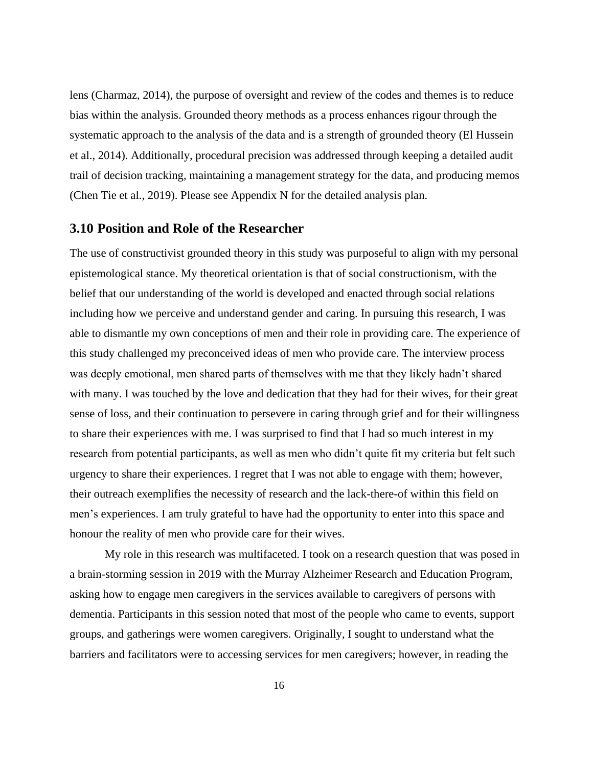lens (Charmaz, 2014), the purpose of oversight and review of the codes and themes is to reduce bias within the analysis. Grounded theory methods as a process enhances rigour through the systematic approach to the analysis of the data and is a strength of grounded theory (El Hussein et al., 2014). Additionally, procedural precision was addressed through keeping a detailed audit trail of decision tracking, maintaining a management strategy for the data, and producing memos (Chen Tie et al., 2019). Please see Appendix N for the detailed analysis plan.

#### **3.10 Position and Role of the Researcher**

The use of constructivist grounded theory in this study was purposeful to align with my personal epistemological stance. My theoretical orientation is that of social constructionism, with the belief that our understanding of the world is developed and enacted through social relations including how we perceive and understand gender and caring. In pursuing this research, I was able to dismantle my own conceptions of men and their role in providing care. The experience of this study challenged my preconceived ideas of men who provide care. The interview process was deeply emotional, men shared parts of themselves with me that they likely hadn't shared with many. I was touched by the love and dedication that they had for their wives, for their great sense of loss, and their continuation to persevere in caring through grief and for their willingness to share their experiences with me. I was surprised to find that I had so much interest in my research from potential participants, as well as men who didn't quite fit my criteria but felt such urgency to share their experiences. I regret that I was not able to engage with them; however, their outreach exemplifies the necessity of research and the lack-there-of within this field on men's experiences. I am truly grateful to have had the opportunity to enter into this space and honour the reality of men who provide care for their wives.

My role in this research was multifaceted. I took on a research question that was posed in a brain-storming session in 2019 with the Murray Alzheimer Research and Education Program, asking how to engage men caregivers in the services available to caregivers of persons with dementia. Participants in this session noted that most of the people who came to events, support groups, and gatherings were women caregivers. Originally, I sought to understand what the barriers and facilitators were to accessing services for men caregivers; however, in reading the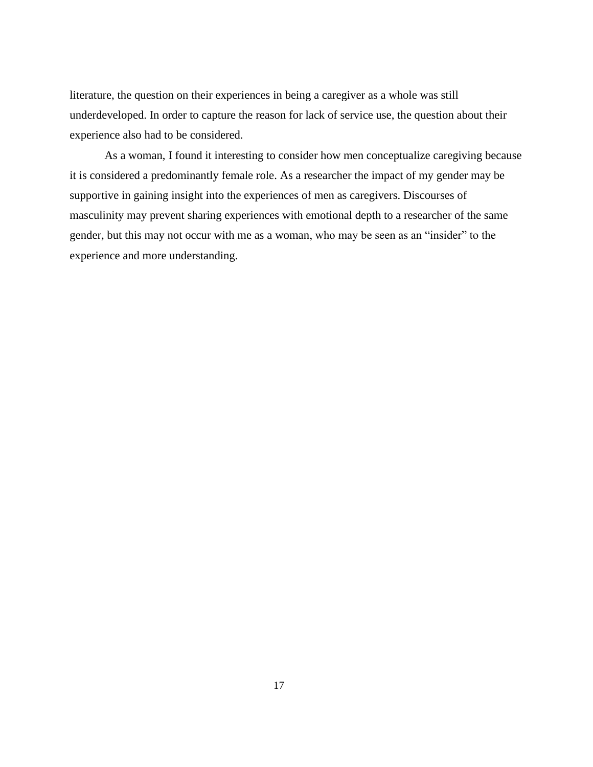literature, the question on their experiences in being a caregiver as a whole was still underdeveloped. In order to capture the reason for lack of service use, the question about their experience also had to be considered.

As a woman, I found it interesting to consider how men conceptualize caregiving because it is considered a predominantly female role. As a researcher the impact of my gender may be supportive in gaining insight into the experiences of men as caregivers. Discourses of masculinity may prevent sharing experiences with emotional depth to a researcher of the same gender, but this may not occur with me as a woman, who may be seen as an "insider" to the experience and more understanding.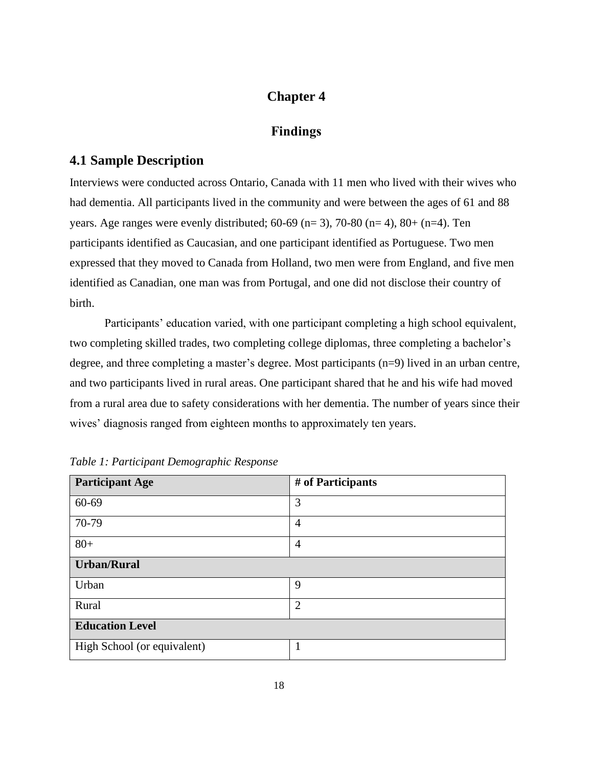# **Chapter 4**

# **Findings**

# **4.1 Sample Description**

Interviews were conducted across Ontario, Canada with 11 men who lived with their wives who had dementia. All participants lived in the community and were between the ages of 61 and 88 years. Age ranges were evenly distributed;  $60-69$  (n= 3),  $70-80$  (n= 4),  $80+$  (n=4). Ten participants identified as Caucasian, and one participant identified as Portuguese. Two men expressed that they moved to Canada from Holland, two men were from England, and five men identified as Canadian, one man was from Portugal, and one did not disclose their country of birth.

Participants' education varied, with one participant completing a high school equivalent, two completing skilled trades, two completing college diplomas, three completing a bachelor's degree, and three completing a master's degree. Most participants (n=9) lived in an urban centre, and two participants lived in rural areas. One participant shared that he and his wife had moved from a rural area due to safety considerations with her dementia. The number of years since their wives' diagnosis ranged from eighteen months to approximately ten years.

| <b>Participant Age</b>      | # of Participants |  |
|-----------------------------|-------------------|--|
| 60-69                       | 3                 |  |
| 70-79                       | $\overline{4}$    |  |
| $80+$                       | $\overline{4}$    |  |
| <b>Urban/Rural</b>          |                   |  |
| Urban                       | 9                 |  |
| Rural                       | $\overline{2}$    |  |
| <b>Education Level</b>      |                   |  |
| High School (or equivalent) |                   |  |

*Table 1: Participant Demographic Response*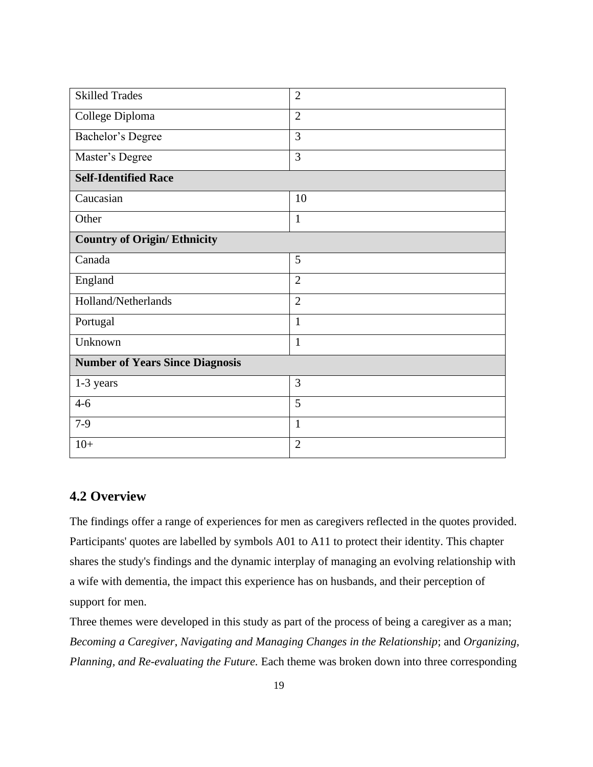| <b>Skilled Trades</b>                  | $\overline{2}$ |  |
|----------------------------------------|----------------|--|
| College Diploma                        | $\overline{2}$ |  |
| <b>Bachelor's Degree</b>               | $\overline{3}$ |  |
| Master's Degree                        | 3              |  |
| <b>Self-Identified Race</b>            |                |  |
| Caucasian                              | 10             |  |
| Other                                  | $\mathbf{1}$   |  |
| <b>Country of Origin/ Ethnicity</b>    |                |  |
| Canada                                 | 5              |  |
| England                                | $\overline{2}$ |  |
| Holland/Netherlands                    | $\overline{2}$ |  |
| Portugal                               | $\mathbf{1}$   |  |
| Unknown                                | $\mathbf{1}$   |  |
| <b>Number of Years Since Diagnosis</b> |                |  |
| 1-3 years                              | 3              |  |
| $4-6$                                  | 5              |  |
| $7-9$                                  | $\mathbf{1}$   |  |
| $10+$                                  | $\overline{2}$ |  |

# **4.2 Overview**

The findings offer a range of experiences for men as caregivers reflected in the quotes provided. Participants' quotes are labelled by symbols A01 to A11 to protect their identity. This chapter shares the study's findings and the dynamic interplay of managing an evolving relationship with a wife with dementia, the impact this experience has on husbands, and their perception of support for men.

Three themes were developed in this study as part of the process of being a caregiver as a man; *Becoming a Caregiver*, *Navigating and Managing Changes in the Relationship*; and *Organizing, Planning, and Re-evaluating the Future.* Each theme was broken down into three corresponding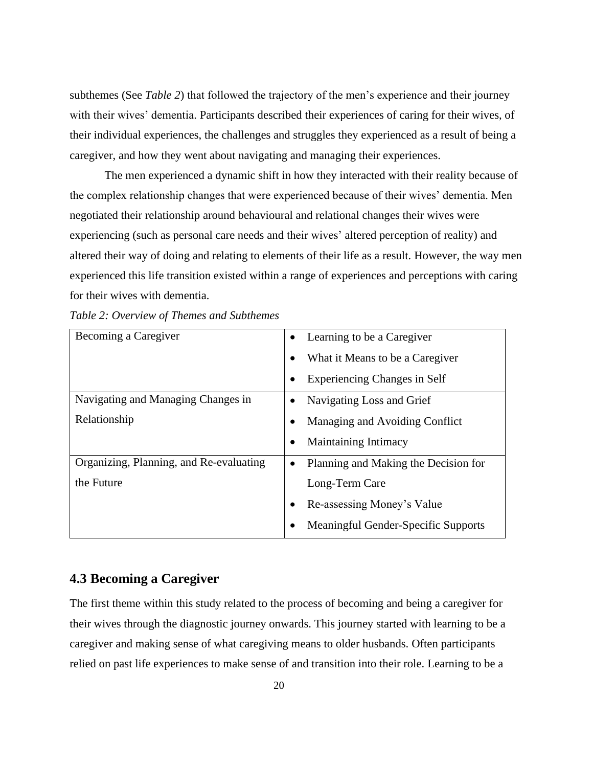subthemes (See *Table 2*) that followed the trajectory of the men's experience and their journey with their wives' dementia. Participants described their experiences of caring for their wives, of their individual experiences, the challenges and struggles they experienced as a result of being a caregiver, and how they went about navigating and managing their experiences.

The men experienced a dynamic shift in how they interacted with their reality because of the complex relationship changes that were experienced because of their wives' dementia. Men negotiated their relationship around behavioural and relational changes their wives were experiencing (such as personal care needs and their wives' altered perception of reality) and altered their way of doing and relating to elements of their life as a result. However, the way men experienced this life transition existed within a range of experiences and perceptions with caring for their wives with dementia.

| (able 2: Overview of Themes and Subthemes |                                                   |
|-------------------------------------------|---------------------------------------------------|
| Becoming a Caregiver                      | Learning to be a Caregiver<br>$\bullet$           |
|                                           | What it Means to be a Caregiver<br>$\bullet$      |
|                                           | <b>Experiencing Changes in Self</b><br>$\bullet$  |
| Navigating and Managing Changes in        | Navigating Loss and Grief<br>$\bullet$            |
| Relationship                              | Managing and Avoiding Conflict                    |
|                                           | <b>Maintaining Intimacy</b><br>$\bullet$          |
| Organizing, Planning, and Re-evaluating   | Planning and Making the Decision for<br>$\bullet$ |
| the Future                                | Long-Term Care                                    |
|                                           | Re-assessing Money's Value                        |
|                                           | <b>Meaningful Gender-Specific Supports</b>        |
|                                           |                                                   |

*Table 2: Overview of Themes and Subthemes*

# **4.3 Becoming a Caregiver**

The first theme within this study related to the process of becoming and being a caregiver for their wives through the diagnostic journey onwards. This journey started with learning to be a caregiver and making sense of what caregiving means to older husbands. Often participants relied on past life experiences to make sense of and transition into their role. Learning to be a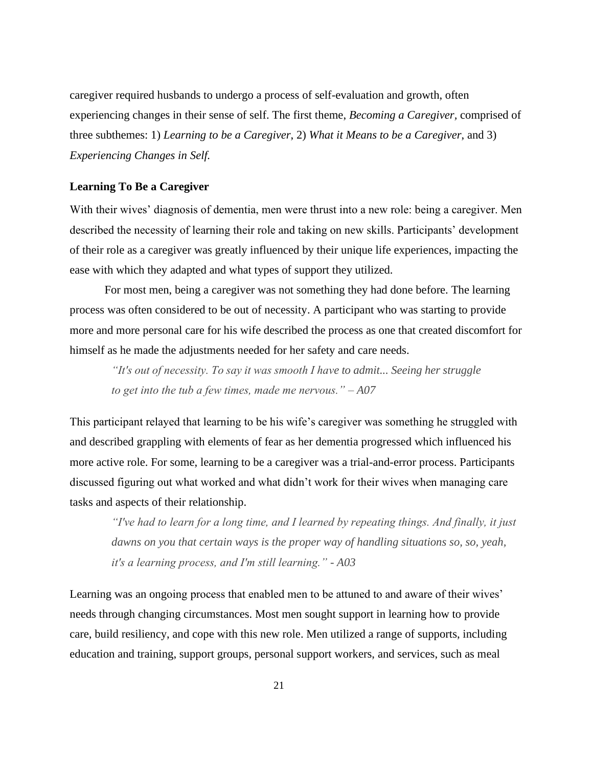caregiver required husbands to undergo a process of self-evaluation and growth, often experiencing changes in their sense of self. The first theme, *Becoming a Caregiver,* comprised of three subthemes: 1) *Learning to be a Caregiver*, 2) *What it Means to be a Caregiver*, and 3) *Experiencing Changes in Self.* 

#### **Learning To Be a Caregiver**

With their wives' diagnosis of dementia, men were thrust into a new role: being a caregiver. Men described the necessity of learning their role and taking on new skills. Participants' development of their role as a caregiver was greatly influenced by their unique life experiences, impacting the ease with which they adapted and what types of support they utilized.

For most men, being a caregiver was not something they had done before. The learning process was often considered to be out of necessity. A participant who was starting to provide more and more personal care for his wife described the process as one that created discomfort for himself as he made the adjustments needed for her safety and care needs.

*"It's out of necessity. To say it was smooth I have to admit... Seeing her struggle to get into the tub a few times, made me nervous." – A07*

This participant relayed that learning to be his wife's caregiver was something he struggled with and described grappling with elements of fear as her dementia progressed which influenced his more active role. For some, learning to be a caregiver was a trial-and-error process. Participants discussed figuring out what worked and what didn't work for their wives when managing care tasks and aspects of their relationship.

*"I've had to learn for a long time, and I learned by repeating things. And finally, it just dawns on you that certain ways is the proper way of handling situations so, so, yeah, it's a learning process, and I'm still learning." - A03*

Learning was an ongoing process that enabled men to be attuned to and aware of their wives' needs through changing circumstances. Most men sought support in learning how to provide care, build resiliency, and cope with this new role. Men utilized a range of supports, including education and training, support groups, personal support workers, and services, such as meal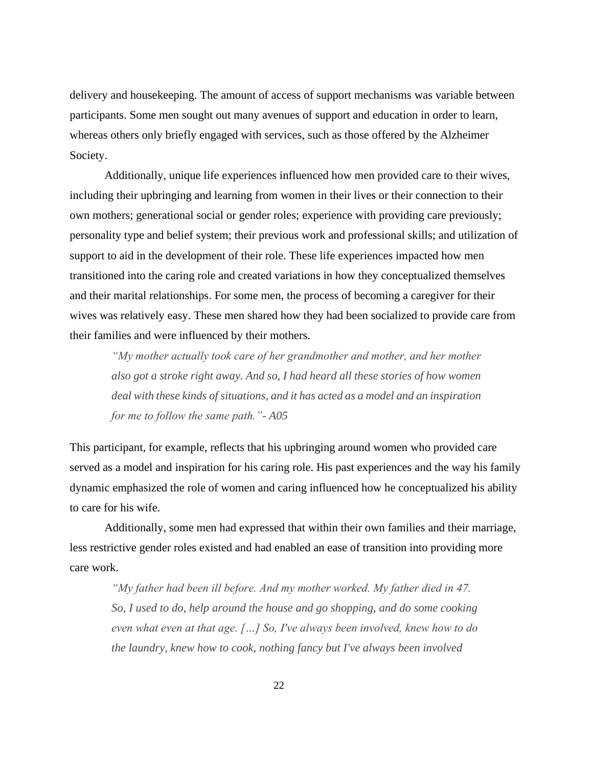delivery and housekeeping. The amount of access of support mechanisms was variable between participants. Some men sought out many avenues of support and education in order to learn, whereas others only briefly engaged with services, such as those offered by the Alzheimer Society.

Additionally, unique life experiences influenced how men provided care to their wives, including their upbringing and learning from women in their lives or their connection to their own mothers; generational social or gender roles; experience with providing care previously; personality type and belief system; their previous work and professional skills; and utilization of support to aid in the development of their role. These life experiences impacted how men transitioned into the caring role and created variations in how they conceptualized themselves and their marital relationships. For some men, the process of becoming a caregiver for their wives was relatively easy. These men shared how they had been socialized to provide care from their families and were influenced by their mothers.

*"My mother actually took care of her grandmother and mother, and her mother also got a stroke right away. And so, I had heard all these stories of how women deal with these kinds of situations, and it has acted as a model and an inspiration for me to follow the same path."- A05*

This participant, for example, reflects that his upbringing around women who provided care served as a model and inspiration for his caring role. His past experiences and the way his family dynamic emphasized the role of women and caring influenced how he conceptualized his ability to care for his wife.

Additionally, some men had expressed that within their own families and their marriage, less restrictive gender roles existed and had enabled an ease of transition into providing more care work.

*"My father had been ill before. And my mother worked. My father died in 47. So, I used to do, help around the house and go shopping, and do some cooking even what even at that age. […] So, I've always been involved, knew how to do the laundry, knew how to cook, nothing fancy but I've always been involved*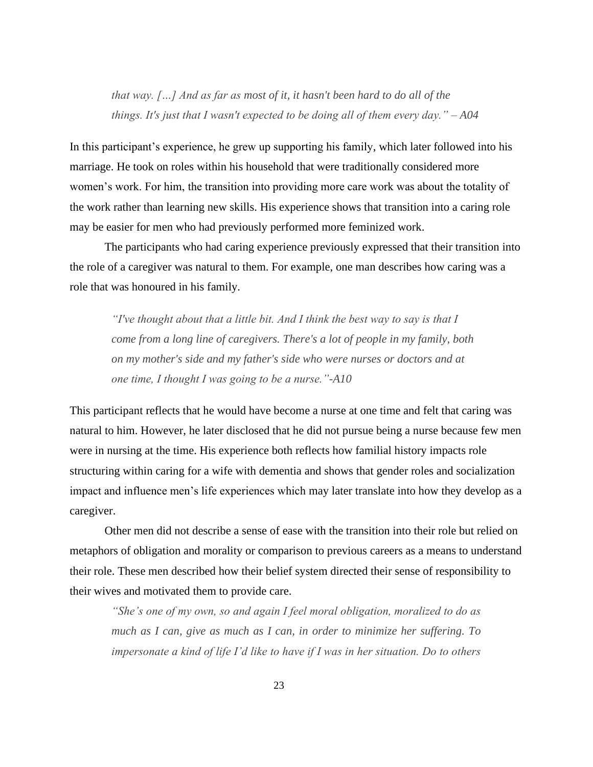*that way. […] And as far as most of it, it hasn't been hard to do all of the things. It's just that I wasn't expected to be doing all of them every day." – A04*

In this participant's experience, he grew up supporting his family, which later followed into his marriage. He took on roles within his household that were traditionally considered more women's work. For him, the transition into providing more care work was about the totality of the work rather than learning new skills. His experience shows that transition into a caring role may be easier for men who had previously performed more feminized work.

The participants who had caring experience previously expressed that their transition into the role of a caregiver was natural to them. For example, one man describes how caring was a role that was honoured in his family.

*"I've thought about that a little bit. And I think the best way to say is that I come from a long line of caregivers. There's a lot of people in my family, both on my mother's side and my father's side who were nurses or doctors and at one time, I thought I was going to be a nurse."-A10*

This participant reflects that he would have become a nurse at one time and felt that caring was natural to him. However, he later disclosed that he did not pursue being a nurse because few men were in nursing at the time. His experience both reflects how familial history impacts role structuring within caring for a wife with dementia and shows that gender roles and socialization impact and influence men's life experiences which may later translate into how they develop as a caregiver.

Other men did not describe a sense of ease with the transition into their role but relied on metaphors of obligation and morality or comparison to previous careers as a means to understand their role. These men described how their belief system directed their sense of responsibility to their wives and motivated them to provide care.

*"She's one of my own, so and again I feel moral obligation, moralized to do as much as I can, give as much as I can, in order to minimize her suffering. To impersonate a kind of life I'd like to have if I was in her situation. Do to others*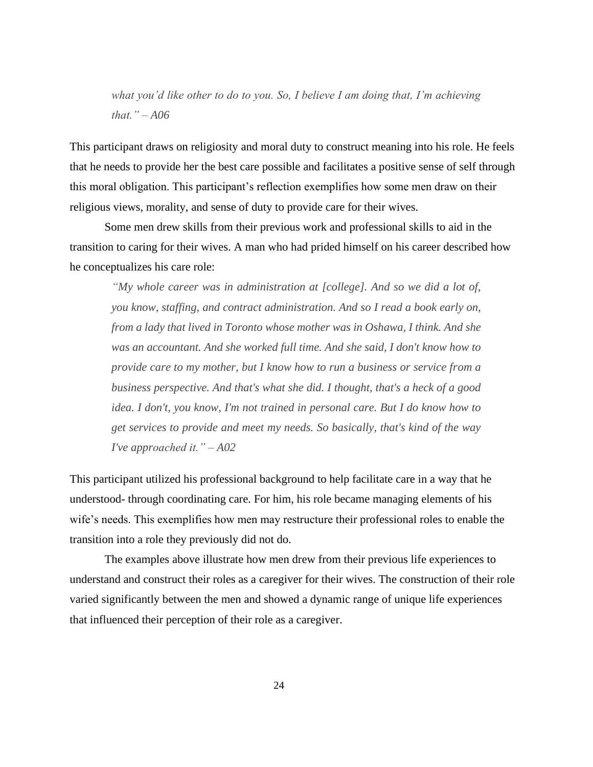*what you'd like other to do to you. So, I believe I am doing that, I'm achieving that." – A06*

This participant draws on religiosity and moral duty to construct meaning into his role. He feels that he needs to provide her the best care possible and facilitates a positive sense of self through this moral obligation. This participant's reflection exemplifies how some men draw on their religious views, morality, and sense of duty to provide care for their wives.

Some men drew skills from their previous work and professional skills to aid in the transition to caring for their wives. A man who had prided himself on his career described how he conceptualizes his care role:

*"My whole career was in administration at [college]. And so we did a lot of, you know, staffing, and contract administration. And so I read a book early on, from a lady that lived in Toronto whose mother was in Oshawa, I think. And she was an accountant. And she worked full time. And she said, I don't know how to provide care to my mother, but I know how to run a business or service from a business perspective. And that's what she did. I thought, that's a heck of a good idea. I don't, you know, I'm not trained in personal care. But I do know how to get services to provide and meet my needs. So basically, that's kind of the way I've approached it." – A02*

This participant utilized his professional background to help facilitate care in a way that he understood- through coordinating care. For him, his role became managing elements of his wife's needs. This exemplifies how men may restructure their professional roles to enable the transition into a role they previously did not do.

The examples above illustrate how men drew from their previous life experiences to understand and construct their roles as a caregiver for their wives. The construction of their role varied significantly between the men and showed a dynamic range of unique life experiences that influenced their perception of their role as a caregiver.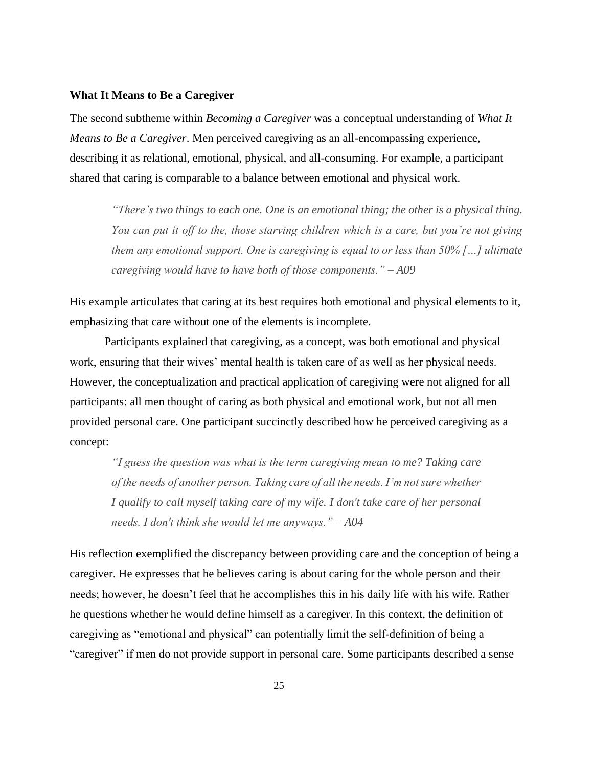#### **What It Means to Be a Caregiver**

The second subtheme within *Becoming a Caregiver* was a conceptual understanding of *What It Means to Be a Caregiver*. Men perceived caregiving as an all-encompassing experience, describing it as relational, emotional, physical, and all-consuming. For example, a participant shared that caring is comparable to a balance between emotional and physical work.

*"There's two things to each one. One is an emotional thing; the other is a physical thing. You can put it off to the, those starving children which is a care, but you're not giving them any emotional support. One is caregiving is equal to or less than 50% […] ultimate caregiving would have to have both of those components." – A09*

His example articulates that caring at its best requires both emotional and physical elements to it, emphasizing that care without one of the elements is incomplete.

Participants explained that caregiving, as a concept, was both emotional and physical work, ensuring that their wives' mental health is taken care of as well as her physical needs. However, the conceptualization and practical application of caregiving were not aligned for all participants: all men thought of caring as both physical and emotional work, but not all men provided personal care. One participant succinctly described how he perceived caregiving as a concept:

*"I guess the question was what is the term caregiving mean to me? Taking care of the needs of another person. Taking care of all the needs. I'm not sure whether I qualify to call myself taking care of my wife. I don't take care of her personal needs. I don't think she would let me anyways." – A04*

His reflection exemplified the discrepancy between providing care and the conception of being a caregiver. He expresses that he believes caring is about caring for the whole person and their needs; however, he doesn't feel that he accomplishes this in his daily life with his wife. Rather he questions whether he would define himself as a caregiver. In this context, the definition of caregiving as "emotional and physical" can potentially limit the self-definition of being a "caregiver" if men do not provide support in personal care. Some participants described a sense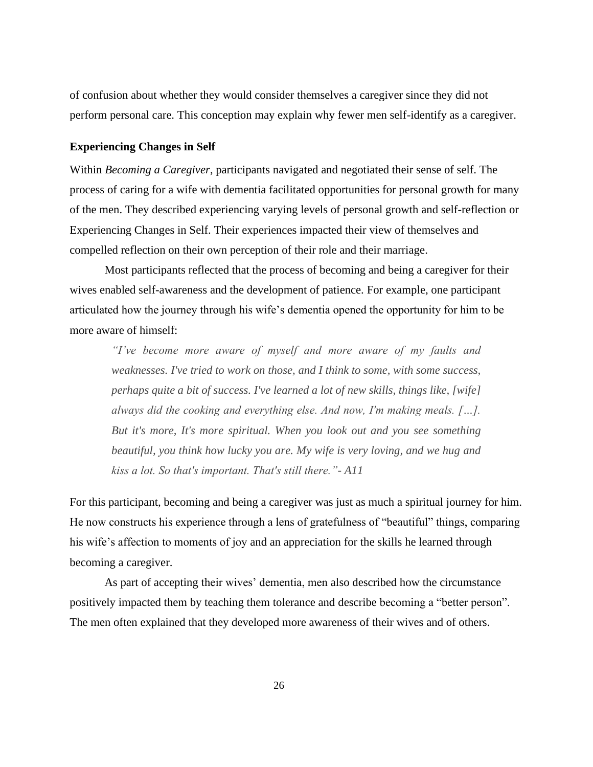of confusion about whether they would consider themselves a caregiver since they did not perform personal care. This conception may explain why fewer men self-identify as a caregiver.

#### **Experiencing Changes in Self**

Within *Becoming a Caregiver*, participants navigated and negotiated their sense of self. The process of caring for a wife with dementia facilitated opportunities for personal growth for many of the men. They described experiencing varying levels of personal growth and self-reflection or Experiencing Changes in Self. Their experiences impacted their view of themselves and compelled reflection on their own perception of their role and their marriage.

Most participants reflected that the process of becoming and being a caregiver for their wives enabled self-awareness and the development of patience. For example, one participant articulated how the journey through his wife's dementia opened the opportunity for him to be more aware of himself:

*"I've become more aware of myself and more aware of my faults and weaknesses. I've tried to work on those, and I think to some, with some success, perhaps quite a bit of success. I've learned a lot of new skills, things like, [wife] always did the cooking and everything else. And now, I'm making meals. […]. But it's more, It's more spiritual. When you look out and you see something beautiful, you think how lucky you are. My wife is very loving, and we hug and kiss a lot. So that's important. That's still there."- A11*

For this participant, becoming and being a caregiver was just as much a spiritual journey for him. He now constructs his experience through a lens of gratefulness of "beautiful" things, comparing his wife's affection to moments of joy and an appreciation for the skills he learned through becoming a caregiver.

As part of accepting their wives' dementia, men also described how the circumstance positively impacted them by teaching them tolerance and describe becoming a "better person". The men often explained that they developed more awareness of their wives and of others.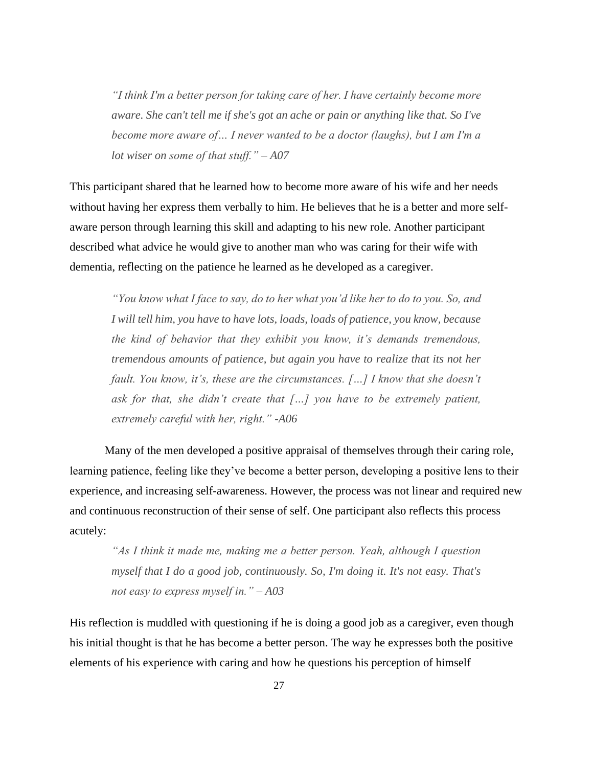*"I think I'm a better person for taking care of her. I have certainly become more aware. She can't tell me if she's got an ache or pain or anything like that. So I've become more aware of… I never wanted to be a doctor (laughs), but I am I'm a lot wiser on some of that stuff." – A07*

This participant shared that he learned how to become more aware of his wife and her needs without having her express them verbally to him. He believes that he is a better and more selfaware person through learning this skill and adapting to his new role. Another participant described what advice he would give to another man who was caring for their wife with dementia, reflecting on the patience he learned as he developed as a caregiver.

*"You know what I face to say, do to her what you'd like her to do to you. So, and I will tell him, you have to have lots, loads, loads of patience, you know, because the kind of behavior that they exhibit you know, it's demands tremendous, tremendous amounts of patience, but again you have to realize that its not her fault. You know, it's, these are the circumstances. […] I know that she doesn't ask for that, she didn't create that […] you have to be extremely patient, extremely careful with her, right." -A06*

Many of the men developed a positive appraisal of themselves through their caring role, learning patience, feeling like they've become a better person, developing a positive lens to their experience, and increasing self-awareness. However, the process was not linear and required new and continuous reconstruction of their sense of self. One participant also reflects this process acutely:

*"As I think it made me, making me a better person. Yeah, although I question myself that I do a good job, continuously. So, I'm doing it. It's not easy. That's not easy to express myself in." – A03*

His reflection is muddled with questioning if he is doing a good job as a caregiver, even though his initial thought is that he has become a better person. The way he expresses both the positive elements of his experience with caring and how he questions his perception of himself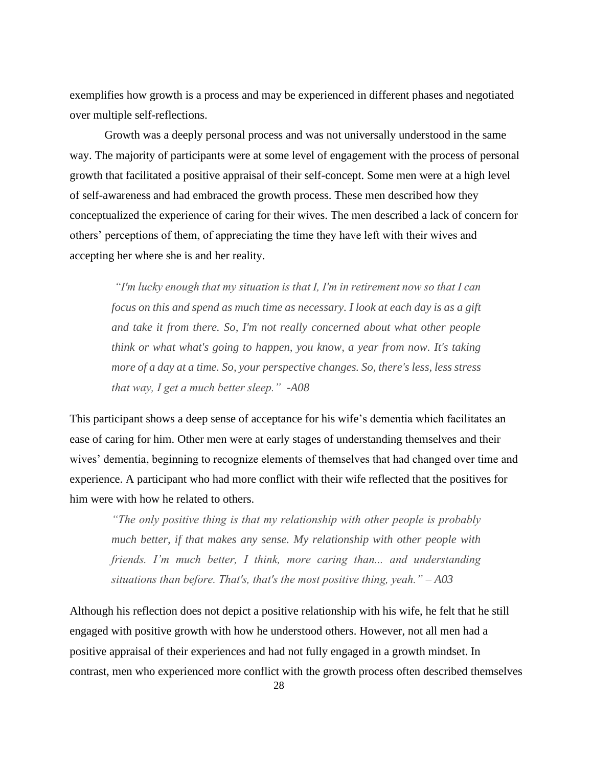exemplifies how growth is a process and may be experienced in different phases and negotiated over multiple self-reflections.

Growth was a deeply personal process and was not universally understood in the same way. The majority of participants were at some level of engagement with the process of personal growth that facilitated a positive appraisal of their self-concept. Some men were at a high level of self-awareness and had embraced the growth process. These men described how they conceptualized the experience of caring for their wives. The men described a lack of concern for others' perceptions of them, of appreciating the time they have left with their wives and accepting her where she is and her reality.

*"I'm lucky enough that my situation is that I, I'm in retirement now so that I can focus on this and spend as much time as necessary. I look at each day is as a gift and take it from there. So, I'm not really concerned about what other people think or what what's going to happen, you know, a year from now. It's taking more of a day at a time. So, your perspective changes. So, there's less, less stress that way, I get a much better sleep." -A08*

This participant shows a deep sense of acceptance for his wife's dementia which facilitates an ease of caring for him. Other men were at early stages of understanding themselves and their wives' dementia, beginning to recognize elements of themselves that had changed over time and experience. A participant who had more conflict with their wife reflected that the positives for him were with how he related to others.

*"The only positive thing is that my relationship with other people is probably much better, if that makes any sense. My relationship with other people with friends. I'm much better, I think, more caring than... and understanding situations than before. That's, that's the most positive thing, yeah." – A03*

Although his reflection does not depict a positive relationship with his wife, he felt that he still engaged with positive growth with how he understood others. However, not all men had a positive appraisal of their experiences and had not fully engaged in a growth mindset. In contrast, men who experienced more conflict with the growth process often described themselves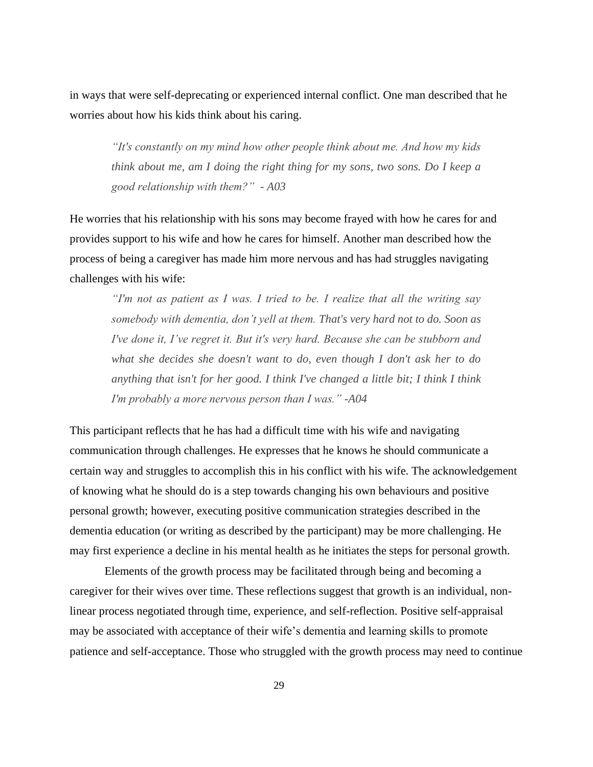in ways that were self-deprecating or experienced internal conflict. One man described that he worries about how his kids think about his caring.

*"It's constantly on my mind how other people think about me. And how my kids think about me, am I doing the right thing for my sons, two sons. Do I keep a good relationship with them?" - A03*

He worries that his relationship with his sons may become frayed with how he cares for and provides support to his wife and how he cares for himself. Another man described how the process of being a caregiver has made him more nervous and has had struggles navigating challenges with his wife:

*"I'm not as patient as I was. I tried to be. I realize that all the writing say somebody with dementia, don't yell at them. That's very hard not to do. Soon as I've done it, I've regret it. But it's very hard. Because she can be stubborn and what she decides she doesn't want to do, even though I don't ask her to do anything that isn't for her good. I think I've changed a little bit; I think I think I'm probably a more nervous person than I was." -A04*

This participant reflects that he has had a difficult time with his wife and navigating communication through challenges. He expresses that he knows he should communicate a certain way and struggles to accomplish this in his conflict with his wife. The acknowledgement of knowing what he should do is a step towards changing his own behaviours and positive personal growth; however, executing positive communication strategies described in the dementia education (or writing as described by the participant) may be more challenging. He may first experience a decline in his mental health as he initiates the steps for personal growth.

Elements of the growth process may be facilitated through being and becoming a caregiver for their wives over time. These reflections suggest that growth is an individual, nonlinear process negotiated through time, experience, and self-reflection. Positive self-appraisal may be associated with acceptance of their wife's dementia and learning skills to promote patience and self-acceptance. Those who struggled with the growth process may need to continue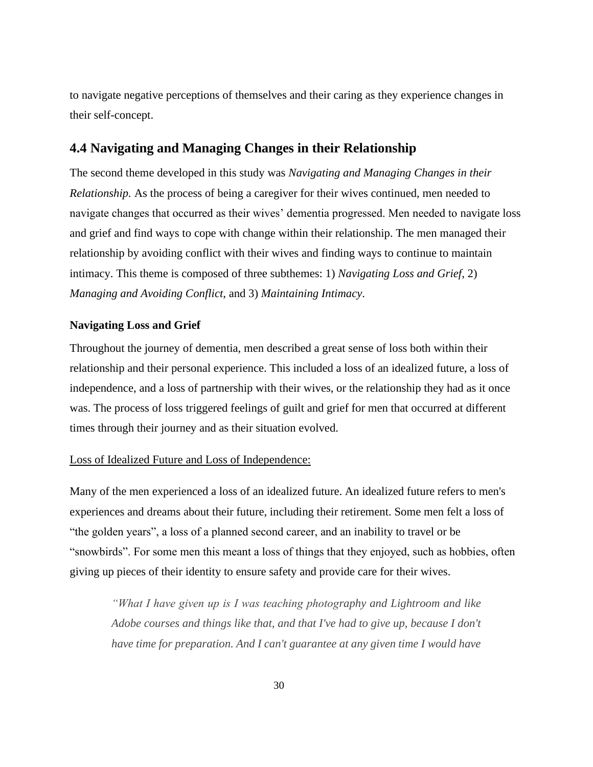to navigate negative perceptions of themselves and their caring as they experience changes in their self-concept.

# **4.4 Navigating and Managing Changes in their Relationship**

The second theme developed in this study was *Navigating and Managing Changes in their Relationship.* As the process of being a caregiver for their wives continued, men needed to navigate changes that occurred as their wives' dementia progressed. Men needed to navigate loss and grief and find ways to cope with change within their relationship. The men managed their relationship by avoiding conflict with their wives and finding ways to continue to maintain intimacy. This theme is composed of three subthemes: 1) *Navigating Loss and Grief*, 2) *Managing and Avoiding Conflict*, and 3) *Maintaining Intimacy*.

### **Navigating Loss and Grief**

Throughout the journey of dementia, men described a great sense of loss both within their relationship and their personal experience. This included a loss of an idealized future, a loss of independence, and a loss of partnership with their wives, or the relationship they had as it once was. The process of loss triggered feelings of guilt and grief for men that occurred at different times through their journey and as their situation evolved.

### Loss of Idealized Future and Loss of Independence:

Many of the men experienced a loss of an idealized future. An idealized future refers to men's experiences and dreams about their future, including their retirement. Some men felt a loss of "the golden years", a loss of a planned second career, and an inability to travel or be "snowbirds". For some men this meant a loss of things that they enjoyed, such as hobbies, often giving up pieces of their identity to ensure safety and provide care for their wives.

*"What I have given up is I was teaching photography and Lightroom and like Adobe courses and things like that, and that I've had to give up, because I don't have time for preparation. And I can't guarantee at any given time I would have*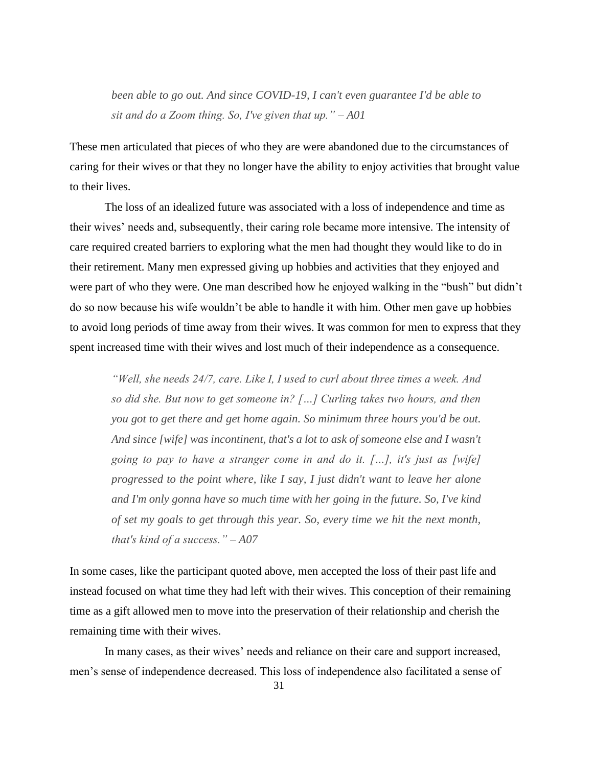*been able to go out. And since COVID-19, I can't even guarantee I'd be able to sit and do a Zoom thing. So, I've given that up." – A01*

These men articulated that pieces of who they are were abandoned due to the circumstances of caring for their wives or that they no longer have the ability to enjoy activities that brought value to their lives.

The loss of an idealized future was associated with a loss of independence and time as their wives' needs and, subsequently, their caring role became more intensive. The intensity of care required created barriers to exploring what the men had thought they would like to do in their retirement. Many men expressed giving up hobbies and activities that they enjoyed and were part of who they were. One man described how he enjoyed walking in the "bush" but didn't do so now because his wife wouldn't be able to handle it with him. Other men gave up hobbies to avoid long periods of time away from their wives. It was common for men to express that they spent increased time with their wives and lost much of their independence as a consequence.

*"Well, she needs 24/7, care. Like I, I used to curl about three times a week. And so did she. But now to get someone in? […] Curling takes two hours, and then you got to get there and get home again. So minimum three hours you'd be out. And since [wife] was incontinent, that's a lot to ask of someone else and I wasn't going to pay to have a stranger come in and do it. […], it's just as [wife] progressed to the point where, like I say, I just didn't want to leave her alone and I'm only gonna have so much time with her going in the future. So, I've kind of set my goals to get through this year. So, every time we hit the next month, that's kind of a success." – A07*

In some cases, like the participant quoted above, men accepted the loss of their past life and instead focused on what time they had left with their wives. This conception of their remaining time as a gift allowed men to move into the preservation of their relationship and cherish the remaining time with their wives.

In many cases, as their wives' needs and reliance on their care and support increased, men's sense of independence decreased. This loss of independence also facilitated a sense of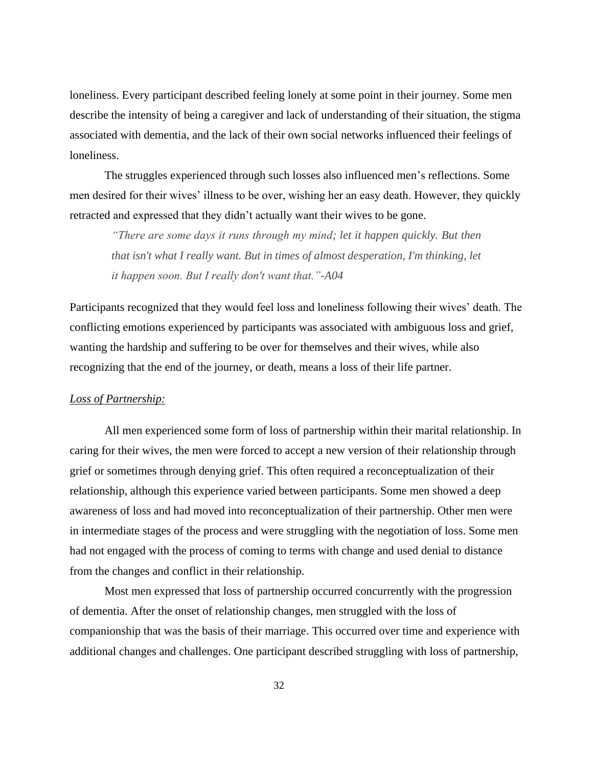loneliness. Every participant described feeling lonely at some point in their journey. Some men describe the intensity of being a caregiver and lack of understanding of their situation, the stigma associated with dementia, and the lack of their own social networks influenced their feelings of loneliness.

The struggles experienced through such losses also influenced men's reflections. Some men desired for their wives' illness to be over, wishing her an easy death. However, they quickly retracted and expressed that they didn't actually want their wives to be gone.

*"There are some days it runs through my mind; let it happen quickly. But then that isn't what I really want. But in times of almost desperation, I'm thinking, let it happen soon. But I really don't want that."-A04*

Participants recognized that they would feel loss and loneliness following their wives' death. The conflicting emotions experienced by participants was associated with ambiguous loss and grief, wanting the hardship and suffering to be over for themselves and their wives, while also recognizing that the end of the journey, or death, means a loss of their life partner.

#### *Loss of Partnership:*

All men experienced some form of loss of partnership within their marital relationship. In caring for their wives, the men were forced to accept a new version of their relationship through grief or sometimes through denying grief. This often required a reconceptualization of their relationship, although this experience varied between participants. Some men showed a deep awareness of loss and had moved into reconceptualization of their partnership. Other men were in intermediate stages of the process and were struggling with the negotiation of loss. Some men had not engaged with the process of coming to terms with change and used denial to distance from the changes and conflict in their relationship.

Most men expressed that loss of partnership occurred concurrently with the progression of dementia. After the onset of relationship changes, men struggled with the loss of companionship that was the basis of their marriage. This occurred over time and experience with additional changes and challenges. One participant described struggling with loss of partnership,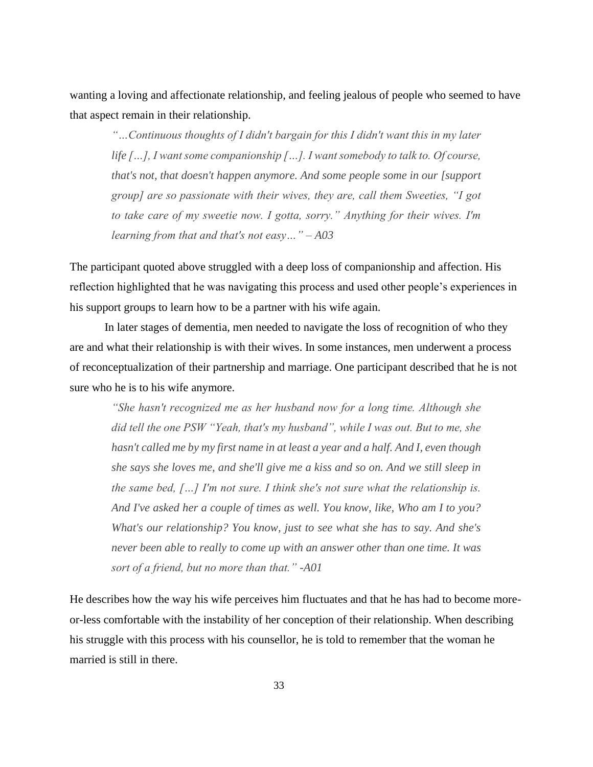wanting a loving and affectionate relationship, and feeling jealous of people who seemed to have that aspect remain in their relationship.

*"…Continuous thoughts of I didn't bargain for this I didn't want this in my later life […], I want some companionship […]. I want somebody to talk to. Of course, that's not, that doesn't happen anymore. And some people some in our [support group] are so passionate with their wives, they are, call them Sweeties, "I got to take care of my sweetie now. I gotta, sorry." Anything for their wives. I'm learning from that and that's not easy…" – A03*

The participant quoted above struggled with a deep loss of companionship and affection. His reflection highlighted that he was navigating this process and used other people's experiences in his support groups to learn how to be a partner with his wife again.

In later stages of dementia, men needed to navigate the loss of recognition of who they are and what their relationship is with their wives. In some instances, men underwent a process of reconceptualization of their partnership and marriage. One participant described that he is not sure who he is to his wife anymore.

*"She hasn't recognized me as her husband now for a long time. Although she did tell the one PSW "Yeah, that's my husband", while I was out. But to me, she hasn't called me by my first name in at least a year and a half. And I, even though she says she loves me, and she'll give me a kiss and so on. And we still sleep in the same bed, […] I'm not sure. I think she's not sure what the relationship is. And I've asked her a couple of times as well. You know, like, Who am I to you? What's our relationship? You know, just to see what she has to say. And she's never been able to really to come up with an answer other than one time. It was sort of a friend, but no more than that." -A01*

He describes how the way his wife perceives him fluctuates and that he has had to become moreor-less comfortable with the instability of her conception of their relationship. When describing his struggle with this process with his counsellor, he is told to remember that the woman he married is still in there.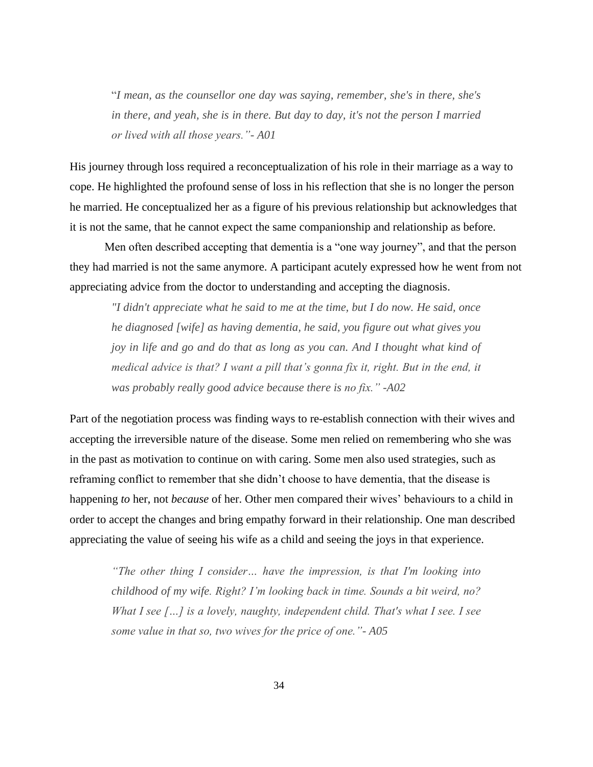"*I mean, as the counsellor one day was saying, remember, she's in there, she's in there, and yeah, she is in there. But day to day, it's not the person I married or lived with all those years."- A01*

His journey through loss required a reconceptualization of his role in their marriage as a way to cope. He highlighted the profound sense of loss in his reflection that she is no longer the person he married. He conceptualized her as a figure of his previous relationship but acknowledges that it is not the same, that he cannot expect the same companionship and relationship as before.

Men often described accepting that dementia is a "one way journey", and that the person they had married is not the same anymore. A participant acutely expressed how he went from not appreciating advice from the doctor to understanding and accepting the diagnosis.

*"I didn't appreciate what he said to me at the time, but I do now. He said, once he diagnosed [wife] as having dementia, he said, you figure out what gives you joy in life and go and do that as long as you can. And I thought what kind of medical advice is that? I want a pill that's gonna fix it, right. But in the end, it was probably really good advice because there is no fix." -A02*

Part of the negotiation process was finding ways to re-establish connection with their wives and accepting the irreversible nature of the disease. Some men relied on remembering who she was in the past as motivation to continue on with caring. Some men also used strategies, such as reframing conflict to remember that she didn't choose to have dementia, that the disease is happening *to* her, not *because* of her. Other men compared their wives' behaviours to a child in order to accept the changes and bring empathy forward in their relationship. One man described appreciating the value of seeing his wife as a child and seeing the joys in that experience.

*"The other thing I consider… have the impression, is that I'm looking into childhood of my wife. Right? I'm looking back in time. Sounds a bit weird, no? What I see […] is a lovely, naughty, independent child. That's what I see. I see some value in that so, two wives for the price of one."- A05*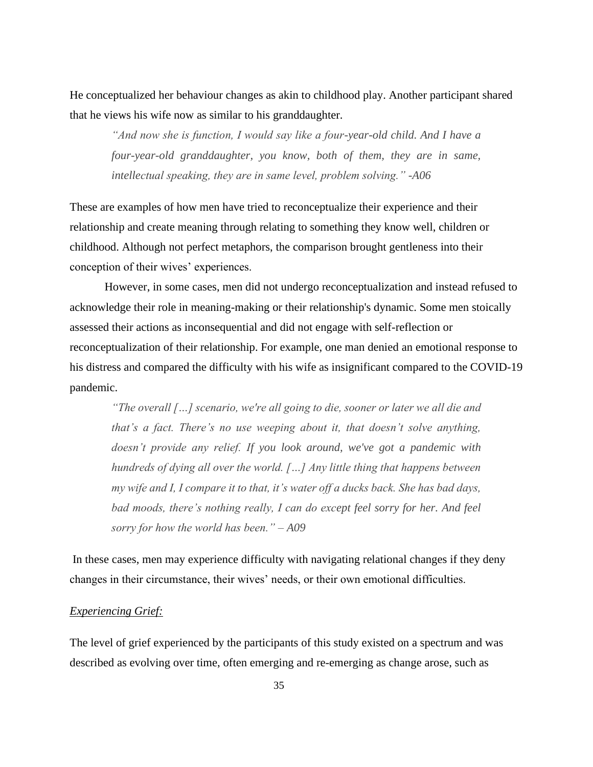He conceptualized her behaviour changes as akin to childhood play. Another participant shared that he views his wife now as similar to his granddaughter.

*"And now she is function, I would say like a four-year-old child. And I have a four-year-old granddaughter, you know, both of them, they are in same, intellectual speaking, they are in same level, problem solving." -A06*

These are examples of how men have tried to reconceptualize their experience and their relationship and create meaning through relating to something they know well, children or childhood. Although not perfect metaphors, the comparison brought gentleness into their conception of their wives' experiences.

However, in some cases, men did not undergo reconceptualization and instead refused to acknowledge their role in meaning-making or their relationship's dynamic. Some men stoically assessed their actions as inconsequential and did not engage with self-reflection or reconceptualization of their relationship. For example, one man denied an emotional response to his distress and compared the difficulty with his wife as insignificant compared to the COVID-19 pandemic.

*"The overall […] scenario, we're all going to die, sooner or later we all die and that's a fact. There's no use weeping about it, that doesn't solve anything, doesn't provide any relief. If you look around, we've got a pandemic with hundreds of dying all over the world. […] Any little thing that happens between my wife and I, I compare it to that, it's water off a ducks back. She has bad days, bad moods, there's nothing really, I can do except feel sorry for her. And feel sorry for how the world has been." – A09*

In these cases, men may experience difficulty with navigating relational changes if they deny changes in their circumstance, their wives' needs, or their own emotional difficulties.

#### *Experiencing Grief:*

The level of grief experienced by the participants of this study existed on a spectrum and was described as evolving over time, often emerging and re-emerging as change arose, such as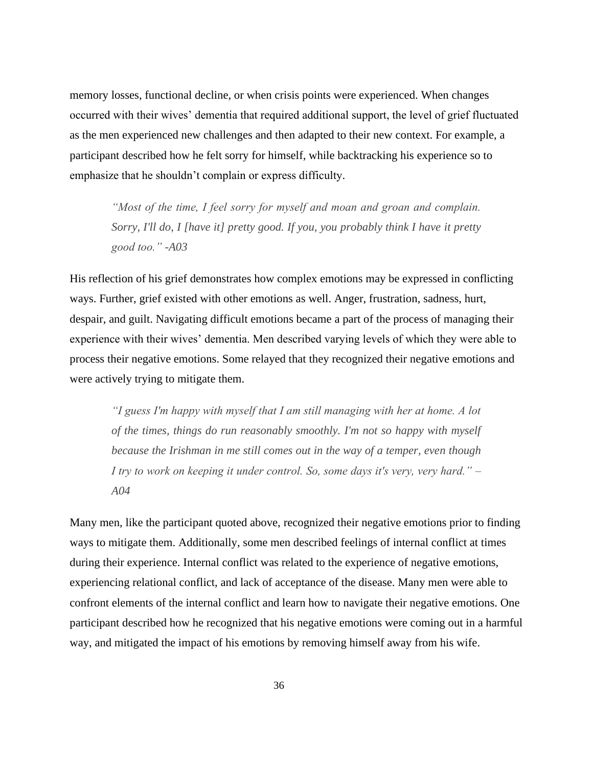memory losses, functional decline, or when crisis points were experienced. When changes occurred with their wives' dementia that required additional support, the level of grief fluctuated as the men experienced new challenges and then adapted to their new context. For example, a participant described how he felt sorry for himself, while backtracking his experience so to emphasize that he shouldn't complain or express difficulty.

*"Most of the time, I feel sorry for myself and moan and groan and complain. Sorry, I'll do, I [have it] pretty good. If you, you probably think I have it pretty good too." -A03*

His reflection of his grief demonstrates how complex emotions may be expressed in conflicting ways. Further, grief existed with other emotions as well. Anger, frustration, sadness, hurt, despair, and guilt. Navigating difficult emotions became a part of the process of managing their experience with their wives' dementia. Men described varying levels of which they were able to process their negative emotions. Some relayed that they recognized their negative emotions and were actively trying to mitigate them.

*"I guess I'm happy with myself that I am still managing with her at home. A lot of the times, things do run reasonably smoothly. I'm not so happy with myself because the Irishman in me still comes out in the way of a temper, even though I try to work on keeping it under control. So, some days it's very, very hard." – A04*

Many men, like the participant quoted above, recognized their negative emotions prior to finding ways to mitigate them. Additionally, some men described feelings of internal conflict at times during their experience. Internal conflict was related to the experience of negative emotions, experiencing relational conflict, and lack of acceptance of the disease. Many men were able to confront elements of the internal conflict and learn how to navigate their negative emotions. One participant described how he recognized that his negative emotions were coming out in a harmful way, and mitigated the impact of his emotions by removing himself away from his wife.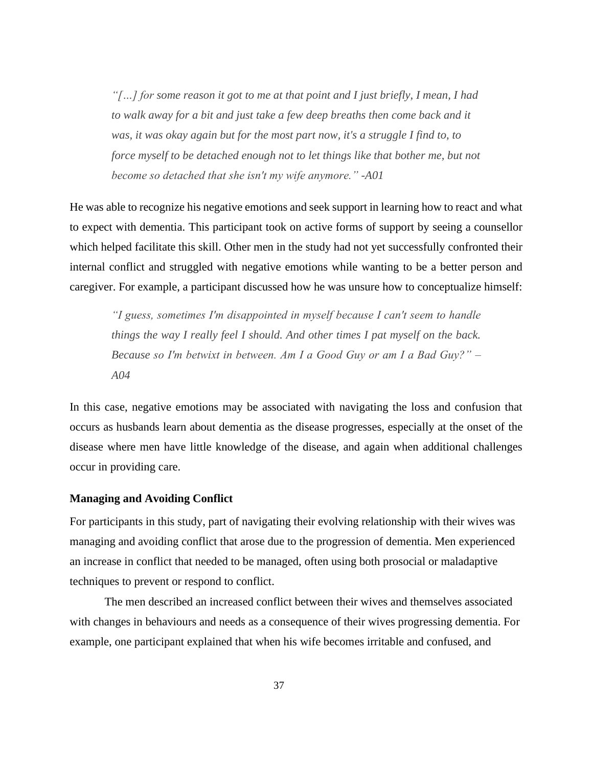*"[…] for some reason it got to me at that point and I just briefly, I mean, I had to walk away for a bit and just take a few deep breaths then come back and it was, it was okay again but for the most part now, it's a struggle I find to, to force myself to be detached enough not to let things like that bother me, but not become so detached that she isn't my wife anymore." -A01*

He was able to recognize his negative emotions and seek support in learning how to react and what to expect with dementia. This participant took on active forms of support by seeing a counsellor which helped facilitate this skill. Other men in the study had not yet successfully confronted their internal conflict and struggled with negative emotions while wanting to be a better person and caregiver. For example, a participant discussed how he was unsure how to conceptualize himself:

*"I guess, sometimes I'm disappointed in myself because I can't seem to handle things the way I really feel I should. And other times I pat myself on the back. Because so I'm betwixt in between. Am I a Good Guy or am I a Bad Guy?" – A04*

In this case, negative emotions may be associated with navigating the loss and confusion that occurs as husbands learn about dementia as the disease progresses, especially at the onset of the disease where men have little knowledge of the disease, and again when additional challenges occur in providing care.

#### **Managing and Avoiding Conflict**

For participants in this study, part of navigating their evolving relationship with their wives was managing and avoiding conflict that arose due to the progression of dementia. Men experienced an increase in conflict that needed to be managed, often using both prosocial or maladaptive techniques to prevent or respond to conflict.

The men described an increased conflict between their wives and themselves associated with changes in behaviours and needs as a consequence of their wives progressing dementia. For example, one participant explained that when his wife becomes irritable and confused, and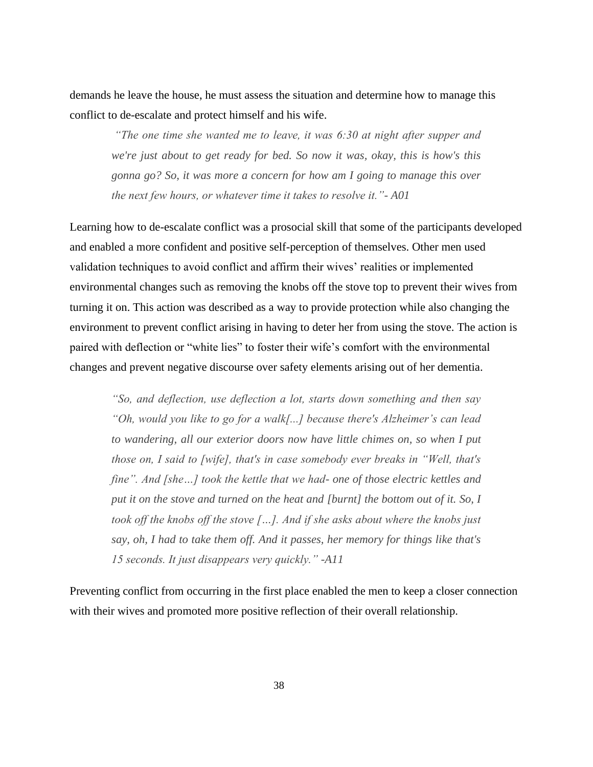demands he leave the house, he must assess the situation and determine how to manage this conflict to de-escalate and protect himself and his wife.

*"The one time she wanted me to leave, it was 6:30 at night after supper and we're just about to get ready for bed. So now it was, okay, this is how's this gonna go? So, it was more a concern for how am I going to manage this over the next few hours, or whatever time it takes to resolve it."- A01*

Learning how to de-escalate conflict was a prosocial skill that some of the participants developed and enabled a more confident and positive self-perception of themselves. Other men used validation techniques to avoid conflict and affirm their wives' realities or implemented environmental changes such as removing the knobs off the stove top to prevent their wives from turning it on. This action was described as a way to provide protection while also changing the environment to prevent conflict arising in having to deter her from using the stove. The action is paired with deflection or "white lies" to foster their wife's comfort with the environmental changes and prevent negative discourse over safety elements arising out of her dementia.

*"So, and deflection, use deflection a lot, starts down something and then say "Oh, would you like to go for a walk[...] because there's Alzheimer's can lead to wandering, all our exterior doors now have little chimes on, so when I put those on, I said to [wife], that's in case somebody ever breaks in "Well, that's fine". And [she…] took the kettle that we had- one of those electric kettles and put it on the stove and turned on the heat and [burnt] the bottom out of it. So, I took off the knobs off the stove […]. And if she asks about where the knobs just say, oh, I had to take them off. And it passes, her memory for things like that's 15 seconds. It just disappears very quickly." -A11*

Preventing conflict from occurring in the first place enabled the men to keep a closer connection with their wives and promoted more positive reflection of their overall relationship.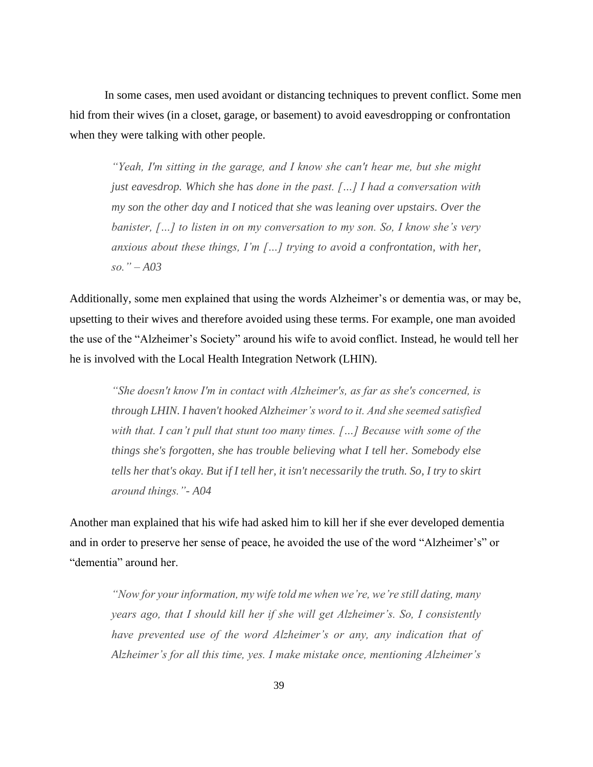In some cases, men used avoidant or distancing techniques to prevent conflict. Some men hid from their wives (in a closet, garage, or basement) to avoid eavesdropping or confrontation when they were talking with other people.

*"Yeah, I'm sitting in the garage, and I know she can't hear me, but she might just eavesdrop. Which she has done in the past. […] I had a conversation with my son the other day and I noticed that she was leaning over upstairs. Over the banister, […] to listen in on my conversation to my son. So, I know she's very anxious about these things, I'm […] trying to avoid a confrontation, with her, so." – A03*

Additionally, some men explained that using the words Alzheimer's or dementia was, or may be, upsetting to their wives and therefore avoided using these terms. For example, one man avoided the use of the "Alzheimer's Society" around his wife to avoid conflict. Instead, he would tell her he is involved with the Local Health Integration Network (LHIN).

*"She doesn't know I'm in contact with Alzheimer's, as far as she's concerned, is through LHIN. I haven't hooked Alzheimer's word to it. And she seemed satisfied with that. I can't pull that stunt too many times. […] Because with some of the things she's forgotten, she has trouble believing what I tell her. Somebody else tells her that's okay. But if I tell her, it isn't necessarily the truth. So, I try to skirt around things."- A04*

Another man explained that his wife had asked him to kill her if she ever developed dementia and in order to preserve her sense of peace, he avoided the use of the word "Alzheimer's" or "dementia" around her.

*"Now for your information, my wife told me when we're, we're still dating, many years ago, that I should kill her if she will get Alzheimer's. So, I consistently have prevented use of the word Alzheimer's or any, any indication that of Alzheimer's for all this time, yes. I make mistake once, mentioning Alzheimer's*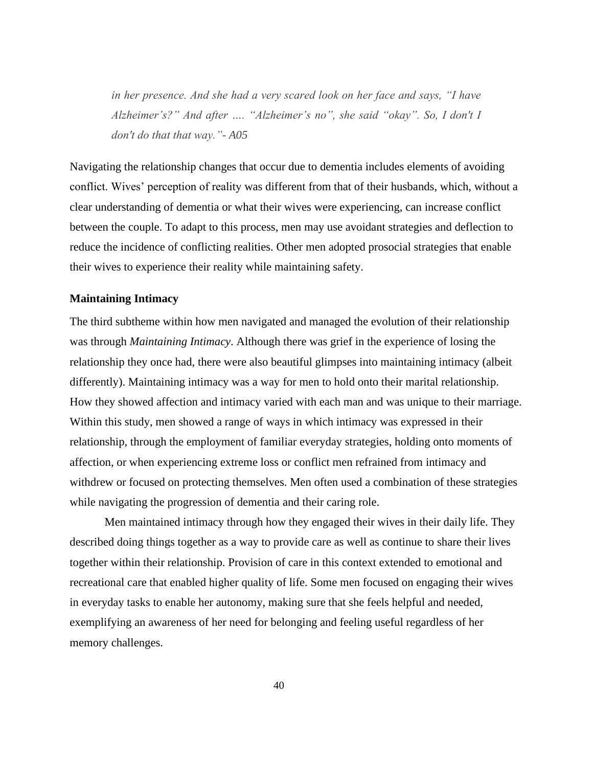*in her presence. And she had a very scared look on her face and says, "I have Alzheimer's?" And after …. "Alzheimer's no", she said "okay". So, I don't I don't do that that way."- A05*

Navigating the relationship changes that occur due to dementia includes elements of avoiding conflict. Wives' perception of reality was different from that of their husbands, which, without a clear understanding of dementia or what their wives were experiencing, can increase conflict between the couple. To adapt to this process, men may use avoidant strategies and deflection to reduce the incidence of conflicting realities. Other men adopted prosocial strategies that enable their wives to experience their reality while maintaining safety.

#### **Maintaining Intimacy**

The third subtheme within how men navigated and managed the evolution of their relationship was through *Maintaining Intimacy*. Although there was grief in the experience of losing the relationship they once had, there were also beautiful glimpses into maintaining intimacy (albeit differently). Maintaining intimacy was a way for men to hold onto their marital relationship. How they showed affection and intimacy varied with each man and was unique to their marriage. Within this study, men showed a range of ways in which intimacy was expressed in their relationship, through the employment of familiar everyday strategies, holding onto moments of affection, or when experiencing extreme loss or conflict men refrained from intimacy and withdrew or focused on protecting themselves. Men often used a combination of these strategies while navigating the progression of dementia and their caring role.

Men maintained intimacy through how they engaged their wives in their daily life. They described doing things together as a way to provide care as well as continue to share their lives together within their relationship. Provision of care in this context extended to emotional and recreational care that enabled higher quality of life. Some men focused on engaging their wives in everyday tasks to enable her autonomy, making sure that she feels helpful and needed, exemplifying an awareness of her need for belonging and feeling useful regardless of her memory challenges.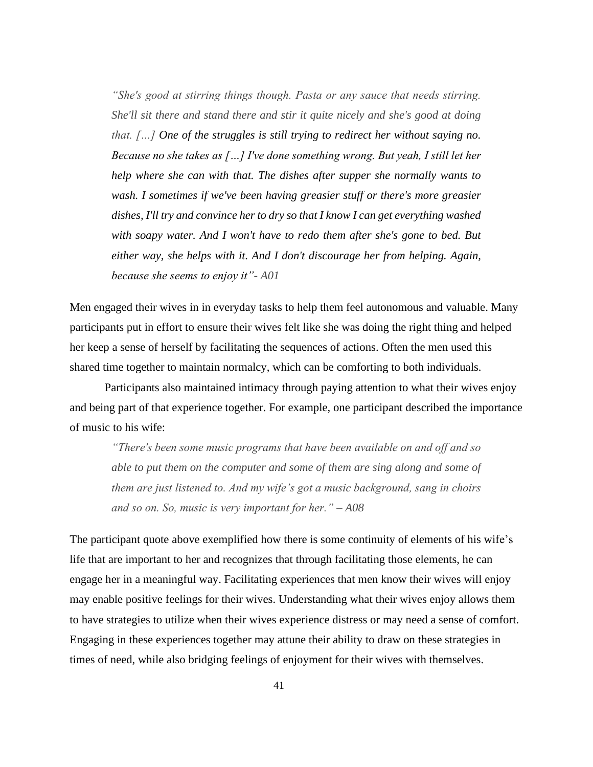*"She's good at stirring things though. Pasta or any sauce that needs stirring. She'll sit there and stand there and stir it quite nicely and she's good at doing that. […] One of the struggles is still trying to redirect her without saying no. Because no she takes as […] I've done something wrong. But yeah, I still let her help where she can with that. The dishes after supper she normally wants to wash. I sometimes if we've been having greasier stuff or there's more greasier dishes, I'll try and convince her to dry so that I know I can get everything washed with soapy water. And I won't have to redo them after she's gone to bed. But either way, she helps with it. And I don't discourage her from helping. Again, because she seems to enjoy it"- A01*

Men engaged their wives in in everyday tasks to help them feel autonomous and valuable. Many participants put in effort to ensure their wives felt like she was doing the right thing and helped her keep a sense of herself by facilitating the sequences of actions. Often the men used this shared time together to maintain normalcy, which can be comforting to both individuals.

Participants also maintained intimacy through paying attention to what their wives enjoy and being part of that experience together. For example, one participant described the importance of music to his wife:

*"There's been some music programs that have been available on and off and so able to put them on the computer and some of them are sing along and some of them are just listened to. And my wife's got a music background, sang in choirs and so on. So, music is very important for her." – A08*

The participant quote above exemplified how there is some continuity of elements of his wife's life that are important to her and recognizes that through facilitating those elements, he can engage her in a meaningful way. Facilitating experiences that men know their wives will enjoy may enable positive feelings for their wives. Understanding what their wives enjoy allows them to have strategies to utilize when their wives experience distress or may need a sense of comfort. Engaging in these experiences together may attune their ability to draw on these strategies in times of need, while also bridging feelings of enjoyment for their wives with themselves.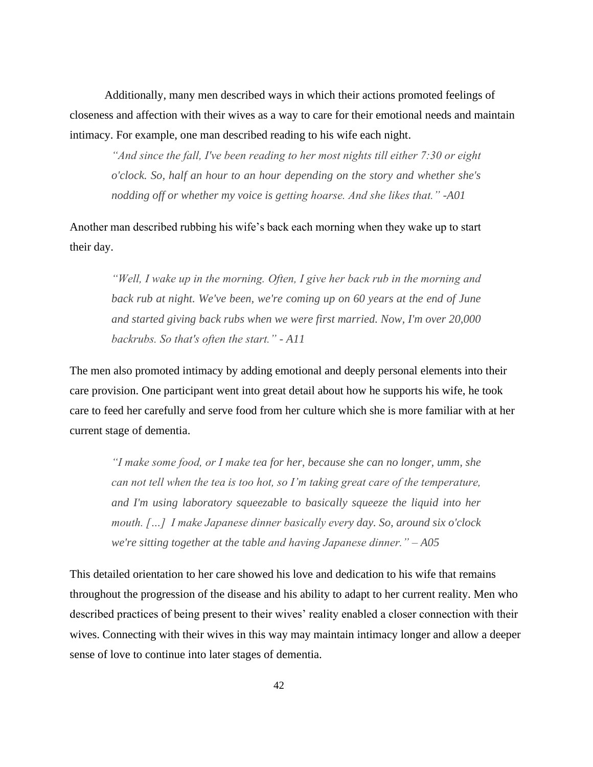Additionally, many men described ways in which their actions promoted feelings of closeness and affection with their wives as a way to care for their emotional needs and maintain intimacy. For example, one man described reading to his wife each night.

*"And since the fall, I've been reading to her most nights till either 7:30 or eight o'clock. So, half an hour to an hour depending on the story and whether she's nodding off or whether my voice is getting hoarse. And she likes that." -A01*

Another man described rubbing his wife's back each morning when they wake up to start their day.

*"Well, I wake up in the morning. Often, I give her back rub in the morning and back rub at night. We've been, we're coming up on 60 years at the end of June and started giving back rubs when we were first married. Now, I'm over 20,000 backrubs. So that's often the start." - A11*

The men also promoted intimacy by adding emotional and deeply personal elements into their care provision. One participant went into great detail about how he supports his wife, he took care to feed her carefully and serve food from her culture which she is more familiar with at her current stage of dementia.

*"I make some food, or I make tea for her, because she can no longer, umm, she can not tell when the tea is too hot, so I'm taking great care of the temperature, and I'm using laboratory squeezable to basically squeeze the liquid into her mouth. […] I make Japanese dinner basically every day. So, around six o'clock we're sitting together at the table and having Japanese dinner." – A05*

This detailed orientation to her care showed his love and dedication to his wife that remains throughout the progression of the disease and his ability to adapt to her current reality. Men who described practices of being present to their wives' reality enabled a closer connection with their wives. Connecting with their wives in this way may maintain intimacy longer and allow a deeper sense of love to continue into later stages of dementia.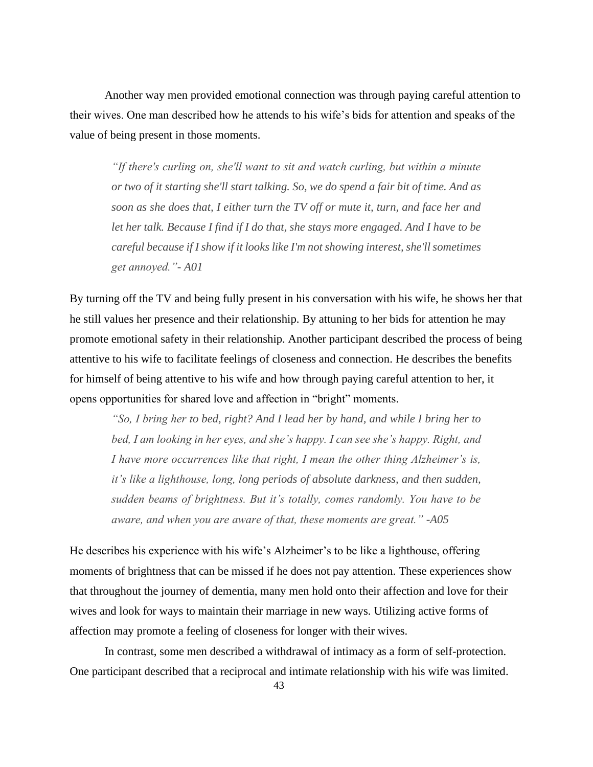Another way men provided emotional connection was through paying careful attention to their wives. One man described how he attends to his wife's bids for attention and speaks of the value of being present in those moments.

*"If there's curling on, she'll want to sit and watch curling, but within a minute or two of it starting she'll start talking. So, we do spend a fair bit of time. And as soon as she does that, I either turn the TV off or mute it, turn, and face her and let her talk. Because I find if I do that, she stays more engaged. And I have to be careful because if I show if it looks like I'm not showing interest, she'll sometimes get annoyed."- A01*

By turning off the TV and being fully present in his conversation with his wife, he shows her that he still values her presence and their relationship. By attuning to her bids for attention he may promote emotional safety in their relationship. Another participant described the process of being attentive to his wife to facilitate feelings of closeness and connection. He describes the benefits for himself of being attentive to his wife and how through paying careful attention to her, it opens opportunities for shared love and affection in "bright" moments.

*"So, I bring her to bed, right? And I lead her by hand, and while I bring her to bed, I am looking in her eyes, and she's happy. I can see she's happy. Right, and I have more occurrences like that right, I mean the other thing Alzheimer's is, it's like a lighthouse, long, long periods of absolute darkness, and then sudden, sudden beams of brightness. But it's totally, comes randomly. You have to be aware, and when you are aware of that, these moments are great." -A05*

He describes his experience with his wife's Alzheimer's to be like a lighthouse, offering moments of brightness that can be missed if he does not pay attention. These experiences show that throughout the journey of dementia, many men hold onto their affection and love for their wives and look for ways to maintain their marriage in new ways. Utilizing active forms of affection may promote a feeling of closeness for longer with their wives.

In contrast, some men described a withdrawal of intimacy as a form of self-protection. One participant described that a reciprocal and intimate relationship with his wife was limited.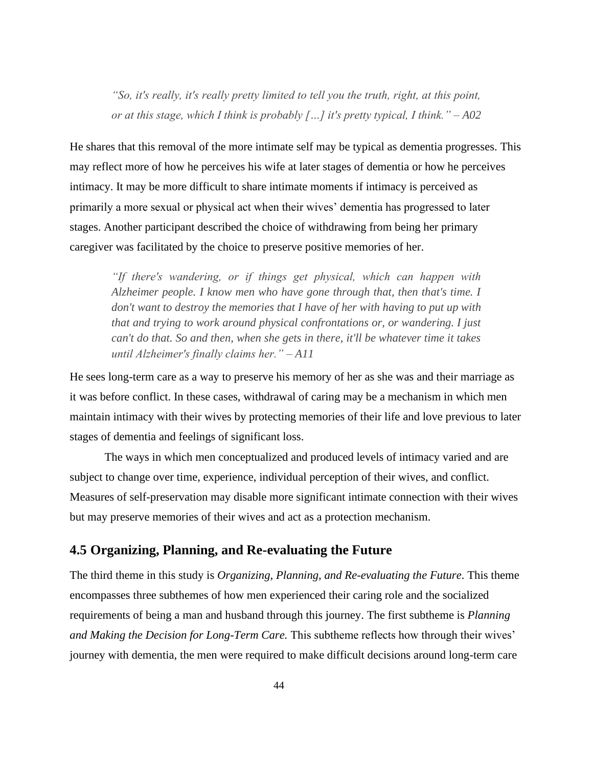*"So, it's really, it's really pretty limited to tell you the truth, right, at this point, or at this stage, which I think is probably […] it's pretty typical, I think." – A02*

He shares that this removal of the more intimate self may be typical as dementia progresses. This may reflect more of how he perceives his wife at later stages of dementia or how he perceives intimacy. It may be more difficult to share intimate moments if intimacy is perceived as primarily a more sexual or physical act when their wives' dementia has progressed to later stages. Another participant described the choice of withdrawing from being her primary caregiver was facilitated by the choice to preserve positive memories of her.

*"If there's wandering, or if things get physical, which can happen with Alzheimer people. I know men who have gone through that, then that's time. I don't want to destroy the memories that I have of her with having to put up with that and trying to work around physical confrontations or, or wandering. I just can't do that. So and then, when she gets in there, it'll be whatever time it takes until Alzheimer's finally claims her." – A11*

He sees long-term care as a way to preserve his memory of her as she was and their marriage as it was before conflict. In these cases, withdrawal of caring may be a mechanism in which men maintain intimacy with their wives by protecting memories of their life and love previous to later stages of dementia and feelings of significant loss.

The ways in which men conceptualized and produced levels of intimacy varied and are subject to change over time, experience, individual perception of their wives, and conflict. Measures of self-preservation may disable more significant intimate connection with their wives but may preserve memories of their wives and act as a protection mechanism.

## **4.5 Organizing, Planning, and Re-evaluating the Future**

The third theme in this study is *Organizing, Planning, and Re-evaluating the Future*. This theme encompasses three subthemes of how men experienced their caring role and the socialized requirements of being a man and husband through this journey. The first subtheme is *Planning and Making the Decision for Long-Term Care.* This subtheme reflects how through their wives' journey with dementia, the men were required to make difficult decisions around long-term care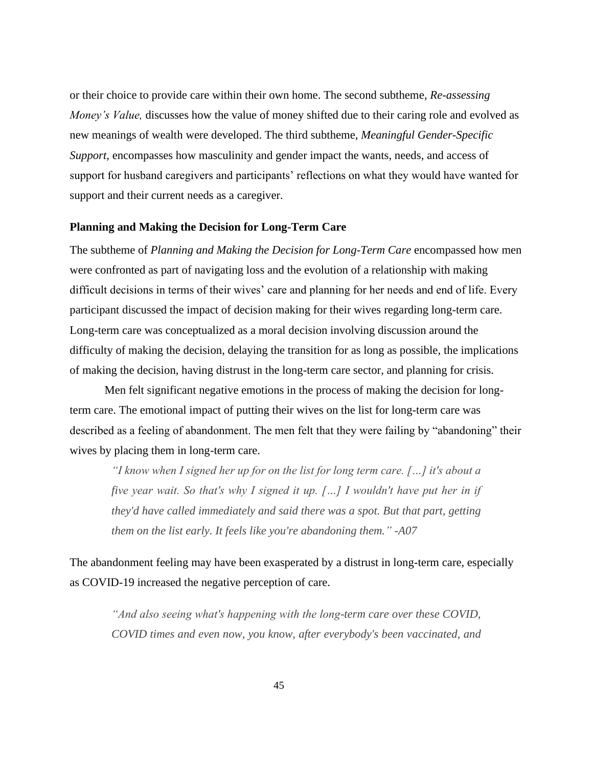or their choice to provide care within their own home. The second subtheme, *Re-assessing Money's Value,* discusses how the value of money shifted due to their caring role and evolved as new meanings of wealth were developed. The third subtheme, *Meaningful Gender-Specific Support*, encompasses how masculinity and gender impact the wants, needs, and access of support for husband caregivers and participants' reflections on what they would have wanted for support and their current needs as a caregiver.

#### **Planning and Making the Decision for Long-Term Care**

The subtheme of *Planning and Making the Decision for Long-Term Care* encompassed how men were confronted as part of navigating loss and the evolution of a relationship with making difficult decisions in terms of their wives' care and planning for her needs and end of life. Every participant discussed the impact of decision making for their wives regarding long-term care. Long-term care was conceptualized as a moral decision involving discussion around the difficulty of making the decision, delaying the transition for as long as possible, the implications of making the decision, having distrust in the long-term care sector, and planning for crisis.

Men felt significant negative emotions in the process of making the decision for longterm care. The emotional impact of putting their wives on the list for long-term care was described as a feeling of abandonment. The men felt that they were failing by "abandoning" their wives by placing them in long-term care.

*"I know when I signed her up for on the list for long term care. […] it's about a five year wait. So that's why I signed it up. […] I wouldn't have put her in if they'd have called immediately and said there was a spot. But that part, getting them on the list early. It feels like you're abandoning them." -A07*

The abandonment feeling may have been exasperated by a distrust in long-term care, especially as COVID-19 increased the negative perception of care.

*"And also seeing what's happening with the long-term care over these COVID, COVID times and even now, you know, after everybody's been vaccinated, and*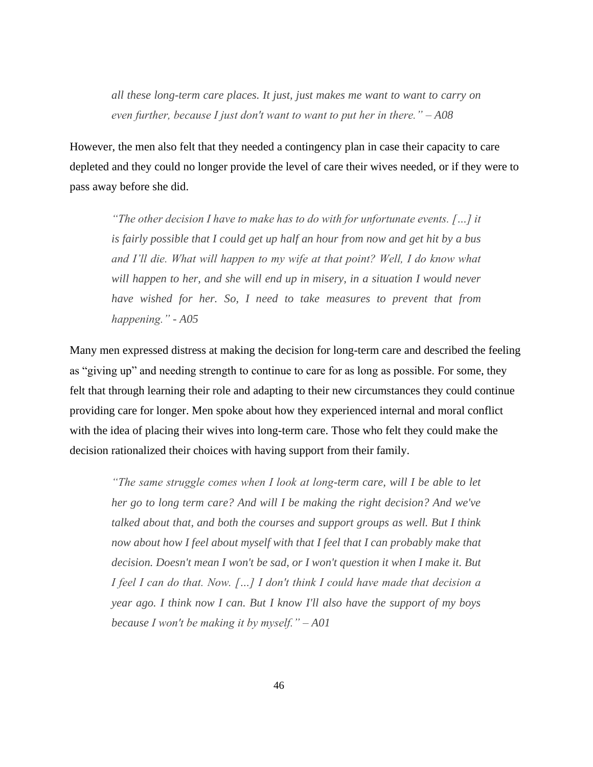*all these long-term care places. It just, just makes me want to want to carry on even further, because I just don't want to want to put her in there." – A08*

However, the men also felt that they needed a contingency plan in case their capacity to care depleted and they could no longer provide the level of care their wives needed, or if they were to pass away before she did.

*"The other decision I have to make has to do with for unfortunate events. […] it is fairly possible that I could get up half an hour from now and get hit by a bus and I'll die. What will happen to my wife at that point? Well, I do know what will happen to her, and she will end up in misery, in a situation I would never have wished for her. So, I need to take measures to prevent that from happening." - A05*

Many men expressed distress at making the decision for long-term care and described the feeling as "giving up" and needing strength to continue to care for as long as possible. For some, they felt that through learning their role and adapting to their new circumstances they could continue providing care for longer. Men spoke about how they experienced internal and moral conflict with the idea of placing their wives into long-term care. Those who felt they could make the decision rationalized their choices with having support from their family.

*"The same struggle comes when I look at long-term care, will I be able to let her go to long term care? And will I be making the right decision? And we've talked about that, and both the courses and support groups as well. But I think now about how I feel about myself with that I feel that I can probably make that decision. Doesn't mean I won't be sad, or I won't question it when I make it. But I feel I can do that. Now. […] I don't think I could have made that decision a year ago. I think now I can. But I know I'll also have the support of my boys because I won't be making it by myself." – A01*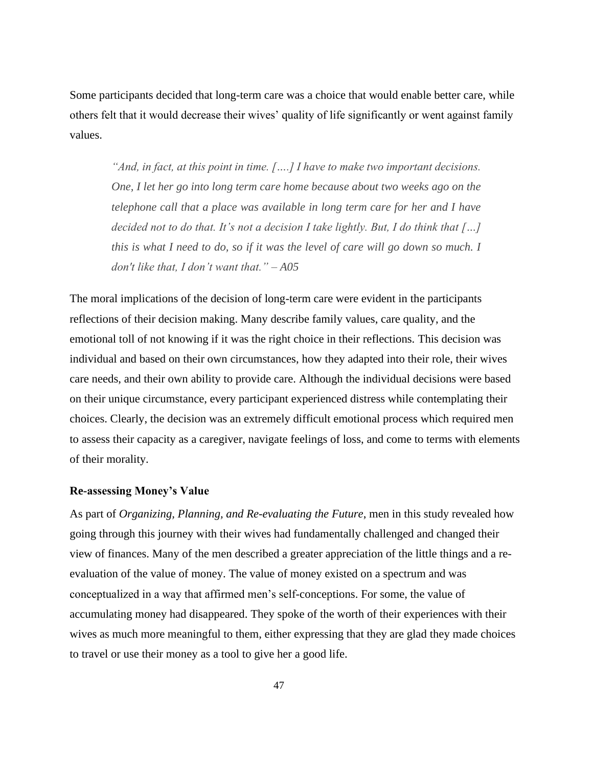Some participants decided that long-term care was a choice that would enable better care, while others felt that it would decrease their wives' quality of life significantly or went against family values.

*"And, in fact, at this point in time. [….] I have to make two important decisions. One, I let her go into long term care home because about two weeks ago on the telephone call that a place was available in long term care for her and I have decided not to do that. It's not a decision I take lightly. But, I do think that […] this is what I need to do, so if it was the level of care will go down so much. I don't like that, I don't want that." – A05*

The moral implications of the decision of long-term care were evident in the participants reflections of their decision making. Many describe family values, care quality, and the emotional toll of not knowing if it was the right choice in their reflections. This decision was individual and based on their own circumstances, how they adapted into their role, their wives care needs, and their own ability to provide care. Although the individual decisions were based on their unique circumstance, every participant experienced distress while contemplating their choices. Clearly, the decision was an extremely difficult emotional process which required men to assess their capacity as a caregiver, navigate feelings of loss, and come to terms with elements of their morality.

#### **Re-assessing Money's Value**

As part of *Organizing, Planning, and Re-evaluating the Future*, men in this study revealed how going through this journey with their wives had fundamentally challenged and changed their view of finances. Many of the men described a greater appreciation of the little things and a reevaluation of the value of money. The value of money existed on a spectrum and was conceptualized in a way that affirmed men's self-conceptions. For some, the value of accumulating money had disappeared. They spoke of the worth of their experiences with their wives as much more meaningful to them, either expressing that they are glad they made choices to travel or use their money as a tool to give her a good life.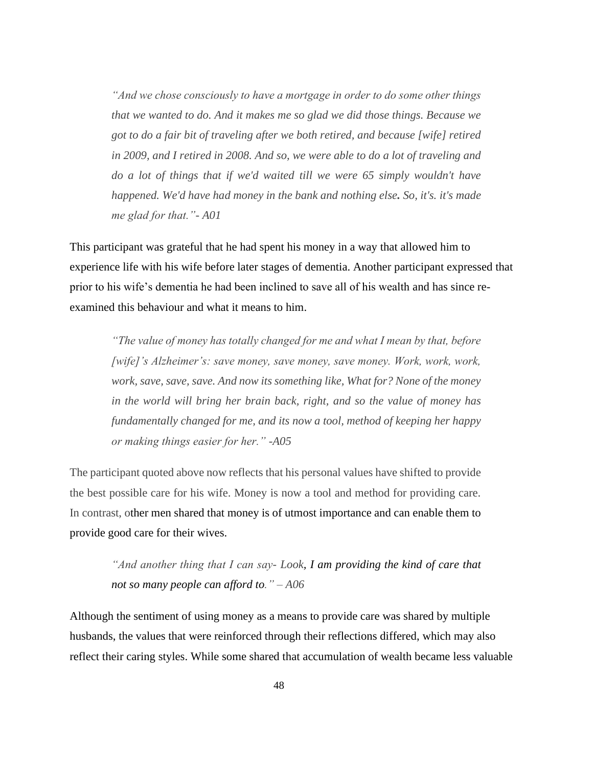*"And we chose consciously to have a mortgage in order to do some other things that we wanted to do. And it makes me so glad we did those things. Because we got to do a fair bit of traveling after we both retired, and because [wife] retired in 2009, and I retired in 2008. And so, we were able to do a lot of traveling and do a lot of things that if we'd waited till we were 65 simply wouldn't have happened. We'd have had money in the bank and nothing else. So, it's. it's made me glad for that."- A01*

This participant was grateful that he had spent his money in a way that allowed him to experience life with his wife before later stages of dementia. Another participant expressed that prior to his wife's dementia he had been inclined to save all of his wealth and has since reexamined this behaviour and what it means to him.

*"The value of money has totally changed for me and what I mean by that, before [wife]'s Alzheimer's: save money, save money, save money. Work, work, work, work, save, save, save. And now its something like, What for? None of the money in the world will bring her brain back, right, and so the value of money has fundamentally changed for me, and its now a tool, method of keeping her happy or making things easier for her." -A05*

The participant quoted above now reflects that his personal values have shifted to provide the best possible care for his wife. Money is now a tool and method for providing care. In contrast, other men shared that money is of utmost importance and can enable them to provide good care for their wives.

*"And another thing that I can say- Look, I am providing the kind of care that not so many people can afford to." – A06*

Although the sentiment of using money as a means to provide care was shared by multiple husbands, the values that were reinforced through their reflections differed, which may also reflect their caring styles. While some shared that accumulation of wealth became less valuable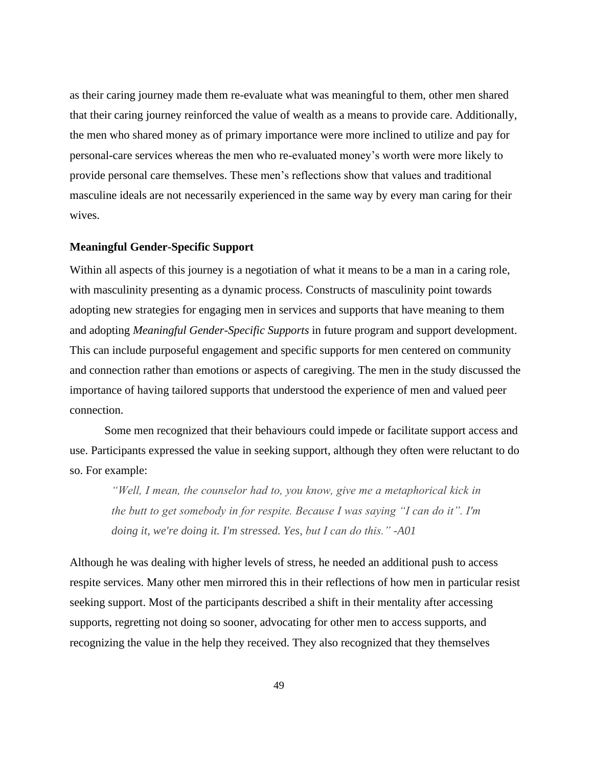as their caring journey made them re-evaluate what was meaningful to them, other men shared that their caring journey reinforced the value of wealth as a means to provide care. Additionally, the men who shared money as of primary importance were more inclined to utilize and pay for personal-care services whereas the men who re-evaluated money's worth were more likely to provide personal care themselves. These men's reflections show that values and traditional masculine ideals are not necessarily experienced in the same way by every man caring for their wives.

#### **Meaningful Gender-Specific Support**

Within all aspects of this journey is a negotiation of what it means to be a man in a caring role, with masculinity presenting as a dynamic process. Constructs of masculinity point towards adopting new strategies for engaging men in services and supports that have meaning to them and adopting *Meaningful Gender-Specific Supports* in future program and support development. This can include purposeful engagement and specific supports for men centered on community and connection rather than emotions or aspects of caregiving. The men in the study discussed the importance of having tailored supports that understood the experience of men and valued peer connection.

Some men recognized that their behaviours could impede or facilitate support access and use. Participants expressed the value in seeking support, although they often were reluctant to do so. For example:

*"Well, I mean, the counselor had to, you know, give me a metaphorical kick in the butt to get somebody in for respite. Because I was saying "I can do it". I'm doing it, we're doing it. I'm stressed. Yes, but I can do this." -A01*

Although he was dealing with higher levels of stress, he needed an additional push to access respite services. Many other men mirrored this in their reflections of how men in particular resist seeking support. Most of the participants described a shift in their mentality after accessing supports, regretting not doing so sooner, advocating for other men to access supports, and recognizing the value in the help they received. They also recognized that they themselves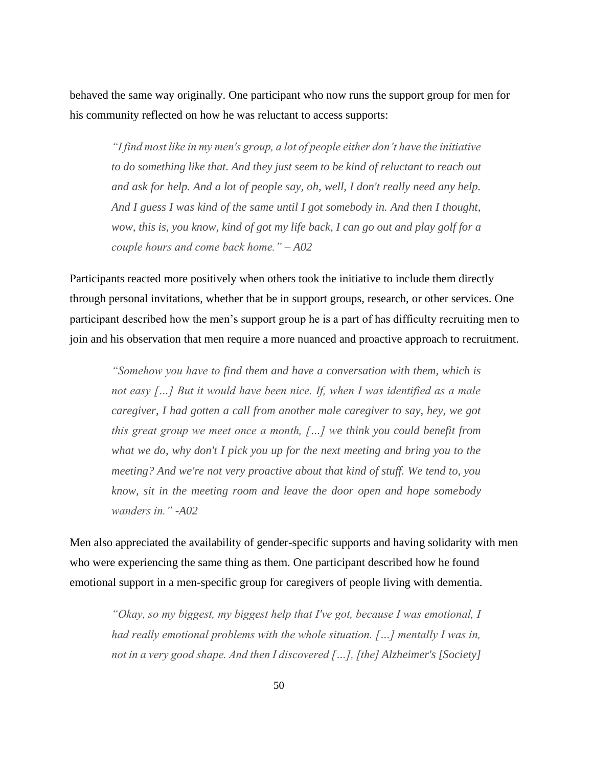behaved the same way originally. One participant who now runs the support group for men for his community reflected on how he was reluctant to access supports:

*"I find most like in my men's group, a lot of people either don't have the initiative to do something like that. And they just seem to be kind of reluctant to reach out and ask for help. And a lot of people say, oh, well, I don't really need any help. And I guess I was kind of the same until I got somebody in. And then I thought, wow, this is, you know, kind of got my life back, I can go out and play golf for a couple hours and come back home." – A02*

Participants reacted more positively when others took the initiative to include them directly through personal invitations, whether that be in support groups, research, or other services. One participant described how the men's support group he is a part of has difficulty recruiting men to join and his observation that men require a more nuanced and proactive approach to recruitment.

*"Somehow you have to find them and have a conversation with them, which is not easy […] But it would have been nice. If, when I was identified as a male caregiver, I had gotten a call from another male caregiver to say, hey, we got this great group we meet once a month, […] we think you could benefit from what we do, why don't I pick you up for the next meeting and bring you to the meeting? And we're not very proactive about that kind of stuff. We tend to, you know, sit in the meeting room and leave the door open and hope somebody wanders in." -A02*

Men also appreciated the availability of gender-specific supports and having solidarity with men who were experiencing the same thing as them. One participant described how he found emotional support in a men-specific group for caregivers of people living with dementia.

*"Okay, so my biggest, my biggest help that I've got, because I was emotional, I had really emotional problems with the whole situation. […] mentally I was in, not in a very good shape. And then I discovered […], [the] Alzheimer's [Society]*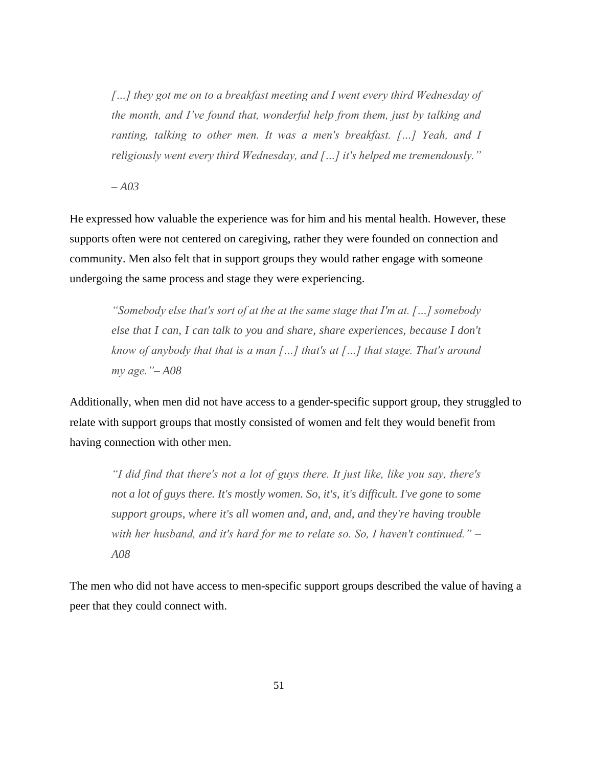*[…] they got me on to a breakfast meeting and I went every third Wednesday of the month, and I've found that, wonderful help from them, just by talking and ranting, talking to other men. It was a men's breakfast. [...] Yeah, and I religiously went every third Wednesday, and […] it's helped me tremendously."*

*– A03*

He expressed how valuable the experience was for him and his mental health. However, these supports often were not centered on caregiving, rather they were founded on connection and community. Men also felt that in support groups they would rather engage with someone undergoing the same process and stage they were experiencing.

*"Somebody else that's sort of at the at the same stage that I'm at. […] somebody else that I can, I can talk to you and share, share experiences, because I don't know of anybody that that is a man […] that's at […] that stage. That's around my age."– A08*

Additionally, when men did not have access to a gender-specific support group, they struggled to relate with support groups that mostly consisted of women and felt they would benefit from having connection with other men.

*"I did find that there's not a lot of guys there. It just like, like you say, there's not a lot of guys there. It's mostly women. So, it's, it's difficult. I've gone to some support groups, where it's all women and, and, and, and they're having trouble with her husband, and it's hard for me to relate so. So, I haven't continued." – A08*

The men who did not have access to men-specific support groups described the value of having a peer that they could connect with.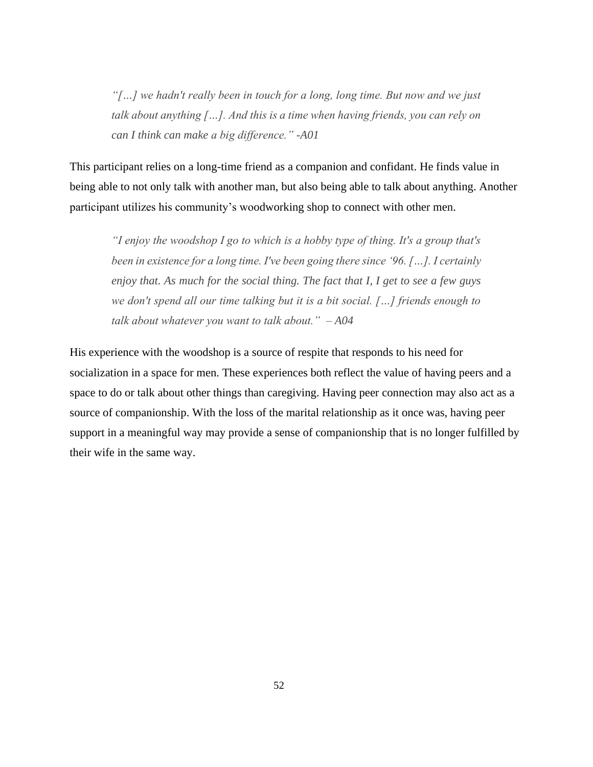*"[…] we hadn't really been in touch for a long, long time. But now and we just talk about anything […]. And this is a time when having friends, you can rely on can I think can make a big difference." -A01*

This participant relies on a long-time friend as a companion and confidant. He finds value in being able to not only talk with another man, but also being able to talk about anything. Another participant utilizes his community's woodworking shop to connect with other men.

*"I enjoy the woodshop I go to which is a hobby type of thing. It's a group that's been in existence for a long time. I've been going there since '96. […]. I certainly enjoy that. As much for the social thing. The fact that I, I get to see a few guys we don't spend all our time talking but it is a bit social. […] friends enough to talk about whatever you want to talk about." – A04*

His experience with the woodshop is a source of respite that responds to his need for socialization in a space for men. These experiences both reflect the value of having peers and a space to do or talk about other things than caregiving. Having peer connection may also act as a source of companionship. With the loss of the marital relationship as it once was, having peer support in a meaningful way may provide a sense of companionship that is no longer fulfilled by their wife in the same way.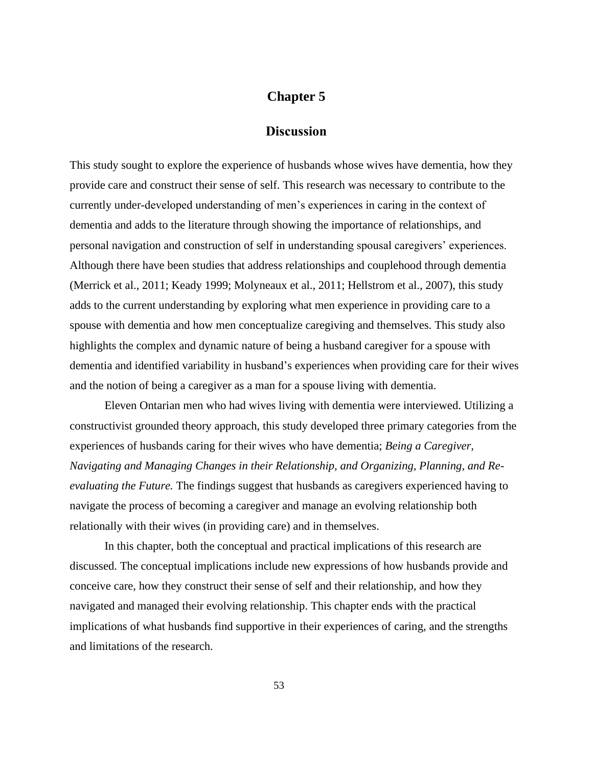## **Chapter 5**

## **Discussion**

This study sought to explore the experience of husbands whose wives have dementia, how they provide care and construct their sense of self. This research was necessary to contribute to the currently under-developed understanding of men's experiences in caring in the context of dementia and adds to the literature through showing the importance of relationships, and personal navigation and construction of self in understanding spousal caregivers' experiences. Although there have been studies that address relationships and couplehood through dementia (Merrick et al., 2011; Keady 1999; Molyneaux et al., 2011; Hellstrom et al., 2007), this study adds to the current understanding by exploring what men experience in providing care to a spouse with dementia and how men conceptualize caregiving and themselves. This study also highlights the complex and dynamic nature of being a husband caregiver for a spouse with dementia and identified variability in husband's experiences when providing care for their wives and the notion of being a caregiver as a man for a spouse living with dementia.

Eleven Ontarian men who had wives living with dementia were interviewed. Utilizing a constructivist grounded theory approach, this study developed three primary categories from the experiences of husbands caring for their wives who have dementia; *Being a Caregiver, Navigating and Managing Changes in their Relationship, and Organizing, Planning, and Reevaluating the Future.* The findings suggest that husbands as caregivers experienced having to navigate the process of becoming a caregiver and manage an evolving relationship both relationally with their wives (in providing care) and in themselves.

In this chapter, both the conceptual and practical implications of this research are discussed. The conceptual implications include new expressions of how husbands provide and conceive care, how they construct their sense of self and their relationship, and how they navigated and managed their evolving relationship. This chapter ends with the practical implications of what husbands find supportive in their experiences of caring, and the strengths and limitations of the research.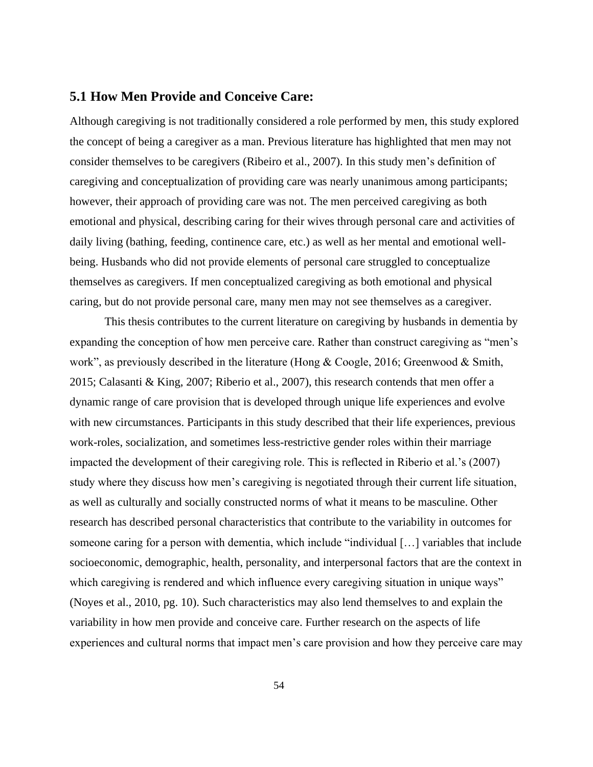## **5.1 How Men Provide and Conceive Care:**

Although caregiving is not traditionally considered a role performed by men, this study explored the concept of being a caregiver as a man. Previous literature has highlighted that men may not consider themselves to be caregivers (Ribeiro et al., 2007). In this study men's definition of caregiving and conceptualization of providing care was nearly unanimous among participants; however, their approach of providing care was not. The men perceived caregiving as both emotional and physical, describing caring for their wives through personal care and activities of daily living (bathing, feeding, continence care, etc.) as well as her mental and emotional wellbeing. Husbands who did not provide elements of personal care struggled to conceptualize themselves as caregivers. If men conceptualized caregiving as both emotional and physical caring, but do not provide personal care, many men may not see themselves as a caregiver.

This thesis contributes to the current literature on caregiving by husbands in dementia by expanding the conception of how men perceive care. Rather than construct caregiving as "men's work", as previously described in the literature (Hong & Coogle, 2016; Greenwood & Smith, 2015; Calasanti & King, 2007; Riberio et al., 2007), this research contends that men offer a dynamic range of care provision that is developed through unique life experiences and evolve with new circumstances. Participants in this study described that their life experiences, previous work-roles, socialization, and sometimes less-restrictive gender roles within their marriage impacted the development of their caregiving role. This is reflected in Riberio et al.'s (2007) study where they discuss how men's caregiving is negotiated through their current life situation, as well as culturally and socially constructed norms of what it means to be masculine. Other research has described personal characteristics that contribute to the variability in outcomes for someone caring for a person with dementia, which include "individual […] variables that include socioeconomic, demographic, health, personality, and interpersonal factors that are the context in which caregiving is rendered and which influence every caregiving situation in unique ways" (Noyes et al., 2010, pg. 10). Such characteristics may also lend themselves to and explain the variability in how men provide and conceive care. Further research on the aspects of life experiences and cultural norms that impact men's care provision and how they perceive care may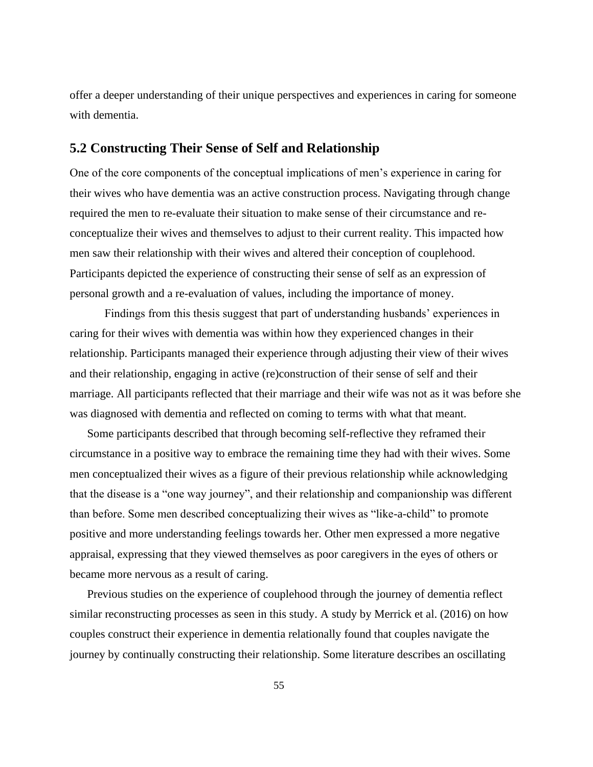offer a deeper understanding of their unique perspectives and experiences in caring for someone with dementia.

## **5.2 Constructing Their Sense of Self and Relationship**

One of the core components of the conceptual implications of men's experience in caring for their wives who have dementia was an active construction process. Navigating through change required the men to re-evaluate their situation to make sense of their circumstance and reconceptualize their wives and themselves to adjust to their current reality. This impacted how men saw their relationship with their wives and altered their conception of couplehood. Participants depicted the experience of constructing their sense of self as an expression of personal growth and a re-evaluation of values, including the importance of money.

Findings from this thesis suggest that part of understanding husbands' experiences in caring for their wives with dementia was within how they experienced changes in their relationship. Participants managed their experience through adjusting their view of their wives and their relationship, engaging in active (re)construction of their sense of self and their marriage. All participants reflected that their marriage and their wife was not as it was before she was diagnosed with dementia and reflected on coming to terms with what that meant.

Some participants described that through becoming self-reflective they reframed their circumstance in a positive way to embrace the remaining time they had with their wives. Some men conceptualized their wives as a figure of their previous relationship while acknowledging that the disease is a "one way journey", and their relationship and companionship was different than before. Some men described conceptualizing their wives as "like-a-child" to promote positive and more understanding feelings towards her. Other men expressed a more negative appraisal, expressing that they viewed themselves as poor caregivers in the eyes of others or became more nervous as a result of caring.

Previous studies on the experience of couplehood through the journey of dementia reflect similar reconstructing processes as seen in this study. A study by Merrick et al. (2016) on how couples construct their experience in dementia relationally found that couples navigate the journey by continually constructing their relationship. Some literature describes an oscillating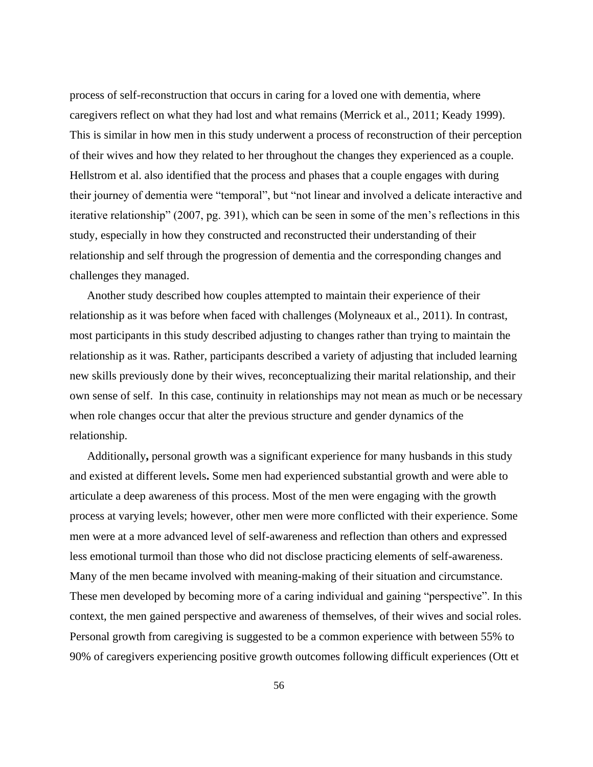process of self-reconstruction that occurs in caring for a loved one with dementia, where caregivers reflect on what they had lost and what remains (Merrick et al., 2011; Keady 1999). This is similar in how men in this study underwent a process of reconstruction of their perception of their wives and how they related to her throughout the changes they experienced as a couple. Hellstrom et al. also identified that the process and phases that a couple engages with during their journey of dementia were "temporal", but "not linear and involved a delicate interactive and iterative relationship" (2007, pg. 391), which can be seen in some of the men's reflections in this study, especially in how they constructed and reconstructed their understanding of their relationship and self through the progression of dementia and the corresponding changes and challenges they managed.

Another study described how couples attempted to maintain their experience of their relationship as it was before when faced with challenges (Molyneaux et al., 2011). In contrast, most participants in this study described adjusting to changes rather than trying to maintain the relationship as it was. Rather, participants described a variety of adjusting that included learning new skills previously done by their wives, reconceptualizing their marital relationship, and their own sense of self. In this case, continuity in relationships may not mean as much or be necessary when role changes occur that alter the previous structure and gender dynamics of the relationship.

Additionally**,** personal growth was a significant experience for many husbands in this study and existed at different levels**.** Some men had experienced substantial growth and were able to articulate a deep awareness of this process. Most of the men were engaging with the growth process at varying levels; however, other men were more conflicted with their experience. Some men were at a more advanced level of self-awareness and reflection than others and expressed less emotional turmoil than those who did not disclose practicing elements of self-awareness. Many of the men became involved with meaning-making of their situation and circumstance. These men developed by becoming more of a caring individual and gaining "perspective". In this context, the men gained perspective and awareness of themselves, of their wives and social roles. Personal growth from caregiving is suggested to be a common experience with between 55% to 90% of caregivers experiencing positive growth outcomes following difficult experiences (Ott et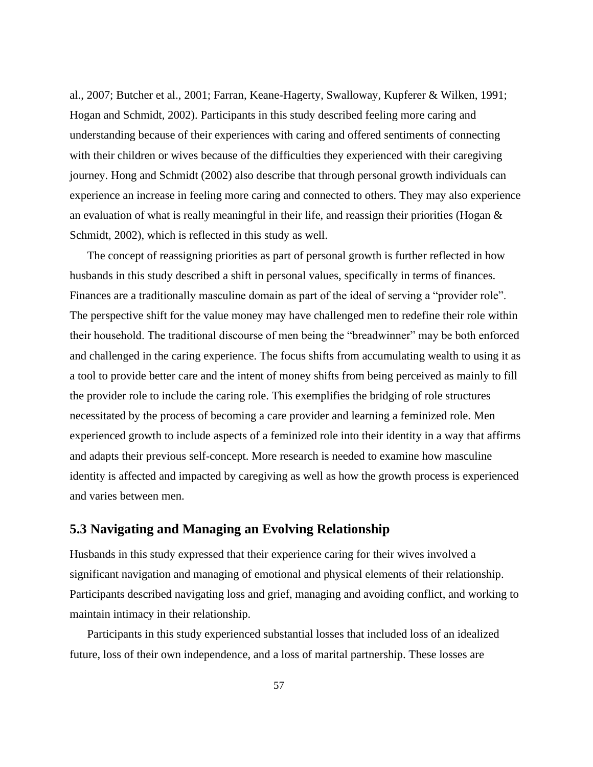al., 2007; Butcher et al., 2001; Farran, Keane-Hagerty, Swalloway, Kupferer & Wilken, 1991; Hogan and Schmidt, 2002). Participants in this study described feeling more caring and understanding because of their experiences with caring and offered sentiments of connecting with their children or wives because of the difficulties they experienced with their caregiving journey. Hong and Schmidt (2002) also describe that through personal growth individuals can experience an increase in feeling more caring and connected to others. They may also experience an evaluation of what is really meaningful in their life, and reassign their priorities (Hogan & Schmidt, 2002), which is reflected in this study as well.

The concept of reassigning priorities as part of personal growth is further reflected in how husbands in this study described a shift in personal values, specifically in terms of finances. Finances are a traditionally masculine domain as part of the ideal of serving a "provider role". The perspective shift for the value money may have challenged men to redefine their role within their household. The traditional discourse of men being the "breadwinner" may be both enforced and challenged in the caring experience. The focus shifts from accumulating wealth to using it as a tool to provide better care and the intent of money shifts from being perceived as mainly to fill the provider role to include the caring role. This exemplifies the bridging of role structures necessitated by the process of becoming a care provider and learning a feminized role. Men experienced growth to include aspects of a feminized role into their identity in a way that affirms and adapts their previous self-concept. More research is needed to examine how masculine identity is affected and impacted by caregiving as well as how the growth process is experienced and varies between men.

# **5.3 Navigating and Managing an Evolving Relationship**

Husbands in this study expressed that their experience caring for their wives involved a significant navigation and managing of emotional and physical elements of their relationship. Participants described navigating loss and grief, managing and avoiding conflict, and working to maintain intimacy in their relationship.

Participants in this study experienced substantial losses that included loss of an idealized future, loss of their own independence, and a loss of marital partnership. These losses are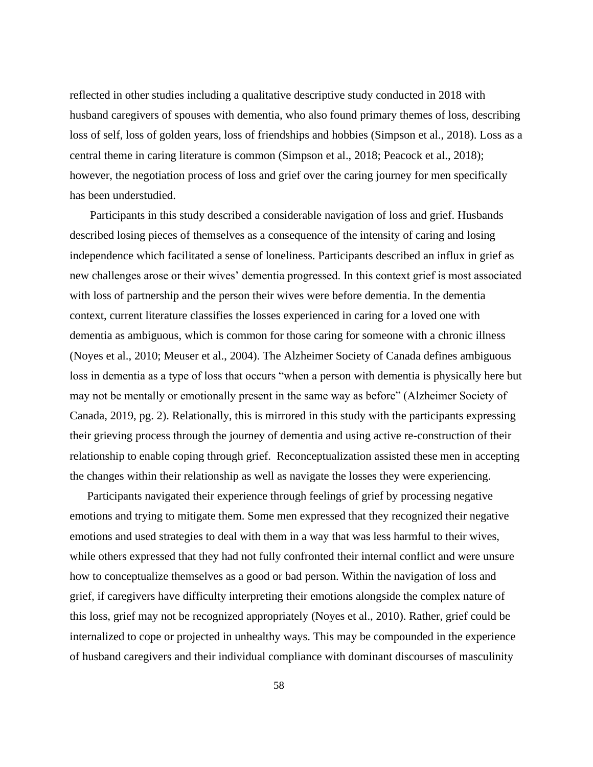reflected in other studies including a qualitative descriptive study conducted in 2018 with husband caregivers of spouses with dementia, who also found primary themes of loss, describing loss of self, loss of golden years, loss of friendships and hobbies (Simpson et al., 2018). Loss as a central theme in caring literature is common (Simpson et al., 2018; Peacock et al., 2018); however, the negotiation process of loss and grief over the caring journey for men specifically has been understudied.

Participants in this study described a considerable navigation of loss and grief. Husbands described losing pieces of themselves as a consequence of the intensity of caring and losing independence which facilitated a sense of loneliness. Participants described an influx in grief as new challenges arose or their wives' dementia progressed. In this context grief is most associated with loss of partnership and the person their wives were before dementia. In the dementia context, current literature classifies the losses experienced in caring for a loved one with dementia as ambiguous, which is common for those caring for someone with a chronic illness (Noyes et al., 2010; Meuser et al., 2004). The Alzheimer Society of Canada defines ambiguous loss in dementia as a type of loss that occurs "when a person with dementia is physically here but may not be mentally or emotionally present in the same way as before" (Alzheimer Society of Canada, 2019, pg. 2). Relationally, this is mirrored in this study with the participants expressing their grieving process through the journey of dementia and using active re-construction of their relationship to enable coping through grief. Reconceptualization assisted these men in accepting the changes within their relationship as well as navigate the losses they were experiencing.

Participants navigated their experience through feelings of grief by processing negative emotions and trying to mitigate them. Some men expressed that they recognized their negative emotions and used strategies to deal with them in a way that was less harmful to their wives, while others expressed that they had not fully confronted their internal conflict and were unsure how to conceptualize themselves as a good or bad person. Within the navigation of loss and grief, if caregivers have difficulty interpreting their emotions alongside the complex nature of this loss, grief may not be recognized appropriately (Noyes et al., 2010). Rather, grief could be internalized to cope or projected in unhealthy ways. This may be compounded in the experience of husband caregivers and their individual compliance with dominant discourses of masculinity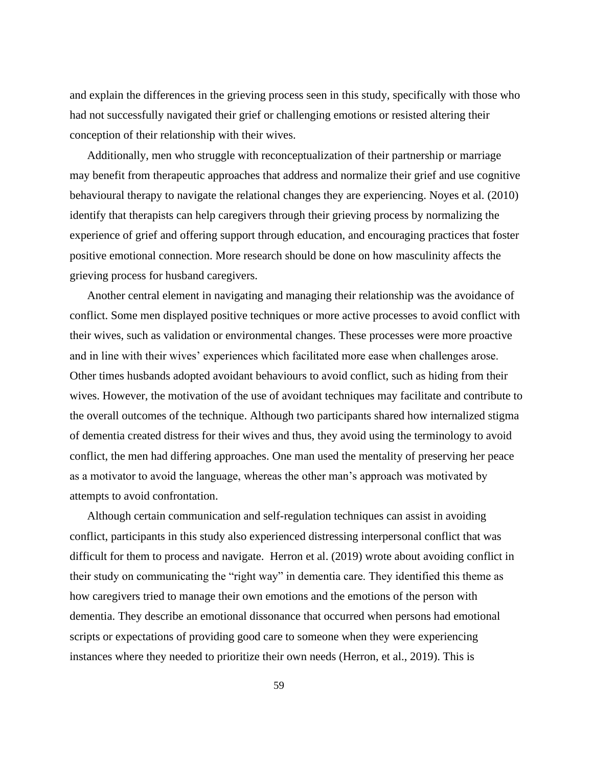and explain the differences in the grieving process seen in this study, specifically with those who had not successfully navigated their grief or challenging emotions or resisted altering their conception of their relationship with their wives.

Additionally, men who struggle with reconceptualization of their partnership or marriage may benefit from therapeutic approaches that address and normalize their grief and use cognitive behavioural therapy to navigate the relational changes they are experiencing. Noyes et al. (2010) identify that therapists can help caregivers through their grieving process by normalizing the experience of grief and offering support through education, and encouraging practices that foster positive emotional connection. More research should be done on how masculinity affects the grieving process for husband caregivers.

Another central element in navigating and managing their relationship was the avoidance of conflict. Some men displayed positive techniques or more active processes to avoid conflict with their wives, such as validation or environmental changes. These processes were more proactive and in line with their wives' experiences which facilitated more ease when challenges arose. Other times husbands adopted avoidant behaviours to avoid conflict, such as hiding from their wives. However, the motivation of the use of avoidant techniques may facilitate and contribute to the overall outcomes of the technique. Although two participants shared how internalized stigma of dementia created distress for their wives and thus, they avoid using the terminology to avoid conflict, the men had differing approaches. One man used the mentality of preserving her peace as a motivator to avoid the language, whereas the other man's approach was motivated by attempts to avoid confrontation.

Although certain communication and self-regulation techniques can assist in avoiding conflict, participants in this study also experienced distressing interpersonal conflict that was difficult for them to process and navigate. Herron et al. (2019) wrote about avoiding conflict in their study on communicating the "right way" in dementia care. They identified this theme as how caregivers tried to manage their own emotions and the emotions of the person with dementia. They describe an emotional dissonance that occurred when persons had emotional scripts or expectations of providing good care to someone when they were experiencing instances where they needed to prioritize their own needs (Herron, et al., 2019). This is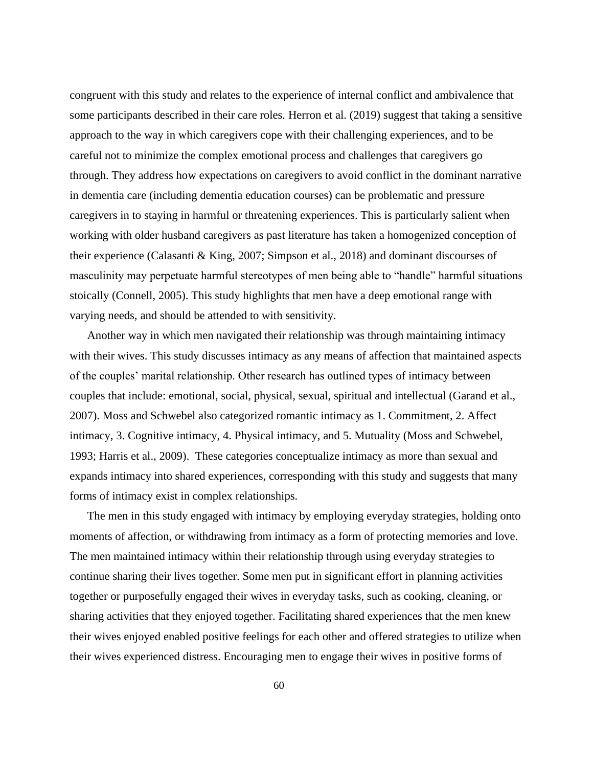congruent with this study and relates to the experience of internal conflict and ambivalence that some participants described in their care roles. Herron et al. (2019) suggest that taking a sensitive approach to the way in which caregivers cope with their challenging experiences, and to be careful not to minimize the complex emotional process and challenges that caregivers go through. They address how expectations on caregivers to avoid conflict in the dominant narrative in dementia care (including dementia education courses) can be problematic and pressure caregivers in to staying in harmful or threatening experiences. This is particularly salient when working with older husband caregivers as past literature has taken a homogenized conception of their experience (Calasanti & King, 2007; Simpson et al., 2018) and dominant discourses of masculinity may perpetuate harmful stereotypes of men being able to "handle" harmful situations stoically (Connell, 2005). This study highlights that men have a deep emotional range with varying needs, and should be attended to with sensitivity.

Another way in which men navigated their relationship was through maintaining intimacy with their wives. This study discusses intimacy as any means of affection that maintained aspects of the couples' marital relationship. Other research has outlined types of intimacy between couples that include: emotional, social, physical, sexual, spiritual and intellectual (Garand et al., 2007). Moss and Schwebel also categorized romantic intimacy as 1. Commitment, 2. Affect intimacy, 3. Cognitive intimacy, 4. Physical intimacy, and 5. Mutuality (Moss and Schwebel, 1993; Harris et al., 2009). These categories conceptualize intimacy as more than sexual and expands intimacy into shared experiences, corresponding with this study and suggests that many forms of intimacy exist in complex relationships.

The men in this study engaged with intimacy by employing everyday strategies, holding onto moments of affection, or withdrawing from intimacy as a form of protecting memories and love. The men maintained intimacy within their relationship through using everyday strategies to continue sharing their lives together. Some men put in significant effort in planning activities together or purposefully engaged their wives in everyday tasks, such as cooking, cleaning, or sharing activities that they enjoyed together. Facilitating shared experiences that the men knew their wives enjoyed enabled positive feelings for each other and offered strategies to utilize when their wives experienced distress. Encouraging men to engage their wives in positive forms of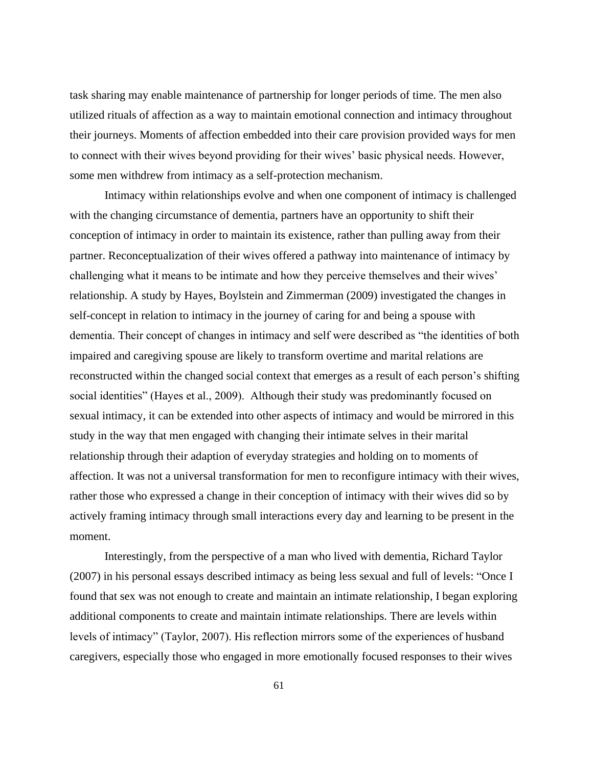task sharing may enable maintenance of partnership for longer periods of time. The men also utilized rituals of affection as a way to maintain emotional connection and intimacy throughout their journeys. Moments of affection embedded into their care provision provided ways for men to connect with their wives beyond providing for their wives' basic physical needs. However, some men withdrew from intimacy as a self-protection mechanism.

Intimacy within relationships evolve and when one component of intimacy is challenged with the changing circumstance of dementia, partners have an opportunity to shift their conception of intimacy in order to maintain its existence, rather than pulling away from their partner. Reconceptualization of their wives offered a pathway into maintenance of intimacy by challenging what it means to be intimate and how they perceive themselves and their wives' relationship. A study by Hayes, Boylstein and Zimmerman (2009) investigated the changes in self-concept in relation to intimacy in the journey of caring for and being a spouse with dementia. Their concept of changes in intimacy and self were described as "the identities of both impaired and caregiving spouse are likely to transform overtime and marital relations are reconstructed within the changed social context that emerges as a result of each person's shifting social identities" (Hayes et al., 2009). Although their study was predominantly focused on sexual intimacy, it can be extended into other aspects of intimacy and would be mirrored in this study in the way that men engaged with changing their intimate selves in their marital relationship through their adaption of everyday strategies and holding on to moments of affection. It was not a universal transformation for men to reconfigure intimacy with their wives, rather those who expressed a change in their conception of intimacy with their wives did so by actively framing intimacy through small interactions every day and learning to be present in the moment.

Interestingly, from the perspective of a man who lived with dementia, Richard Taylor (2007) in his personal essays described intimacy as being less sexual and full of levels: "Once I found that sex was not enough to create and maintain an intimate relationship, I began exploring additional components to create and maintain intimate relationships. There are levels within levels of intimacy" (Taylor, 2007). His reflection mirrors some of the experiences of husband caregivers, especially those who engaged in more emotionally focused responses to their wives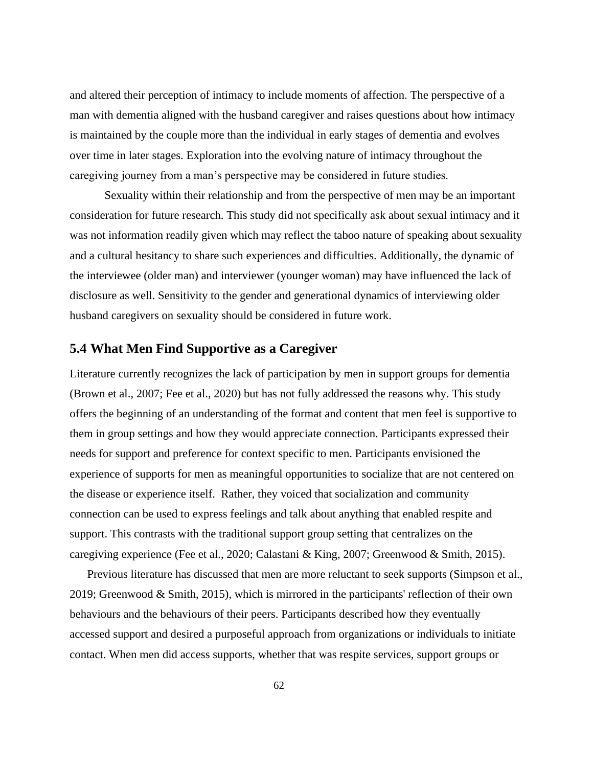and altered their perception of intimacy to include moments of affection. The perspective of a man with dementia aligned with the husband caregiver and raises questions about how intimacy is maintained by the couple more than the individual in early stages of dementia and evolves over time in later stages. Exploration into the evolving nature of intimacy throughout the caregiving journey from a man's perspective may be considered in future studies.

Sexuality within their relationship and from the perspective of men may be an important consideration for future research. This study did not specifically ask about sexual intimacy and it was not information readily given which may reflect the taboo nature of speaking about sexuality and a cultural hesitancy to share such experiences and difficulties. Additionally, the dynamic of the interviewee (older man) and interviewer (younger woman) may have influenced the lack of disclosure as well. Sensitivity to the gender and generational dynamics of interviewing older husband caregivers on sexuality should be considered in future work.

# **5.4 What Men Find Supportive as a Caregiver**

Literature currently recognizes the lack of participation by men in support groups for dementia (Brown et al., 2007; Fee et al., 2020) but has not fully addressed the reasons why. This study offers the beginning of an understanding of the format and content that men feel is supportive to them in group settings and how they would appreciate connection. Participants expressed their needs for support and preference for context specific to men. Participants envisioned the experience of supports for men as meaningful opportunities to socialize that are not centered on the disease or experience itself. Rather, they voiced that socialization and community connection can be used to express feelings and talk about anything that enabled respite and support. This contrasts with the traditional support group setting that centralizes on the caregiving experience (Fee et al., 2020; Calastani & King, 2007; Greenwood & Smith, 2015).

Previous literature has discussed that men are more reluctant to seek supports (Simpson et al., 2019; Greenwood & Smith, 2015), which is mirrored in the participants' reflection of their own behaviours and the behaviours of their peers. Participants described how they eventually accessed support and desired a purposeful approach from organizations or individuals to initiate contact. When men did access supports, whether that was respite services, support groups or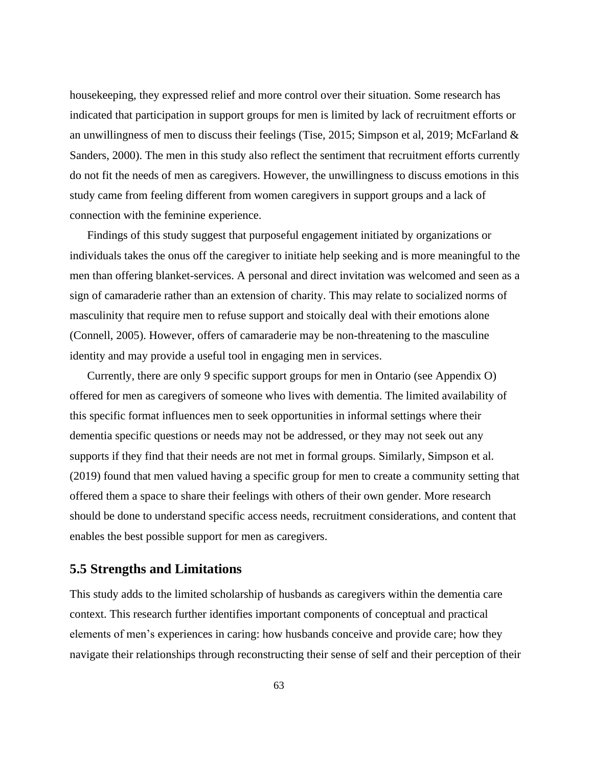housekeeping, they expressed relief and more control over their situation. Some research has indicated that participation in support groups for men is limited by lack of recruitment efforts or an unwillingness of men to discuss their feelings (Tise, 2015; Simpson et al, 2019; McFarland & Sanders, 2000). The men in this study also reflect the sentiment that recruitment efforts currently do not fit the needs of men as caregivers. However, the unwillingness to discuss emotions in this study came from feeling different from women caregivers in support groups and a lack of connection with the feminine experience.

Findings of this study suggest that purposeful engagement initiated by organizations or individuals takes the onus off the caregiver to initiate help seeking and is more meaningful to the men than offering blanket-services. A personal and direct invitation was welcomed and seen as a sign of camaraderie rather than an extension of charity. This may relate to socialized norms of masculinity that require men to refuse support and stoically deal with their emotions alone (Connell, 2005). However, offers of camaraderie may be non-threatening to the masculine identity and may provide a useful tool in engaging men in services.

Currently, there are only 9 specific support groups for men in Ontario (see Appendix O) offered for men as caregivers of someone who lives with dementia. The limited availability of this specific format influences men to seek opportunities in informal settings where their dementia specific questions or needs may not be addressed, or they may not seek out any supports if they find that their needs are not met in formal groups. Similarly, Simpson et al. (2019) found that men valued having a specific group for men to create a community setting that offered them a space to share their feelings with others of their own gender. More research should be done to understand specific access needs, recruitment considerations, and content that enables the best possible support for men as caregivers.

#### **5.5 Strengths and Limitations**

This study adds to the limited scholarship of husbands as caregivers within the dementia care context. This research further identifies important components of conceptual and practical elements of men's experiences in caring: how husbands conceive and provide care; how they navigate their relationships through reconstructing their sense of self and their perception of their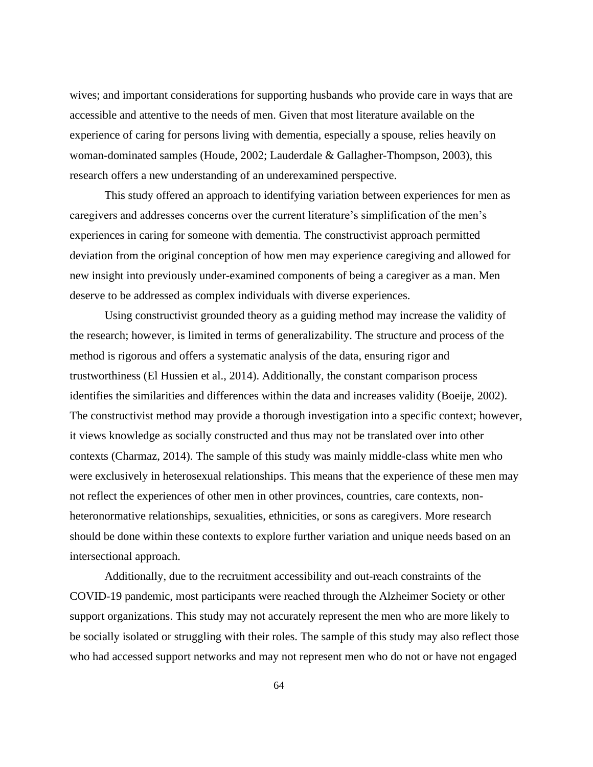wives; and important considerations for supporting husbands who provide care in ways that are accessible and attentive to the needs of men. Given that most literature available on the experience of caring for persons living with dementia, especially a spouse, relies heavily on woman-dominated samples (Houde, 2002; Lauderdale & Gallagher-Thompson, 2003), this research offers a new understanding of an underexamined perspective.

This study offered an approach to identifying variation between experiences for men as caregivers and addresses concerns over the current literature's simplification of the men's experiences in caring for someone with dementia. The constructivist approach permitted deviation from the original conception of how men may experience caregiving and allowed for new insight into previously under-examined components of being a caregiver as a man. Men deserve to be addressed as complex individuals with diverse experiences.

Using constructivist grounded theory as a guiding method may increase the validity of the research; however, is limited in terms of generalizability. The structure and process of the method is rigorous and offers a systematic analysis of the data, ensuring rigor and trustworthiness (El Hussien et al., 2014). Additionally, the constant comparison process identifies the similarities and differences within the data and increases validity (Boeije, 2002). The constructivist method may provide a thorough investigation into a specific context; however, it views knowledge as socially constructed and thus may not be translated over into other contexts (Charmaz, 2014). The sample of this study was mainly middle-class white men who were exclusively in heterosexual relationships. This means that the experience of these men may not reflect the experiences of other men in other provinces, countries, care contexts, nonheteronormative relationships, sexualities, ethnicities, or sons as caregivers. More research should be done within these contexts to explore further variation and unique needs based on an intersectional approach.

Additionally, due to the recruitment accessibility and out-reach constraints of the COVID-19 pandemic, most participants were reached through the Alzheimer Society or other support organizations. This study may not accurately represent the men who are more likely to be socially isolated or struggling with their roles. The sample of this study may also reflect those who had accessed support networks and may not represent men who do not or have not engaged

64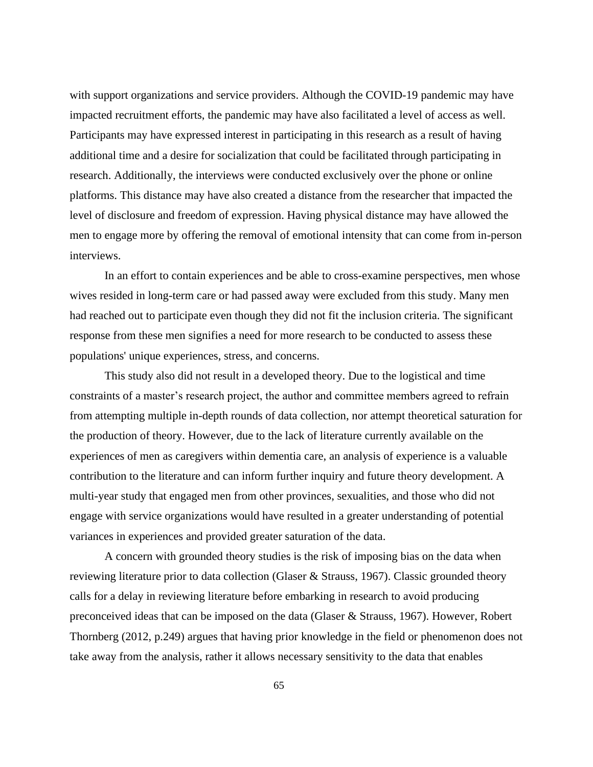with support organizations and service providers. Although the COVID-19 pandemic may have impacted recruitment efforts, the pandemic may have also facilitated a level of access as well. Participants may have expressed interest in participating in this research as a result of having additional time and a desire for socialization that could be facilitated through participating in research. Additionally, the interviews were conducted exclusively over the phone or online platforms. This distance may have also created a distance from the researcher that impacted the level of disclosure and freedom of expression. Having physical distance may have allowed the men to engage more by offering the removal of emotional intensity that can come from in-person interviews.

In an effort to contain experiences and be able to cross-examine perspectives, men whose wives resided in long-term care or had passed away were excluded from this study. Many men had reached out to participate even though they did not fit the inclusion criteria. The significant response from these men signifies a need for more research to be conducted to assess these populations' unique experiences, stress, and concerns.

This study also did not result in a developed theory. Due to the logistical and time constraints of a master's research project, the author and committee members agreed to refrain from attempting multiple in-depth rounds of data collection, nor attempt theoretical saturation for the production of theory. However, due to the lack of literature currently available on the experiences of men as caregivers within dementia care, an analysis of experience is a valuable contribution to the literature and can inform further inquiry and future theory development. A multi-year study that engaged men from other provinces, sexualities, and those who did not engage with service organizations would have resulted in a greater understanding of potential variances in experiences and provided greater saturation of the data.

A concern with grounded theory studies is the risk of imposing bias on the data when reviewing literature prior to data collection (Glaser & Strauss, 1967). Classic grounded theory calls for a delay in reviewing literature before embarking in research to avoid producing preconceived ideas that can be imposed on the data (Glaser & Strauss, 1967). However, Robert Thornberg (2012, p.249) argues that having prior knowledge in the field or phenomenon does not take away from the analysis, rather it allows necessary sensitivity to the data that enables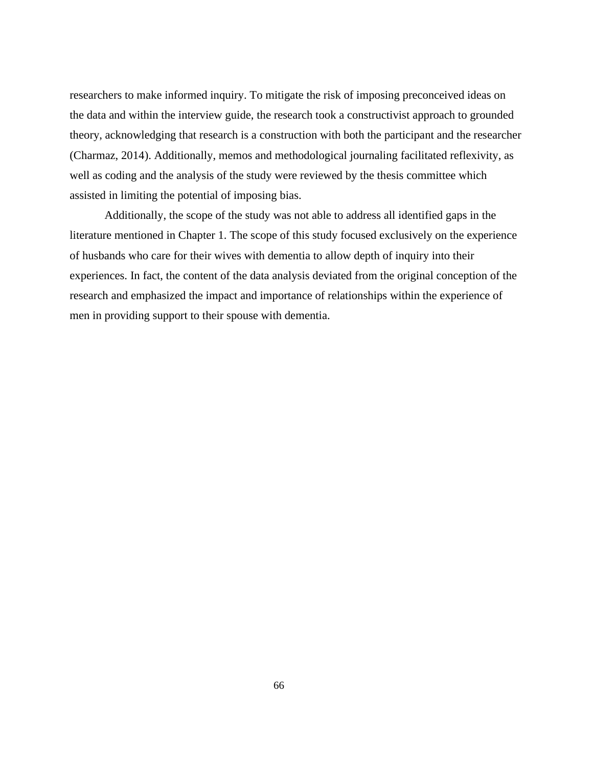researchers to make informed inquiry. To mitigate the risk of imposing preconceived ideas on the data and within the interview guide, the research took a constructivist approach to grounded theory, acknowledging that research is a construction with both the participant and the researcher (Charmaz, 2014). Additionally, memos and methodological journaling facilitated reflexivity, as well as coding and the analysis of the study were reviewed by the thesis committee which assisted in limiting the potential of imposing bias.

Additionally, the scope of the study was not able to address all identified gaps in the literature mentioned in Chapter 1. The scope of this study focused exclusively on the experience of husbands who care for their wives with dementia to allow depth of inquiry into their experiences. In fact, the content of the data analysis deviated from the original conception of the research and emphasized the impact and importance of relationships within the experience of men in providing support to their spouse with dementia.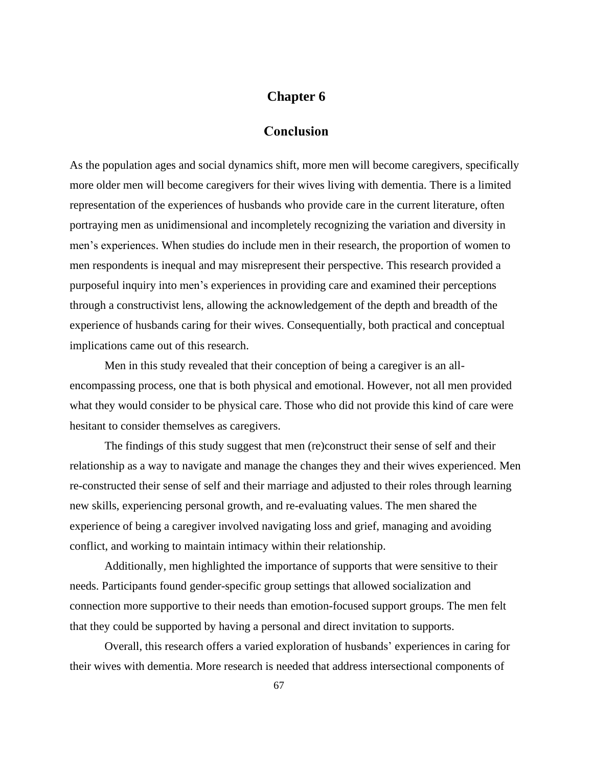#### **Chapter 6**

#### **Conclusion**

As the population ages and social dynamics shift, more men will become caregivers, specifically more older men will become caregivers for their wives living with dementia. There is a limited representation of the experiences of husbands who provide care in the current literature, often portraying men as unidimensional and incompletely recognizing the variation and diversity in men's experiences. When studies do include men in their research, the proportion of women to men respondents is inequal and may misrepresent their perspective. This research provided a purposeful inquiry into men's experiences in providing care and examined their perceptions through a constructivist lens, allowing the acknowledgement of the depth and breadth of the experience of husbands caring for their wives. Consequentially, both practical and conceptual implications came out of this research.

Men in this study revealed that their conception of being a caregiver is an allencompassing process, one that is both physical and emotional. However, not all men provided what they would consider to be physical care. Those who did not provide this kind of care were hesitant to consider themselves as caregivers.

The findings of this study suggest that men (re)construct their sense of self and their relationship as a way to navigate and manage the changes they and their wives experienced. Men re-constructed their sense of self and their marriage and adjusted to their roles through learning new skills, experiencing personal growth, and re-evaluating values. The men shared the experience of being a caregiver involved navigating loss and grief, managing and avoiding conflict, and working to maintain intimacy within their relationship.

Additionally, men highlighted the importance of supports that were sensitive to their needs. Participants found gender-specific group settings that allowed socialization and connection more supportive to their needs than emotion-focused support groups. The men felt that they could be supported by having a personal and direct invitation to supports.

Overall, this research offers a varied exploration of husbands' experiences in caring for their wives with dementia. More research is needed that address intersectional components of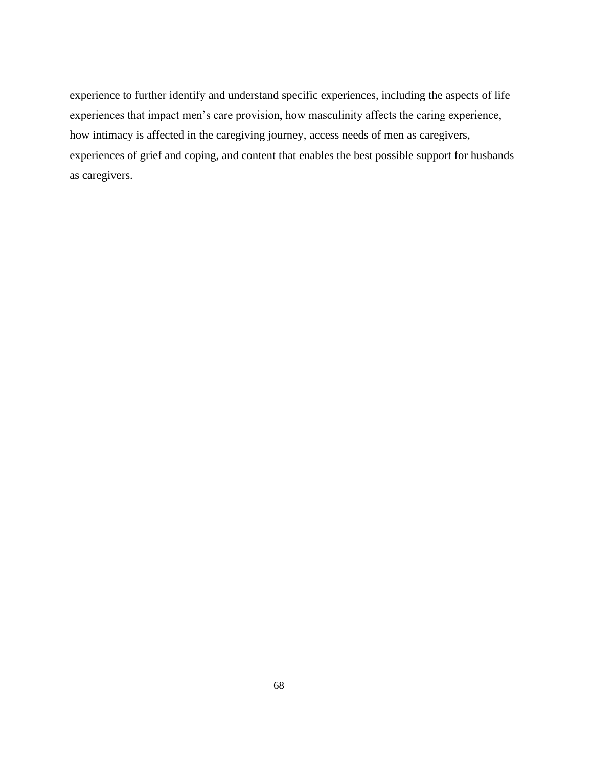experience to further identify and understand specific experiences, including the aspects of life experiences that impact men's care provision, how masculinity affects the caring experience, how intimacy is affected in the caregiving journey, access needs of men as caregivers, experiences of grief and coping, and content that enables the best possible support for husbands as caregivers.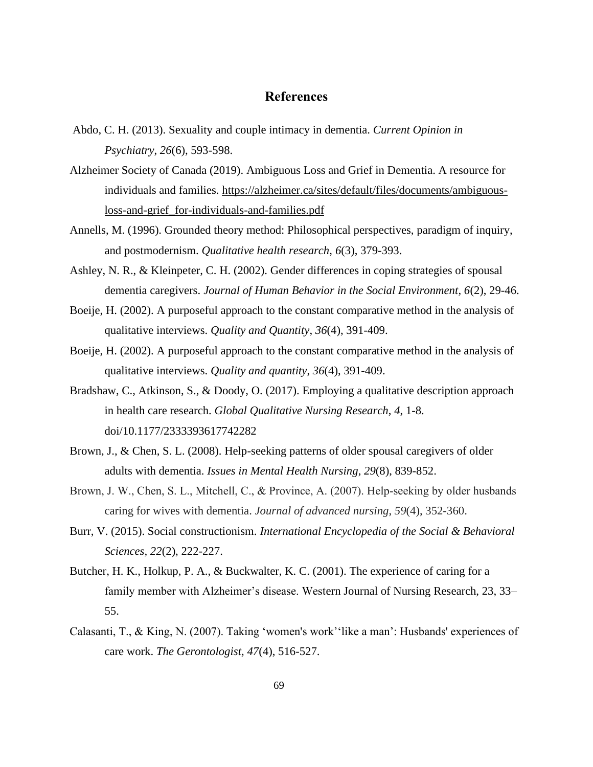#### **References**

- Abdo, C. H. (2013). Sexuality and couple intimacy in dementia. *Current Opinion in Psychiatry*, *26*(6), 593-598.
- Alzheimer Society of Canada (2019). Ambiguous Loss and Grief in Dementia. A resource for individuals and families. [https://alzheimer.ca/sites/default/files/documents/ambiguous](https://alzheimer.ca/sites/default/files/documents/ambiguous-loss-and-grief_for-individuals-and-families.pdf)[loss-and-grief\\_for-individuals-and-families.pdf](https://alzheimer.ca/sites/default/files/documents/ambiguous-loss-and-grief_for-individuals-and-families.pdf)
- Annells, M. (1996). Grounded theory method: Philosophical perspectives, paradigm of inquiry, and postmodernism. *Qualitative health research*, *6*(3), 379-393.
- Ashley, N. R., & Kleinpeter, C. H. (2002). Gender differences in coping strategies of spousal dementia caregivers. *Journal of Human Behavior in the Social Environment, 6*(2), 29-46.
- Boeije, H. (2002). A purposeful approach to the constant comparative method in the analysis of qualitative interviews. *Quality and Quantity*, *36*(4), 391-409.
- Boeije, H. (2002). A purposeful approach to the constant comparative method in the analysis of qualitative interviews. *Quality and quantity*, *36*(4), 391-409.
- Bradshaw, C., Atkinson, S., & Doody, O. (2017). Employing a qualitative description approach in health care research. *Global Qualitative Nursing Research*, *4*, 1-8. doi/10.1177/2333393617742282
- Brown, J., & Chen, S. L. (2008). Help-seeking patterns of older spousal caregivers of older adults with dementia. *Issues in Mental Health Nursing*, *29*(8), 839-852.
- Brown, J. W., Chen, S. L., Mitchell, C., & Province, A. (2007). Help-seeking by older husbands caring for wives with dementia. *Journal of advanced nursing*, *59*(4), 352-360.
- Burr, V. (2015). Social constructionism. *International Encyclopedia of the Social & Behavioral Sciences, 22*(2), 222-227.
- Butcher, H. K., Holkup, P. A., & Buckwalter, K. C. (2001). The experience of caring for a family member with Alzheimer's disease. Western Journal of Nursing Research, 23, 33– 55.
- Calasanti, T., & King, N. (2007). Taking 'women's work''like a man': Husbands' experiences of care work. *The Gerontologist, 47*(4), 516-527.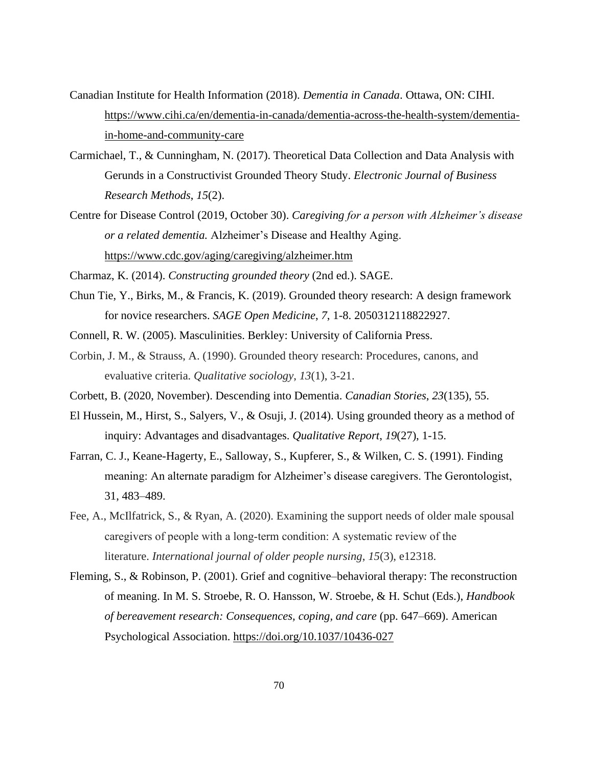- Canadian Institute for Health Information (2018). *Dementia in Canada*. Ottawa, ON: CIHI. [https://www.cihi.ca/en/dementia-in-canada/dementia-across-the-health-system/dementia](https://www.cihi.ca/en/dementia-in-canada/dementia-across-the-health-system/dementia-in-home-and-community-care)[in-home-and-community-care](https://www.cihi.ca/en/dementia-in-canada/dementia-across-the-health-system/dementia-in-home-and-community-care)
- Carmichael, T., & Cunningham, N. (2017). Theoretical Data Collection and Data Analysis with Gerunds in a Constructivist Grounded Theory Study. *Electronic Journal of Business Research Methods*, *15*(2).
- Centre for Disease Control (2019, October 30). *Caregiving for a person with Alzheimer's disease or a related dementia.* Alzheimer's Disease and Healthy Aging. <https://www.cdc.gov/aging/caregiving/alzheimer.htm>
- Charmaz, K. (2014). *Constructing grounded theory* (2nd ed.). SAGE.
- Chun Tie, Y., Birks, M., & Francis, K. (2019). Grounded theory research: A design framework for novice researchers. *SAGE Open Medicine*, *7*, 1-8. 2050312118822927.
- Connell, R. W. (2005). Masculinities. Berkley: University of California Press.
- Corbin, J. M., & Strauss, A. (1990). Grounded theory research: Procedures, canons, and evaluative criteria. *Qualitative sociology*, *13*(1), 3-21.
- Corbett, B. (2020, November). Descending into Dementia. *Canadian Stories*, *23*(135), 55.
- El Hussein, M., Hirst, S., Salyers, V., & Osuji, J. (2014). Using grounded theory as a method of inquiry: Advantages and disadvantages. *Qualitative Report*, *19*(27), 1-15.
- Farran, C. J., Keane-Hagerty, E., Salloway, S., Kupferer, S., & Wilken, C. S. (1991). Finding meaning: An alternate paradigm for Alzheimer's disease caregivers. The Gerontologist, 31, 483–489.
- Fee, A., McIlfatrick, S., & Ryan, A. (2020). Examining the support needs of older male spousal caregivers of people with a long‐term condition: A systematic review of the literature. *International journal of older people nursing*, *15*(3), e12318.
- Fleming, S., & Robinson, P. (2001). Grief and cognitive–behavioral therapy: The reconstruction of meaning. In M. S. Stroebe, R. O. Hansson, W. Stroebe, & H. Schut (Eds.), *Handbook of bereavement research: Consequences, coping, and care* (pp. 647–669). American Psychological Association. [https://doi.org/10.1037/10436-027](https://psycnet.apa.org/doi/10.1037/10436-027)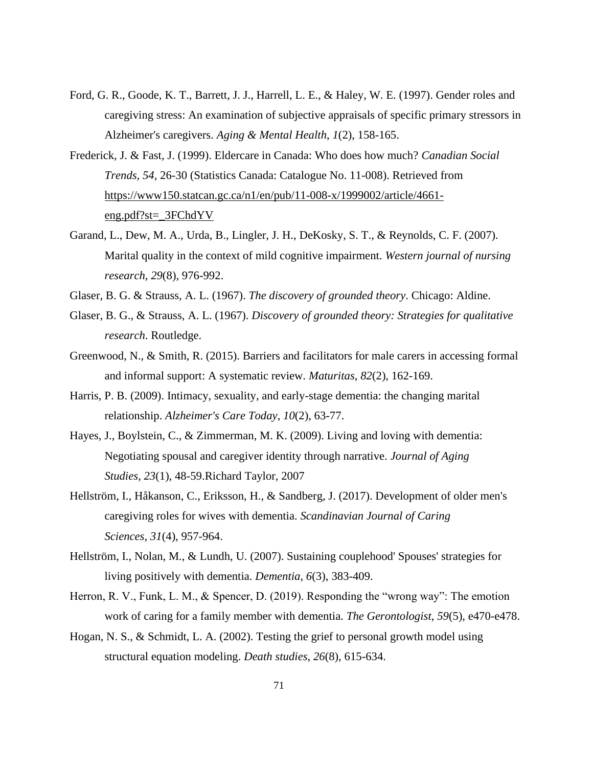- Ford, G. R., Goode, K. T., Barrett, J. J., Harrell, L. E., & Haley, W. E. (1997). Gender roles and caregiving stress: An examination of subjective appraisals of specific primary stressors in Alzheimer's caregivers. *Aging & Mental Health*, *1*(2), 158-165.
- Frederick, J. & Fast, J. (1999). Eldercare in Canada: Who does how much? *Canadian Social Trends, 54,* 26-30 (Statistics Canada: Catalogue No. 11-008). Retrieved from [https://www150.statcan.gc.ca/n1/en/pub/11-008-x/1999002/article/4661](https://www150.statcan.gc.ca/n1/en/pub/11-008-x/1999002/article/4661-eng.pdf?st=_3FChdYV) [eng.pdf?st=\\_3FChdYV](https://www150.statcan.gc.ca/n1/en/pub/11-008-x/1999002/article/4661-eng.pdf?st=_3FChdYV)
- Garand, L., Dew, M. A., Urda, B., Lingler, J. H., DeKosky, S. T., & Reynolds, C. F. (2007). Marital quality in the context of mild cognitive impairment. *Western journal of nursing research*, *29*(8), 976-992.
- Glaser, B. G. & Strauss, A. L. (1967). *The discovery of grounded theory*. Chicago: Aldine.
- Glaser, B. G., & Strauss, A. L. (1967). *Discovery of grounded theory: Strategies for qualitative research*. Routledge.
- Greenwood, N., & Smith, R. (2015). Barriers and facilitators for male carers in accessing formal and informal support: A systematic review. *Maturitas*, *82*(2), 162-169.
- Harris, P. B. (2009). Intimacy, sexuality, and early-stage dementia: the changing marital relationship. *Alzheimer's Care Today*, *10*(2), 63-77.
- Hayes, J., Boylstein, C., & Zimmerman, M. K. (2009). Living and loving with dementia: Negotiating spousal and caregiver identity through narrative. *Journal of Aging Studies*, *23*(1), 48-59.Richard Taylor, 2007
- Hellström, I., Håkanson, C., Eriksson, H., & Sandberg, J. (2017). Development of older men's caregiving roles for wives with dementia. *Scandinavian Journal of Caring Sciences*, *31*(4), 957-964.
- Hellström, I., Nolan, M., & Lundh, U. (2007). Sustaining couplehood' Spouses' strategies for living positively with dementia. *Dementia*, *6*(3), 383-409.
- Herron, R. V., Funk, L. M., & Spencer, D. (2019). Responding the "wrong way": The emotion work of caring for a family member with dementia. *The Gerontologist*, *59*(5), e470-e478.
- Hogan, N. S., & Schmidt, L. A. (2002). Testing the grief to personal growth model using structural equation modeling. *Death studies*, *26*(8), 615-634.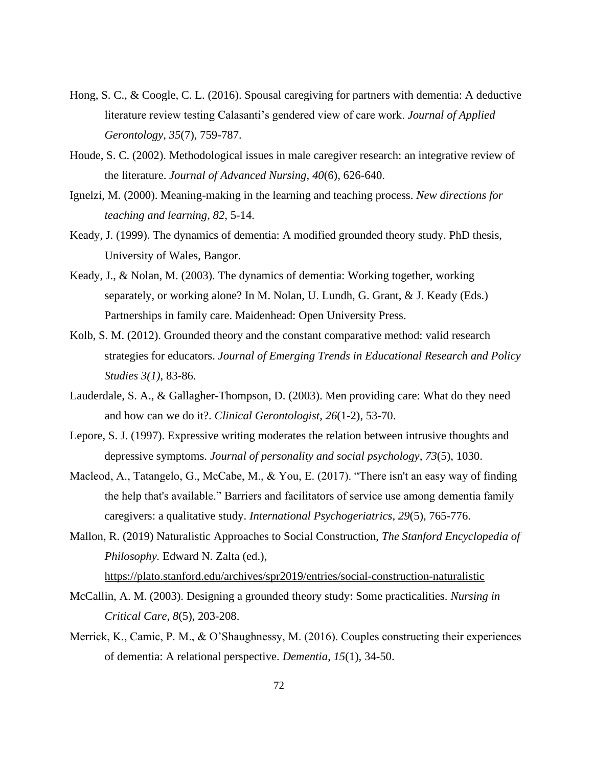- Hong, S. C., & Coogle, C. L. (2016). Spousal caregiving for partners with dementia: A deductive literature review testing Calasanti's gendered view of care work. *Journal of Applied Gerontology*, *35*(7), 759-787.
- Houde, S. C. (2002). Methodological issues in male caregiver research: an integrative review of the literature. *Journal of Advanced Nursing*, *40*(6), 626-640.
- Ignelzi, M. (2000). Meaning-making in the learning and teaching process. *New directions for teaching and learning*, *82*, 5-14.
- Keady, J. (1999). The dynamics of dementia: A modified grounded theory study. PhD thesis, University of Wales, Bangor.
- Keady, J., & Nolan, M. (2003). The dynamics of dementia: Working together, working separately, or working alone? In M. Nolan, U. Lundh, G. Grant, & J. Keady (Eds.) Partnerships in family care. Maidenhead: Open University Press.
- Kolb, S. M. (2012). Grounded theory and the constant comparative method: valid research strategies for educators. *Journal of Emerging Trends in Educational Research and Policy Studies 3(1)*, 83-86.
- Lauderdale, S. A., & Gallagher-Thompson, D. (2003). Men providing care: What do they need and how can we do it?. *Clinical Gerontologist*, *26*(1-2), 53-70.
- Lepore, S. J. (1997). Expressive writing moderates the relation between intrusive thoughts and depressive symptoms. *Journal of personality and social psychology*, *73*(5), 1030.
- Macleod, A., Tatangelo, G., McCabe, M., & You, E. (2017). "There isn't an easy way of finding the help that's available." Barriers and facilitators of service use among dementia family caregivers: a qualitative study. *International Psychogeriatrics*, *29*(5), 765-776.
- Mallon, R. (2019) Naturalistic Approaches to Social Construction, *The Stanford Encyclopedia of Philosophy.* Edward N. Zalta (ed.),

<https://plato.stanford.edu/archives/spr2019/entries/social-construction-naturalistic>

- McCallin, A. M. (2003). Designing a grounded theory study: Some practicalities. *Nursing in Critical Care*, *8*(5), 203-208.
- Merrick, K., Camic, P. M., & O'Shaughnessy, M. (2016). Couples constructing their experiences of dementia: A relational perspective. *Dementia*, *15*(1), 34-50.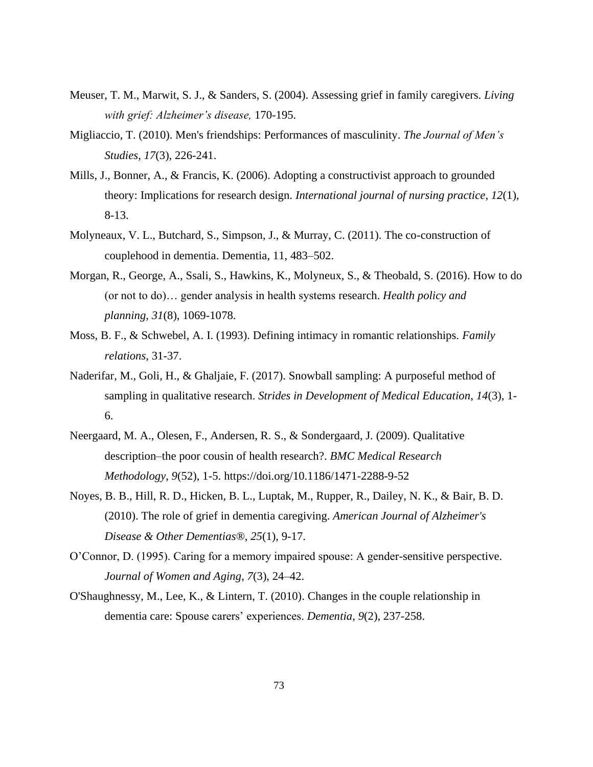- Meuser, T. M., Marwit, S. J., & Sanders, S. (2004). Assessing grief in family caregivers. *Living with grief: Alzheimer's disease,* 170-195.
- Migliaccio, T. (2010). Men's friendships: Performances of masculinity. *The Journal of Men's Studies*, *17*(3), 226-241.
- Mills, J., Bonner, A., & Francis, K. (2006). Adopting a constructivist approach to grounded theory: Implications for research design. *International journal of nursing practice*, *12*(1), 8-13.
- Molyneaux, V. L., Butchard, S., Simpson, J., & Murray, C. (2011). The co-construction of couplehood in dementia. Dementia, 11, 483–502.
- Morgan, R., George, A., Ssali, S., Hawkins, K., Molyneux, S., & Theobald, S. (2016). How to do (or not to do)… gender analysis in health systems research. *Health policy and planning*, *31*(8), 1069-1078.
- Moss, B. F., & Schwebel, A. I. (1993). Defining intimacy in romantic relationships. *Family relations*, 31-37.
- Naderifar, M., Goli, H., & Ghaljaie, F. (2017). Snowball sampling: A purposeful method of sampling in qualitative research. *Strides in Development of Medical Education*, *14*(3), 1- 6.
- Neergaard, M. A., Olesen, F., Andersen, R. S., & Sondergaard, J. (2009). Qualitative description–the poor cousin of health research?. *BMC Medical Research Methodology*, *9*(52), 1-5. https://doi.org/10.1186/1471-2288-9-52
- Noyes, B. B., Hill, R. D., Hicken, B. L., Luptak, M., Rupper, R., Dailey, N. K., & Bair, B. D. (2010). The role of grief in dementia caregiving. *American Journal of Alzheimer's Disease & Other Dementias®*, *25*(1), 9-17.
- O'Connor, D. (1995). Caring for a memory impaired spouse: A gender-sensitive perspective. *Journal of Women and Aging*, *7*(3), 24–42.
- O'Shaughnessy, M., Lee, K., & Lintern, T. (2010). Changes in the couple relationship in dementia care: Spouse carers' experiences. *Dementia*, *9*(2), 237-258.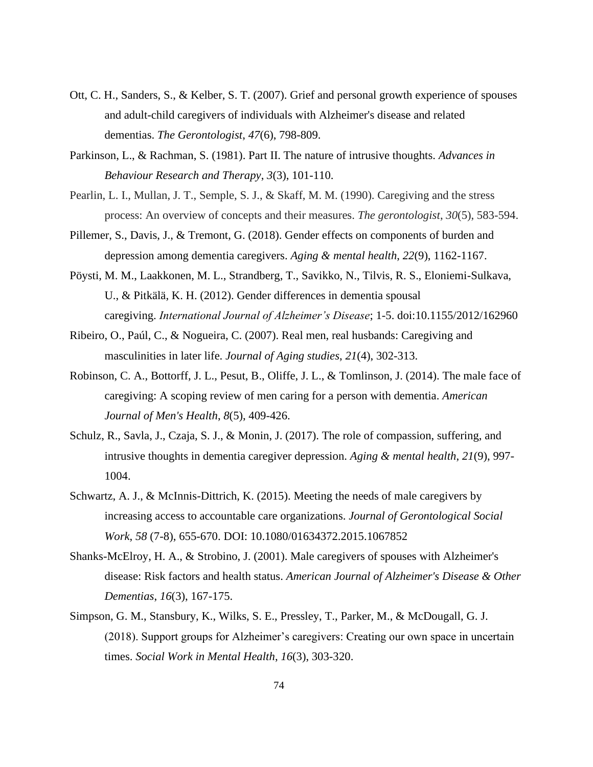- Ott, C. H., Sanders, S., & Kelber, S. T. (2007). Grief and personal growth experience of spouses and adult-child caregivers of individuals with Alzheimer's disease and related dementias. *The Gerontologist*, *47*(6), 798-809.
- Parkinson, L., & Rachman, S. (1981). Part II. The nature of intrusive thoughts. *Advances in Behaviour Research and Therapy*, *3*(3), 101-110.
- Pearlin, L. I., Mullan, J. T., Semple, S. J., & Skaff, M. M. (1990). Caregiving and the stress process: An overview of concepts and their measures. *The gerontologist*, *30*(5), 583-594.
- Pillemer, S., Davis, J., & Tremont, G. (2018). Gender effects on components of burden and depression among dementia caregivers. *Aging & mental health*, *22*(9), 1162-1167.
- Pöysti, M. M., Laakkonen, M. L., Strandberg, T., Savikko, N., Tilvis, R. S., Eloniemi-Sulkava, U., & Pitkälä, K. H. (2012). Gender differences in dementia spousal caregiving. *International Journal of Alzheimer's Disease*; 1-5. doi:10.1155/2012/162960
- Ribeiro, O., Paúl, C., & Nogueira, C. (2007). Real men, real husbands: Caregiving and masculinities in later life. *Journal of Aging studies*, *21*(4), 302-313.
- Robinson, C. A., Bottorff, J. L., Pesut, B., Oliffe, J. L., & Tomlinson, J. (2014). The male face of caregiving: A scoping review of men caring for a person with dementia. *American Journal of Men's Health*, *8*(5), 409-426.
- Schulz, R., Savla, J., Czaja, S. J., & Monin, J. (2017). The role of compassion, suffering, and intrusive thoughts in dementia caregiver depression. *Aging & mental health*, *21*(9), 997- 1004.
- Schwartz, A. J., & McInnis-Dittrich, K. (2015). Meeting the needs of male caregivers by increasing access to accountable care organizations. *Journal of Gerontological Social Work*, *58* (7-8), 655-670. DOI: 10.1080/01634372.2015.1067852
- Shanks-McElroy, H. A., & Strobino, J. (2001). Male caregivers of spouses with Alzheimer's disease: Risk factors and health status. *American Journal of Alzheimer's Disease & Other Dementias*, *16*(3), 167-175.
- Simpson, G. M., Stansbury, K., Wilks, S. E., Pressley, T., Parker, M., & McDougall, G. J. (2018). Support groups for Alzheimer's caregivers: Creating our own space in uncertain times. *Social Work in Mental Health*, *16*(3), 303-320.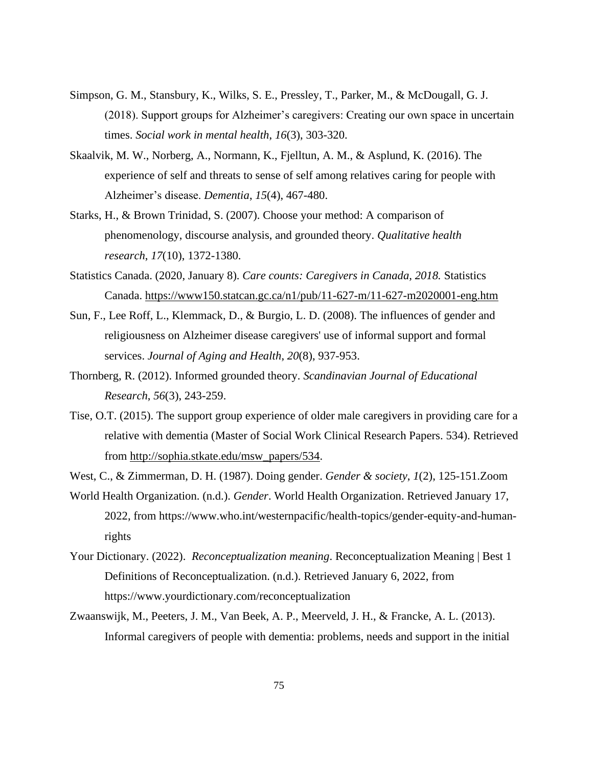- Simpson, G. M., Stansbury, K., Wilks, S. E., Pressley, T., Parker, M., & McDougall, G. J. (2018). Support groups for Alzheimer's caregivers: Creating our own space in uncertain times. *Social work in mental health*, *16*(3), 303-320.
- Skaalvik, M. W., Norberg, A., Normann, K., Fjelltun, A. M., & Asplund, K. (2016). The experience of self and threats to sense of self among relatives caring for people with Alzheimer's disease. *Dementia*, *15*(4), 467-480.
- Starks, H., & Brown Trinidad, S. (2007). Choose your method: A comparison of phenomenology, discourse analysis, and grounded theory. *Qualitative health research*, *17*(10), 1372-1380.
- Statistics Canada. (2020, January 8). *Care counts: Caregivers in Canada, 2018.* Statistics Canada.<https://www150.statcan.gc.ca/n1/pub/11-627-m/11-627-m2020001-eng.htm>
- Sun, F., Lee Roff, L., Klemmack, D., & Burgio, L. D. (2008). The influences of gender and religiousness on Alzheimer disease caregivers' use of informal support and formal services. *Journal of Aging and Health*, *20*(8), 937-953.
- Thornberg, R. (2012). Informed grounded theory. *Scandinavian Journal of Educational Research*, *56*(3), 243-259.
- Tise, O.T. (2015). The support group experience of older male caregivers in providing care for a relative with dementia (Master of Social Work Clinical Research Papers. 534). Retrieved from [http://sophia.stkate.edu/msw\\_papers/534.](http://sophia.stkate.edu/msw_papers/534)
- West, C., & Zimmerman, D. H. (1987). Doing gender. *Gender & society*, *1*(2), 125-151.Zoom
- World Health Organization. (n.d.). *Gender*. World Health Organization. Retrieved January 17, 2022, from https://www.who.int/westernpacific/health-topics/gender-equity-and-humanrights
- Your Dictionary. (2022). *Reconceptualization meaning*. Reconceptualization Meaning | Best 1 Definitions of Reconceptualization. (n.d.). Retrieved January 6, 2022, from https://www.yourdictionary.com/reconceptualization
- Zwaanswijk, M., Peeters, J. M., Van Beek, A. P., Meerveld, J. H., & Francke, A. L. (2013). Informal caregivers of people with dementia: problems, needs and support in the initial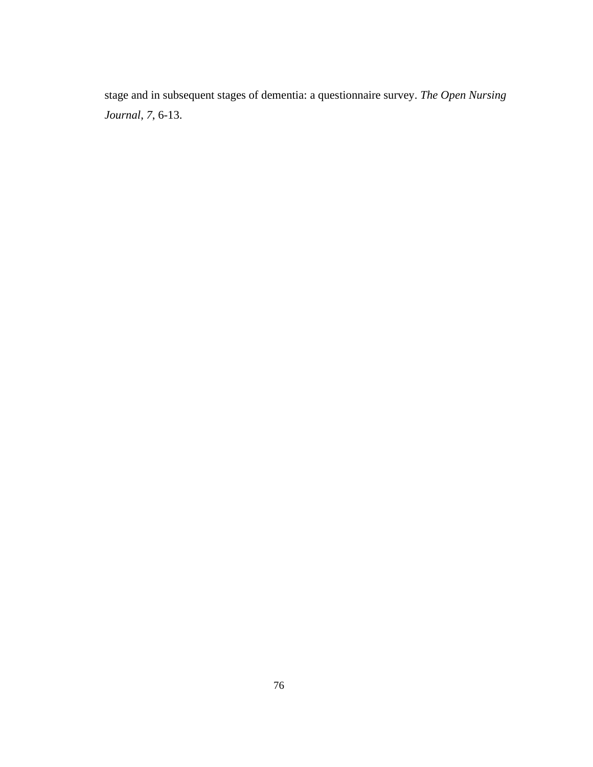stage and in subsequent stages of dementia: a questionnaire survey. *The Open Nursing Journal*, *7*, 6-13.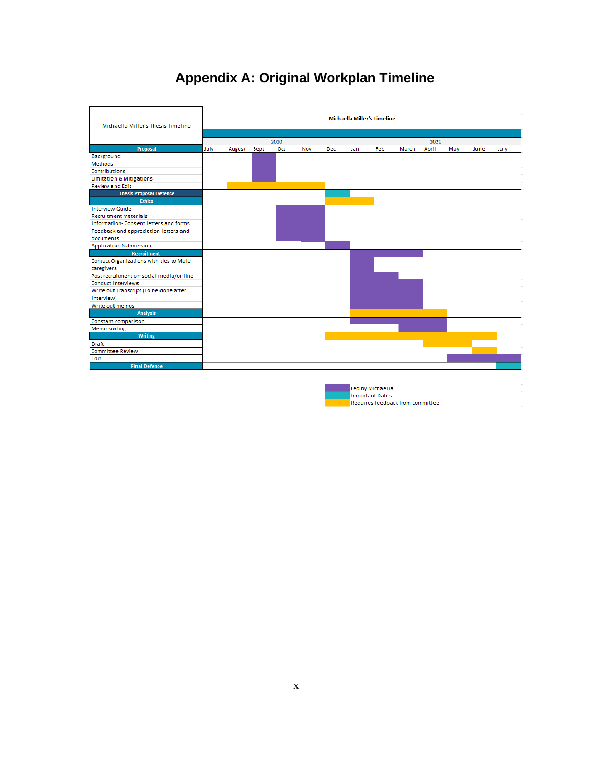# **Appendix A: Original Workplan Timeline**



Led by Michaella **Important Dates** Requires feedback from committee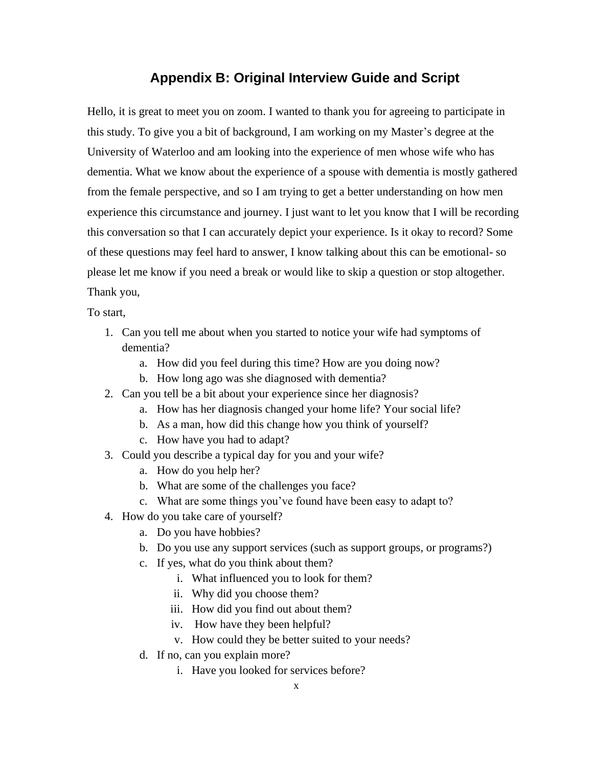### **Appendix B: Original Interview Guide and Script**

Hello, it is great to meet you on zoom. I wanted to thank you for agreeing to participate in this study. To give you a bit of background, I am working on my Master's degree at the University of Waterloo and am looking into the experience of men whose wife who has dementia. What we know about the experience of a spouse with dementia is mostly gathered from the female perspective, and so I am trying to get a better understanding on how men experience this circumstance and journey. I just want to let you know that I will be recording this conversation so that I can accurately depict your experience. Is it okay to record? Some of these questions may feel hard to answer, I know talking about this can be emotional- so please let me know if you need a break or would like to skip a question or stop altogether. Thank you,

To start,

- 1. Can you tell me about when you started to notice your wife had symptoms of dementia?
	- a. How did you feel during this time? How are you doing now?
	- b. How long ago was she diagnosed with dementia?
- 2. Can you tell be a bit about your experience since her diagnosis?
	- a. How has her diagnosis changed your home life? Your social life?
	- b. As a man, how did this change how you think of yourself?
	- c. How have you had to adapt?
- 3. Could you describe a typical day for you and your wife?
	- a. How do you help her?
	- b. What are some of the challenges you face?
	- c. What are some things you've found have been easy to adapt to?
- 4. How do you take care of yourself?
	- a. Do you have hobbies?
	- b. Do you use any support services (such as support groups, or programs?)
	- c. If yes, what do you think about them?
		- i. What influenced you to look for them?
		- ii. Why did you choose them?
		- iii. How did you find out about them?
		- iv. How have they been helpful?
		- v. How could they be better suited to your needs?
	- d. If no, can you explain more?
		- i. Have you looked for services before?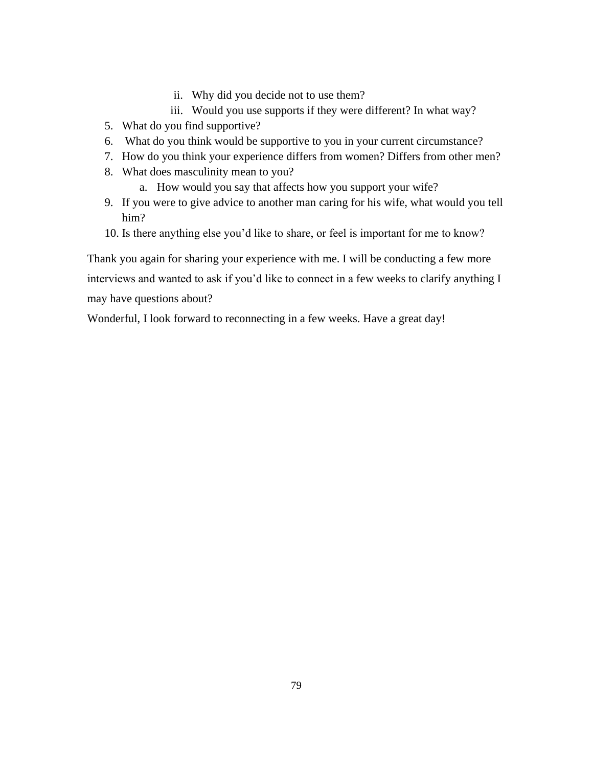- ii. Why did you decide not to use them?
- iii. Would you use supports if they were different? In what way?
- 5. What do you find supportive?
- 6. What do you think would be supportive to you in your current circumstance?
- 7. How do you think your experience differs from women? Differs from other men?
- 8. What does masculinity mean to you?
	- a. How would you say that affects how you support your wife?
- 9. If you were to give advice to another man caring for his wife, what would you tell him?
- 10. Is there anything else you'd like to share, or feel is important for me to know?

Thank you again for sharing your experience with me. I will be conducting a few more interviews and wanted to ask if you'd like to connect in a few weeks to clarify anything I may have questions about?

Wonderful, I look forward to reconnecting in a few weeks. Have a great day!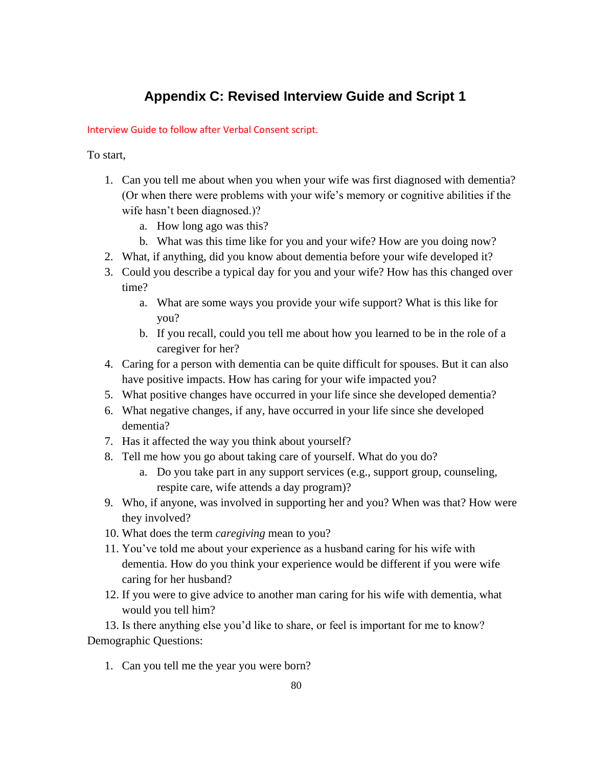## **Appendix C: Revised Interview Guide and Script 1**

#### Interview Guide to follow after Verbal Consent script.

To start,

- 1. Can you tell me about when you when your wife was first diagnosed with dementia? (Or when there were problems with your wife's memory or cognitive abilities if the wife hasn't been diagnosed.)?
	- a. How long ago was this?
	- b. What was this time like for you and your wife? How are you doing now?
- 2. What, if anything, did you know about dementia before your wife developed it?
- 3. Could you describe a typical day for you and your wife? How has this changed over time?
	- a. What are some ways you provide your wife support? What is this like for you?
	- b. If you recall, could you tell me about how you learned to be in the role of a caregiver for her?
- 4. Caring for a person with dementia can be quite difficult for spouses. But it can also have positive impacts. How has caring for your wife impacted you?
- 5. What positive changes have occurred in your life since she developed dementia?
- 6. What negative changes, if any, have occurred in your life since she developed dementia?
- 7. Has it affected the way you think about yourself?
- 8. Tell me how you go about taking care of yourself. What do you do?
	- a. Do you take part in any support services (e.g., support group, counseling, respite care, wife attends a day program)?
- 9. Who, if anyone, was involved in supporting her and you? When was that? How were they involved?
- 10. What does the term *caregiving* mean to you?
- 11. You've told me about your experience as a husband caring for his wife with dementia. How do you think your experience would be different if you were wife caring for her husband?
- 12. If you were to give advice to another man caring for his wife with dementia, what would you tell him?

13. Is there anything else you'd like to share, or feel is important for me to know? Demographic Questions:

1. Can you tell me the year you were born?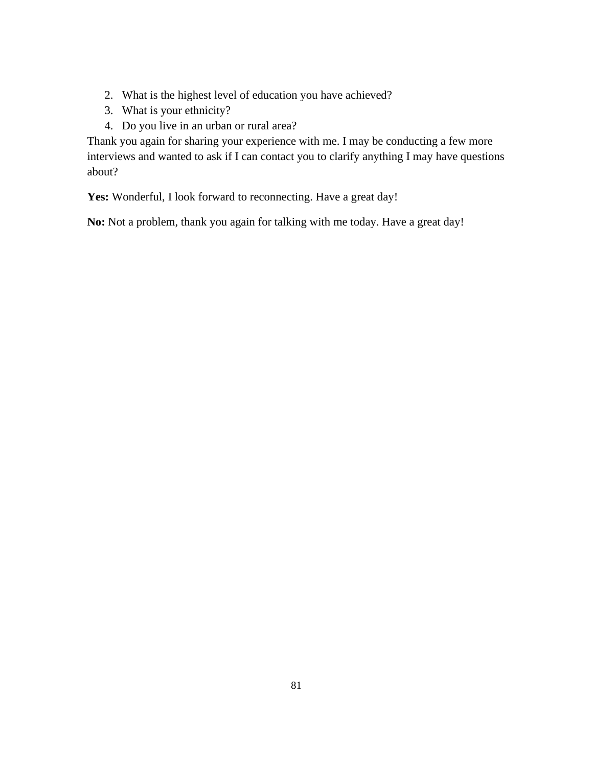- 2. What is the highest level of education you have achieved?
- 3. What is your ethnicity?
- 4. Do you live in an urban or rural area?

Thank you again for sharing your experience with me. I may be conducting a few more interviews and wanted to ask if I can contact you to clarify anything I may have questions about?

Yes: Wonderful, I look forward to reconnecting. Have a great day!

**No:** Not a problem, thank you again for talking with me today. Have a great day!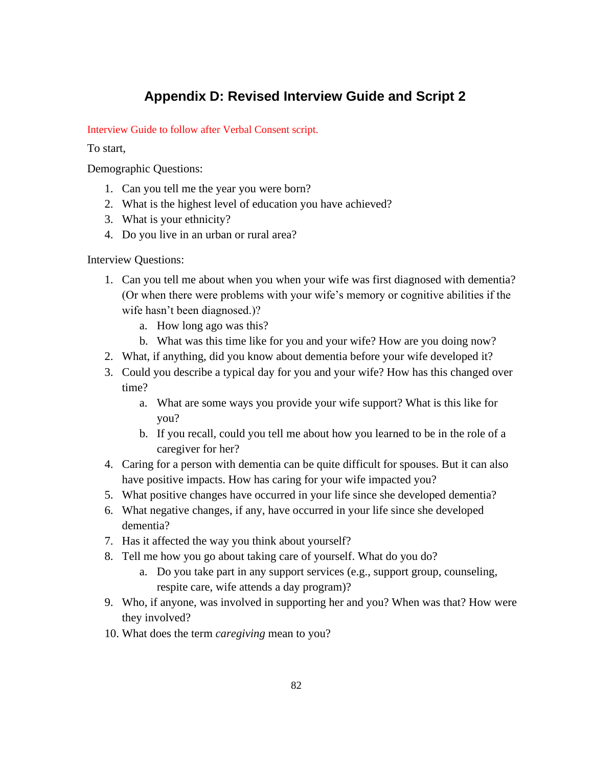## **Appendix D: Revised Interview Guide and Script 2**

#### Interview Guide to follow after Verbal Consent script.

To start,

Demographic Questions:

- 1. Can you tell me the year you were born?
- 2. What is the highest level of education you have achieved?
- 3. What is your ethnicity?
- 4. Do you live in an urban or rural area?

Interview Questions:

- 1. Can you tell me about when you when your wife was first diagnosed with dementia? (Or when there were problems with your wife's memory or cognitive abilities if the wife hasn't been diagnosed.)?
	- a. How long ago was this?
	- b. What was this time like for you and your wife? How are you doing now?
- 2. What, if anything, did you know about dementia before your wife developed it?
- 3. Could you describe a typical day for you and your wife? How has this changed over time?
	- a. What are some ways you provide your wife support? What is this like for you?
	- b. If you recall, could you tell me about how you learned to be in the role of a caregiver for her?
- 4. Caring for a person with dementia can be quite difficult for spouses. But it can also have positive impacts. How has caring for your wife impacted you?
- 5. What positive changes have occurred in your life since she developed dementia?
- 6. What negative changes, if any, have occurred in your life since she developed dementia?
- 7. Has it affected the way you think about yourself?
- 8. Tell me how you go about taking care of yourself. What do you do?
	- a. Do you take part in any support services (e.g., support group, counseling, respite care, wife attends a day program)?
- 9. Who, if anyone, was involved in supporting her and you? When was that? How were they involved?
- 10. What does the term *caregiving* mean to you?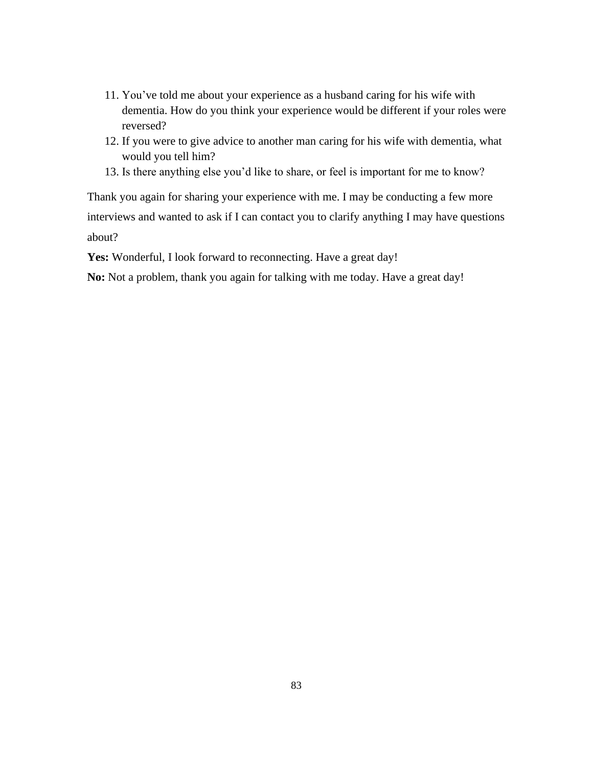- 11. You've told me about your experience as a husband caring for his wife with dementia. How do you think your experience would be different if your roles were reversed?
- 12. If you were to give advice to another man caring for his wife with dementia, what would you tell him?
- 13. Is there anything else you'd like to share, or feel is important for me to know?

Thank you again for sharing your experience with me. I may be conducting a few more interviews and wanted to ask if I can contact you to clarify anything I may have questions about?

Yes: Wonderful, I look forward to reconnecting. Have a great day!

**No:** Not a problem, thank you again for talking with me today. Have a great day!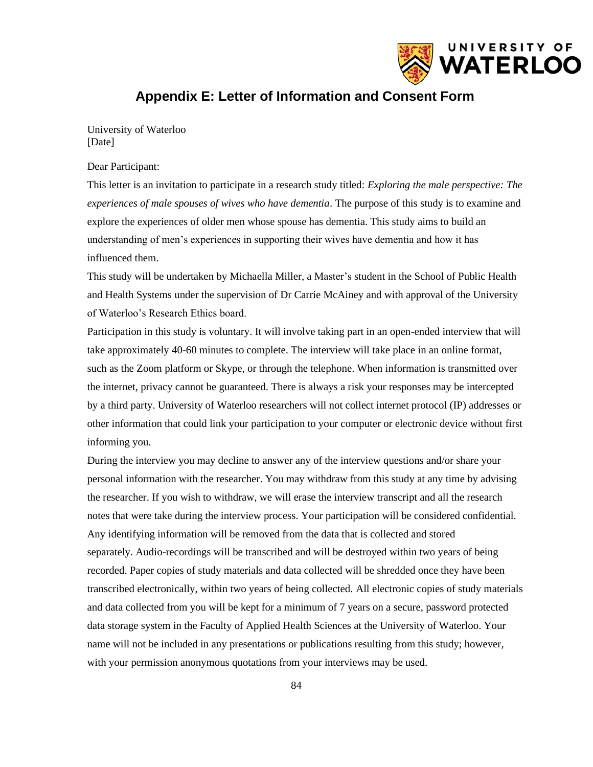

## **Appendix E: Letter of Information and Consent Form**

University of Waterloo [Date]

#### Dear Participant:

This letter is an invitation to participate in a research study titled: *Exploring the male perspective: The experiences of male spouses of wives who have dementia*. The purpose of this study is to examine and explore the experiences of older men whose spouse has dementia. This study aims to build an understanding of men's experiences in supporting their wives have dementia and how it has influenced them.

This study will be undertaken by Michaella Miller, a Master's student in the School of Public Health and Health Systems under the supervision of Dr Carrie McAiney and with approval of the University of Waterloo's Research Ethics board.

Participation in this study is voluntary. It will involve taking part in an open-ended interview that will take approximately 40-60 minutes to complete. The interview will take place in an online format, such as the Zoom platform or Skype, or through the telephone. When information is transmitted over the internet, privacy cannot be guaranteed. There is always a risk your responses may be intercepted by a third party. University of Waterloo researchers will not collect internet protocol (IP) addresses or other information that could link your participation to your computer or electronic device without first informing you.

During the interview you may decline to answer any of the interview questions and/or share your personal information with the researcher. You may withdraw from this study at any time by advising the researcher. If you wish to withdraw, we will erase the interview transcript and all the research notes that were take during the interview process. Your participation will be considered confidential. Any identifying information will be removed from the data that is collected and stored separately. Audio-recordings will be transcribed and will be destroyed within two years of being recorded. Paper copies of study materials and data collected will be shredded once they have been transcribed electronically, within two years of being collected. All electronic copies of study materials and data collected from you will be kept for a minimum of 7 years on a secure, password protected data storage system in the Faculty of Applied Health Sciences at the University of Waterloo. Your name will not be included in any presentations or publications resulting from this study; however, with your permission anonymous quotations from your interviews may be used.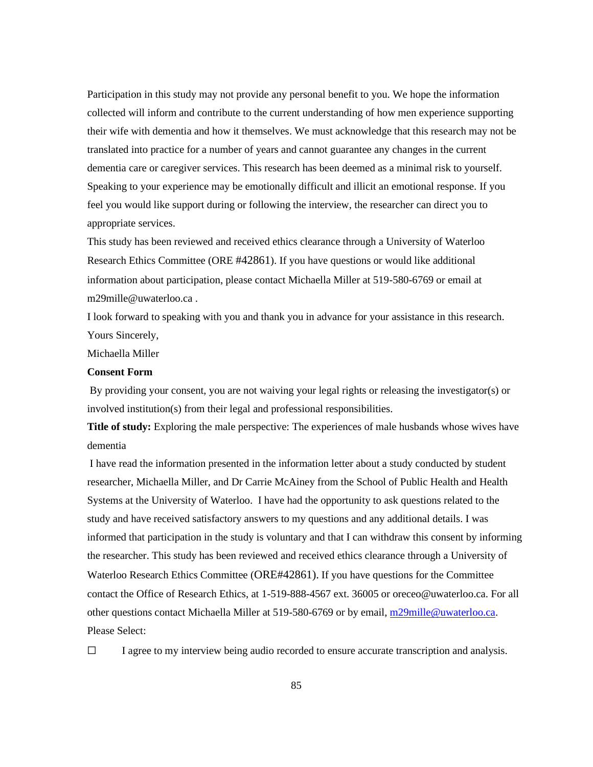Participation in this study may not provide any personal benefit to you. We hope the information collected will inform and contribute to the current understanding of how men experience supporting their wife with dementia and how it themselves. We must acknowledge that this research may not be translated into practice for a number of years and cannot guarantee any changes in the current dementia care or caregiver services. This research has been deemed as a minimal risk to yourself. Speaking to your experience may be emotionally difficult and illicit an emotional response. If you feel you would like support during or following the interview, the researcher can direct you to appropriate services.

This study has been reviewed and received ethics clearance through a University of Waterloo Research Ethics Committee (ORE #42861). If you have questions or would like additional information about participation, please contact Michaella Miller at 519-580-6769 or email at m29mille@uwaterloo.ca .

I look forward to speaking with you and thank you in advance for your assistance in this research. Yours Sincerely,

Michaella Miller

#### **Consent Form**

By providing your consent, you are not waiving your legal rights or releasing the investigator(s) or involved institution(s) from their legal and professional responsibilities.

**Title of study:** Exploring the male perspective: The experiences of male husbands whose wives have dementia

I have read the information presented in the information letter about a study conducted by student researcher, Michaella Miller, and Dr Carrie McAiney from the School of Public Health and Health Systems at the University of Waterloo. I have had the opportunity to ask questions related to the study and have received satisfactory answers to my questions and any additional details. I was informed that participation in the study is voluntary and that I can withdraw this consent by informing the researcher. This study has been reviewed and received ethics clearance through a University of Waterloo Research Ethics Committee (ORE#42861). If you have questions for the Committee contact the Office of Research Ethics, at 1-519-888-4567 ext. 36005 or oreceo@uwaterloo.ca. For all other questions contact Michaella Miller at 519-580-6769 or by email, [m29mille@uwaterloo.ca.](mailto:m29mille@uwaterloo.ca) Please Select:

 $\Box$  I agree to my interview being audio recorded to ensure accurate transcription and analysis.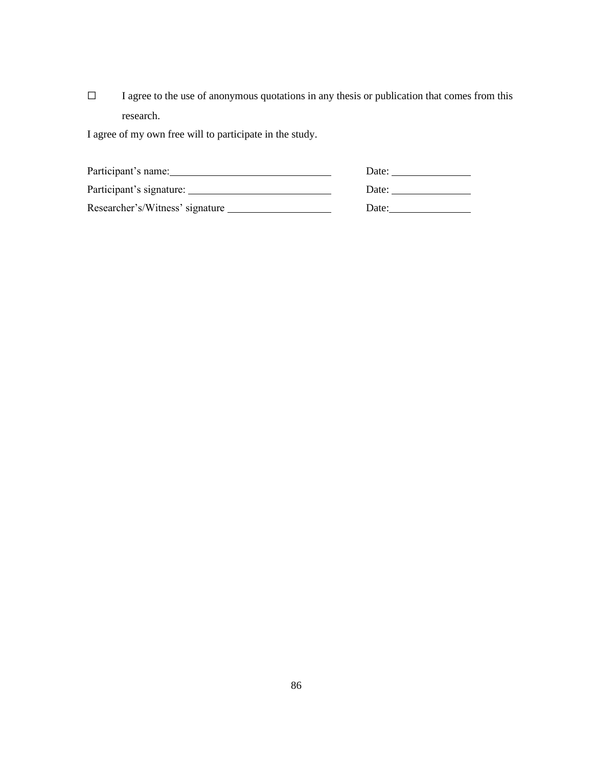☐ I agree to the use of anonymous quotations in any thesis or publication that comes from this research.

I agree of my own free will to participate in the study.

| Participant's name:             | Date: |
|---------------------------------|-------|
| Participant's signature:        | Date: |
| Researcher's/Witness' signature | Date: |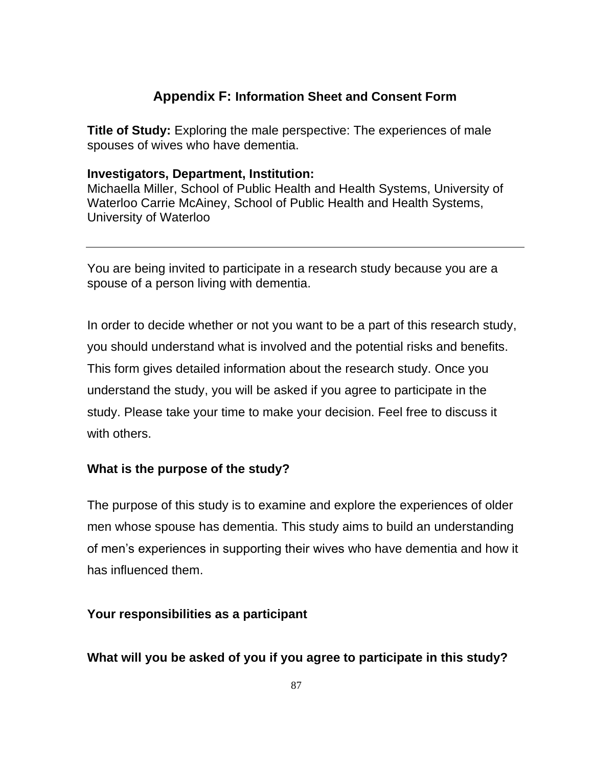## **Appendix F: Information Sheet and Consent Form**

**Title of Study:** Exploring the male perspective: The experiences of male spouses of wives who have dementia.

#### **Investigators, Department, Institution:**

Michaella Miller, School of Public Health and Health Systems, University of Waterloo Carrie McAiney, School of Public Health and Health Systems, University of Waterloo

You are being invited to participate in a research study because you are a spouse of a person living with dementia.

In order to decide whether or not you want to be a part of this research study, you should understand what is involved and the potential risks and benefits. This form gives detailed information about the research study. Once you understand the study, you will be asked if you agree to participate in the study. Please take your time to make your decision. Feel free to discuss it with others.

### **What is the purpose of the study?**

The purpose of this study is to examine and explore the experiences of older men whose spouse has dementia. This study aims to build an understanding of men's experiences in supporting their wives who have dementia and how it has influenced them.

### **Your responsibilities as a participant**

### **What will you be asked of you if you agree to participate in this study?**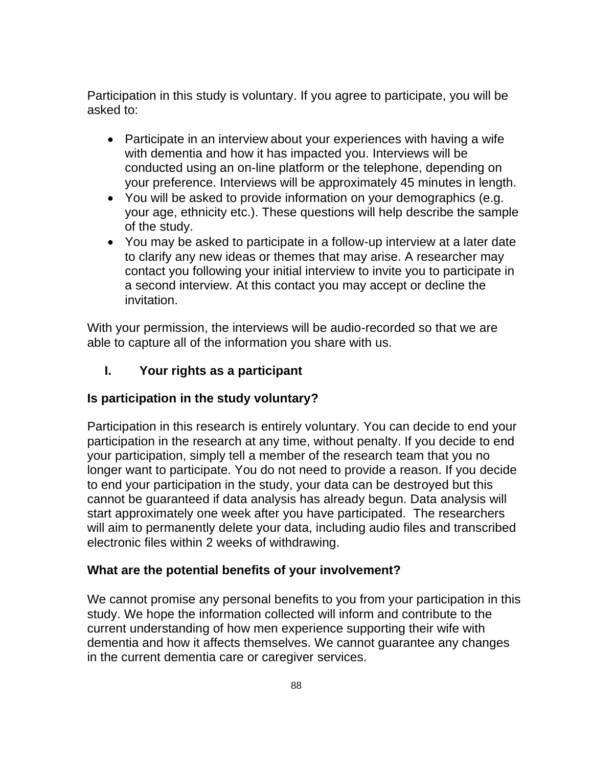Participation in this study is voluntary. If you agree to participate, you will be asked to:

- Participate in an interview about your experiences with having a wife with dementia and how it has impacted you. Interviews will be conducted using an on-line platform or the telephone, depending on your preference. Interviews will be approximately 45 minutes in length.
- You will be asked to provide information on your demographics (e.g. your age, ethnicity etc.). These questions will help describe the sample of the study.
- You may be asked to participate in a follow-up interview at a later date to clarify any new ideas or themes that may arise. A researcher may contact you following your initial interview to invite you to participate in a second interview. At this contact you may accept or decline the invitation.

With your permission, the interviews will be audio-recorded so that we are able to capture all of the information you share with us.

## **I. Your rights as a participant**

### **Is participation in the study voluntary?**

Participation in this research is entirely voluntary. You can decide to end your participation in the research at any time, without penalty. If you decide to end your participation, simply tell a member of the research team that you no longer want to participate. You do not need to provide a reason. If you decide to end your participation in the study, your data can be destroyed but this cannot be guaranteed if data analysis has already begun. Data analysis will start approximately one week after you have participated. The researchers will aim to permanently delete your data, including audio files and transcribed electronic files within 2 weeks of withdrawing.

### **What are the potential benefits of your involvement?**

We cannot promise any personal benefits to you from your participation in this study. We hope the information collected will inform and contribute to the current understanding of how men experience supporting their wife with dementia and how it affects themselves. We cannot guarantee any changes in the current dementia care or caregiver services.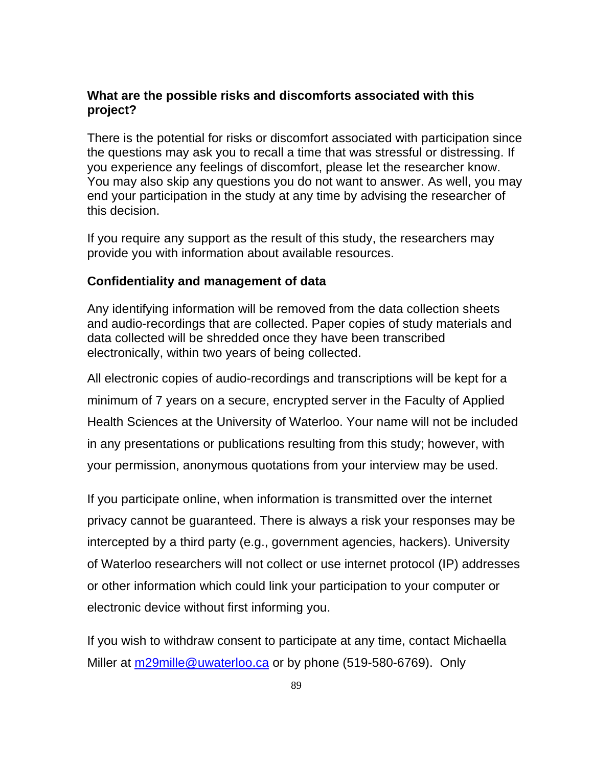### **What are the possible risks and discomforts associated with this project?**

There is the potential for risks or discomfort associated with participation since the questions may ask you to recall a time that was stressful or distressing. If you experience any feelings of discomfort, please let the researcher know. You may also skip any questions you do not want to answer. As well, you may end your participation in the study at any time by advising the researcher of this decision.

If you require any support as the result of this study, the researchers may provide you with information about available resources.

### **Confidentiality and management of data**

Any identifying information will be removed from the data collection sheets and audio-recordings that are collected. Paper copies of study materials and data collected will be shredded once they have been transcribed electronically, within two years of being collected.

All electronic copies of audio-recordings and transcriptions will be kept for a minimum of 7 years on a secure, encrypted server in the Faculty of Applied Health Sciences at the University of Waterloo. Your name will not be included in any presentations or publications resulting from this study; however, with your permission, anonymous quotations from your interview may be used.

If you participate online, when information is transmitted over the internet privacy cannot be guaranteed. There is always a risk your responses may be intercepted by a third party (e.g., government agencies, hackers). University of Waterloo researchers will not collect or use internet protocol (IP) addresses or other information which could link your participation to your computer or electronic device without first informing you.

If you wish to withdraw consent to participate at any time, contact Michaella Miller at [m29mille@uwaterloo.ca](mailto:m29mille@uwaterloo.ca) or by phone (519-580-6769). Only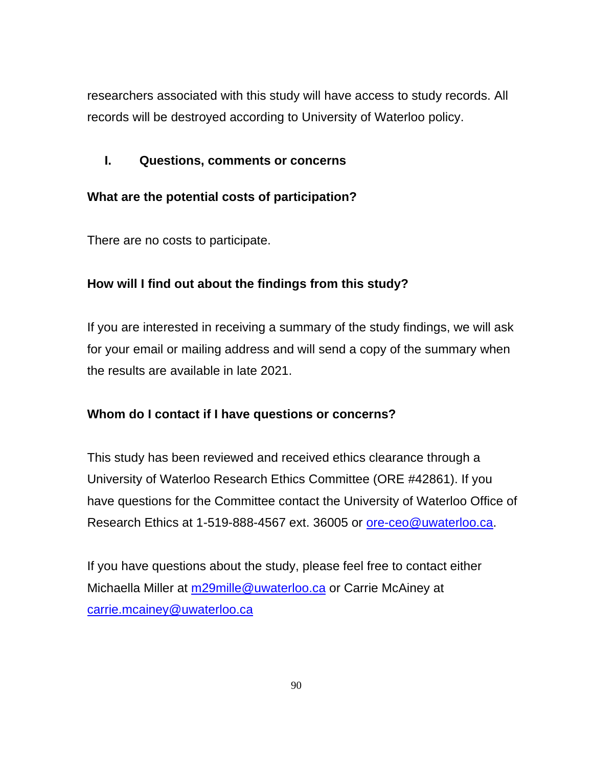researchers associated with this study will have access to study records. All records will be destroyed according to University of Waterloo policy.

## **I. Questions, comments or concerns**

## **What are the potential costs of participation?**

There are no costs to participate.

## **How will I find out about the findings from this study?**

If you are interested in receiving a summary of the study findings, we will ask for your email or mailing address and will send a copy of the summary when the results are available in late 2021.

## **Whom do I contact if I have questions or concerns?**

This study has been reviewed and received ethics clearance through a University of Waterloo Research Ethics Committee (ORE #42861). If you have questions for the Committee contact the University of Waterloo Office of Research Ethics at 1-519-888-4567 ext. 36005 or [ore-ceo@uwaterloo.ca.](mailto:ore-ceo@uwaterloo.ca)

If you have questions about the study, please feel free to contact either Michaella Miller at [m29mille@uwaterloo.ca](mailto:m29mille@uwaterloo.ca) or Carrie McAiney at [carrie.mcainey@uwaterloo.ca](mailto:carrie.mcainey@uwaterloo.ca)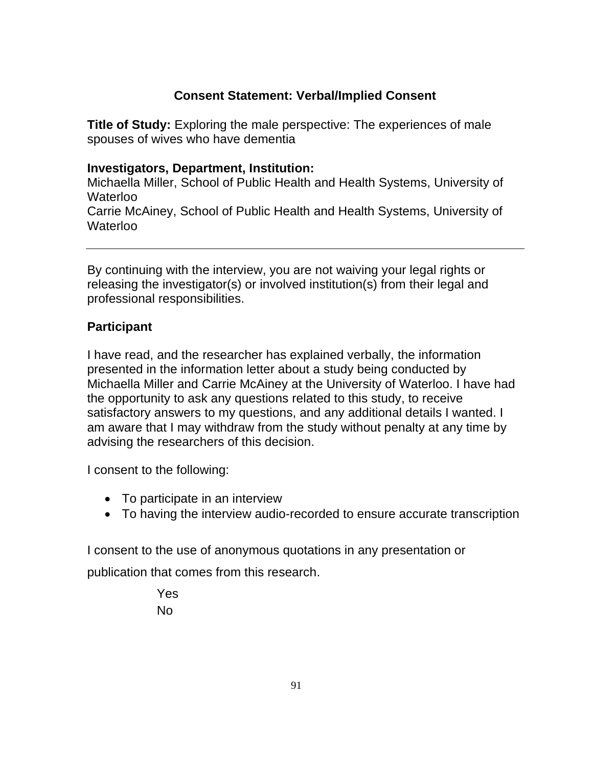## **Consent Statement: Verbal/Implied Consent**

**Title of Study:** Exploring the male perspective: The experiences of male spouses of wives who have dementia

## **Investigators, Department, Institution:**

Michaella Miller, School of Public Health and Health Systems, University of Waterloo Carrie McAiney, School of Public Health and Health Systems, University of Waterloo

By continuing with the interview, you are not waiving your legal rights or releasing the investigator(s) or involved institution(s) from their legal and professional responsibilities.

## **Participant**

I have read, and the researcher has explained verbally, the information presented in the information letter about a study being conducted by Michaella Miller and Carrie McAiney at the University of Waterloo. I have had the opportunity to ask any questions related to this study, to receive satisfactory answers to my questions, and any additional details I wanted. I am aware that I may withdraw from the study without penalty at any time by advising the researchers of this decision.

I consent to the following:

- To participate in an interview
- To having the interview audio-recorded to ensure accurate transcription

I consent to the use of anonymous quotations in any presentation or

publication that comes from this research.

Yes No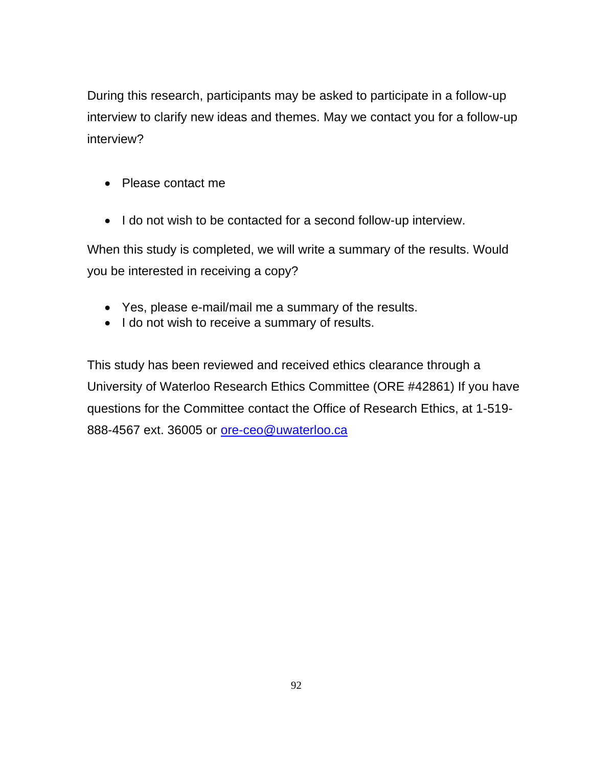During this research, participants may be asked to participate in a follow-up interview to clarify new ideas and themes. May we contact you for a follow-up interview?

- Please contact me
- I do not wish to be contacted for a second follow-up interview.

When this study is completed, we will write a summary of the results. Would you be interested in receiving a copy?

- Yes, please e-mail/mail me a summary of the results.
- I do not wish to receive a summary of results.

This study has been reviewed and received ethics clearance through a University of Waterloo Research Ethics Committee (ORE #42861) If you have questions for the Committee contact the Office of Research Ethics, at 1-519 888-4567 ext. 36005 or [ore-ceo@uwaterloo.ca](mailto:ore-ceo@uwaterloo.ca)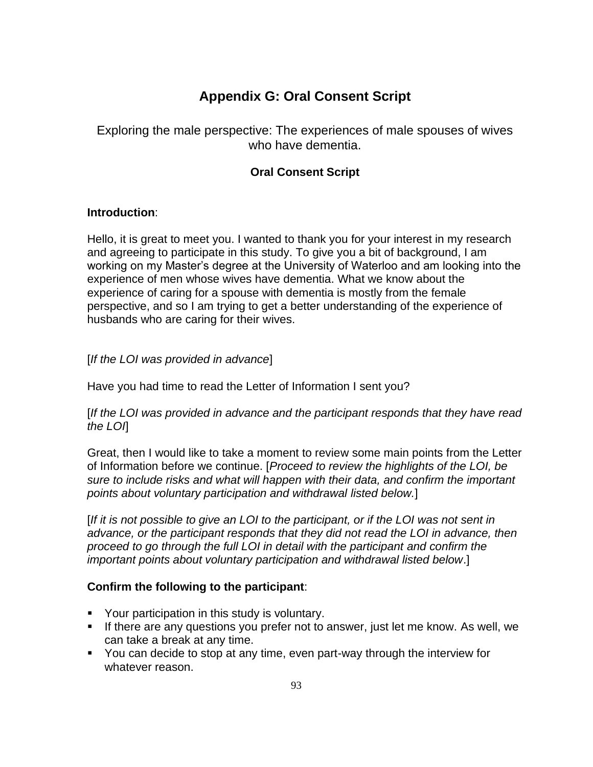## **Appendix G: Oral Consent Script**

Exploring the male perspective: The experiences of male spouses of wives who have dementia.

#### **Oral Consent Script**

#### **Introduction**:

Hello, it is great to meet you. I wanted to thank you for your interest in my research and agreeing to participate in this study. To give you a bit of background, I am working on my Master's degree at the University of Waterloo and am looking into the experience of men whose wives have dementia. What we know about the experience of caring for a spouse with dementia is mostly from the female perspective, and so I am trying to get a better understanding of the experience of husbands who are caring for their wives.

#### [*If the LOI was provided in advance*]

Have you had time to read the Letter of Information I sent you?

[*If the LOI was provided in advance and the participant responds that they have read the LOI*]

Great, then I would like to take a moment to review some main points from the Letter of Information before we continue. [*Proceed to review the highlights of the LOI, be sure to include risks and what will happen with their data, and confirm the important points about voluntary participation and withdrawal listed below.*]

[*If it is not possible to give an LOI to the participant, or if the LOI was not sent in advance, or the participant responds that they did not read the LOI in advance, then proceed to go through the full LOI in detail with the participant and confirm the important points about voluntary participation and withdrawal listed below*.]

#### **Confirm the following to the participant**:

- Your participation in this study is voluntary.
- **EXT** If there are any questions you prefer not to answer, just let me know. As well, we can take a break at any time.
- You can decide to stop at any time, even part-way through the interview for whatever reason.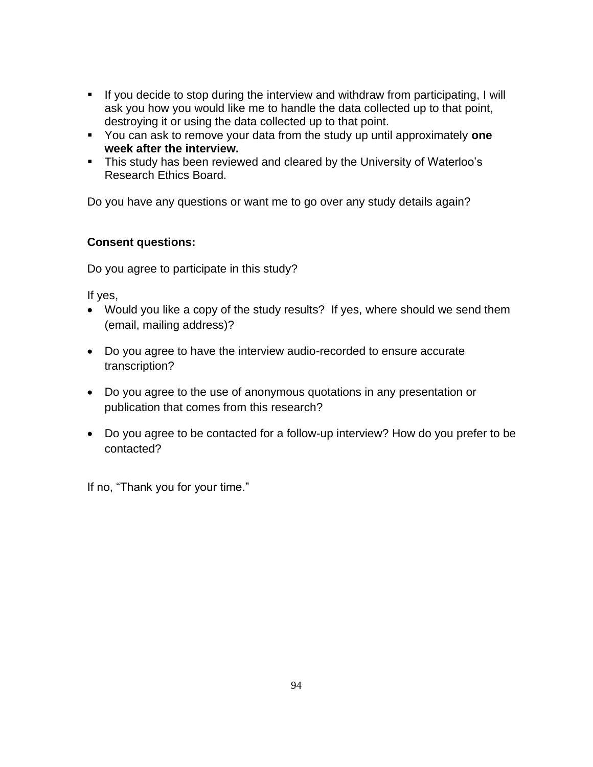- If you decide to stop during the interview and withdraw from participating, I will ask you how you would like me to handle the data collected up to that point, destroying it or using the data collected up to that point.
- You can ask to remove your data from the study up until approximately **one week after the interview.**
- This study has been reviewed and cleared by the University of Waterloo's Research Ethics Board.

Do you have any questions or want me to go over any study details again?

#### **Consent questions:**

Do you agree to participate in this study?

If yes,

- Would you like a copy of the study results? If yes, where should we send them (email, mailing address)?
- Do you agree to have the interview audio-recorded to ensure accurate transcription?
- Do you agree to the use of anonymous quotations in any presentation or publication that comes from this research?
- Do you agree to be contacted for a follow-up interview? How do you prefer to be contacted?

If no, "Thank you for your time."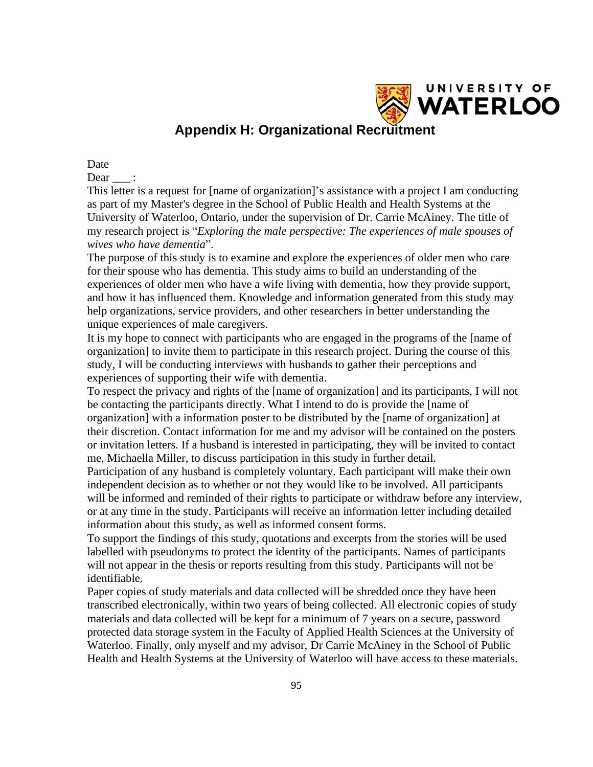

## **Appendix H: Organizational Recruitment**

Date

Dear :

This letter is a request for [name of organization]'s assistance with a project I am conducting as part of my Master's degree in the School of Public Health and Health Systems at the University of Waterloo, Ontario, under the supervision of Dr. Carrie McAiney*.* The title of my research project is "*Exploring the male perspective: The experiences of male spouses of wives who have dementia*".

The purpose of this study is to examine and explore the experiences of older men who care for their spouse who has dementia. This study aims to build an understanding of the experiences of older men who have a wife living with dementia, how they provide support, and how it has influenced them. Knowledge and information generated from this study may help organizations, service providers, and other researchers in better understanding the unique experiences of male caregivers.

It is my hope to connect with participants who are engaged in the programs of the [name of organization] to invite them to participate in this research project. During the course of this study, I will be conducting interviews with husbands to gather their perceptions and experiences of supporting their wife with dementia.

To respect the privacy and rights of the [name of organization] and its participants, I will not be contacting the participants directly. What I intend to do is provide the [name of organization] with a information poster to be distributed by the [name of organization] at their discretion. Contact information for me and my advisor will be contained on the posters or invitation letters. If a husband is interested in participating, they will be invited to contact me*,* Michaella Miller, to discuss participation in this study in further detail.

Participation of any husband is completely voluntary. Each participant will make their own independent decision as to whether or not they would like to be involved. All participants will be informed and reminded of their rights to participate or withdraw before any interview, or at any time in the study. Participants will receive an information letter including detailed information about this study, as well as informed consent forms.

To support the findings of this study, quotations and excerpts from the stories will be used labelled with pseudonyms to protect the identity of the participants. Names of participants will not appear in the thesis or reports resulting from this study. Participants will not be identifiable.

Paper copies of study materials and data collected will be shredded once they have been transcribed electronically, within two years of being collected. All electronic copies of study materials and data collected will be kept for a minimum of 7 years on a secure, password protected data storage system in the Faculty of Applied Health Sciences at the University of Waterloo. Finally, only myself and my advisor, Dr Carrie McAiney in the School of Public Health and Health Systems at the University of Waterloo will have access to these materials.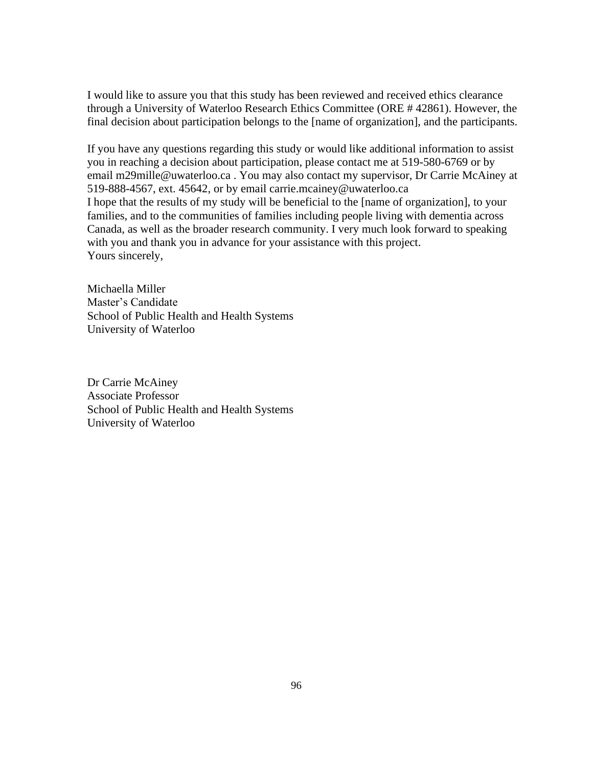I would like to assure you that this study has been reviewed and received ethics clearance through a University of Waterloo Research Ethics Committee (ORE # 42861). However, the final decision about participation belongs to the [name of organization], and the participants.

If you have any questions regarding this study or would like additional information to assist you in reaching a decision about participation, please contact me at 519-580-6769 or by email m29mille@uwaterloo.ca . You may also contact my supervisor, Dr Carrie McAiney at 519-888-4567, ext. 45642, or by email carrie.mcainey@uwaterloo.ca I hope that the results of my study will be beneficial to the [name of organization], to your families, and to the communities of families including people living with dementia across Canada, as well as the broader research community. I very much look forward to speaking with you and thank you in advance for your assistance with this project. Yours sincerely,

Michaella Miller Master's Candidate School of Public Health and Health Systems University of Waterloo

Dr Carrie McAiney Associate Professor School of Public Health and Health Systems University of Waterloo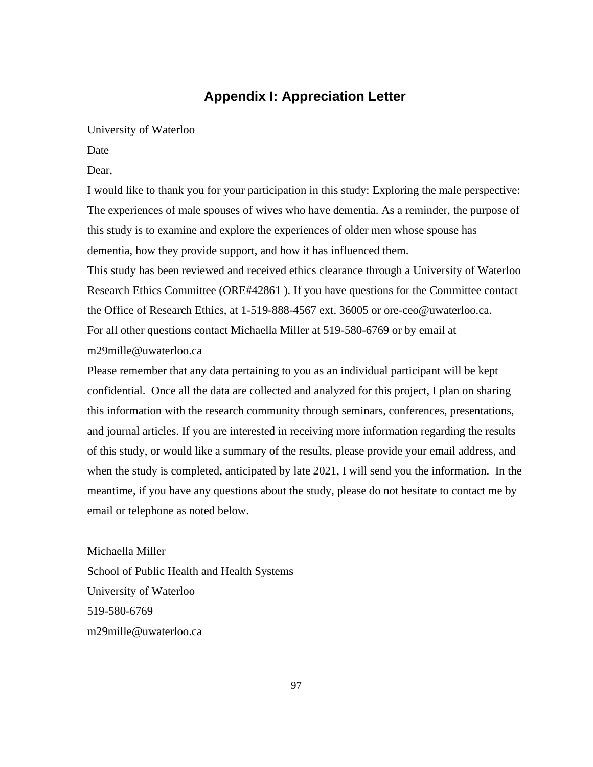#### **Appendix I: Appreciation Letter**

#### University of Waterloo

Date

Dear,

I would like to thank you for your participation in this study: Exploring the male perspective: The experiences of male spouses of wives who have dementia. As a reminder, the purpose of this study is to examine and explore the experiences of older men whose spouse has dementia, how they provide support, and how it has influenced them.

This study has been reviewed and received ethics clearance through a University of Waterloo Research Ethics Committee (ORE#42861 ). If you have questions for the Committee contact the Office of Research Ethics, at 1-519-888-4567 ext. 36005 or ore-ceo@uwaterloo.ca. For all other questions contact Michaella Miller at 519-580-6769 or by email at m29mille@uwaterloo.ca

Please remember that any data pertaining to you as an individual participant will be kept confidential. Once all the data are collected and analyzed for this project, I plan on sharing this information with the research community through seminars, conferences, presentations, and journal articles. If you are interested in receiving more information regarding the results of this study, or would like a summary of the results, please provide your email address, and when the study is completed, anticipated by late 2021, I will send you the information. In the meantime, if you have any questions about the study, please do not hesitate to contact me by email or telephone as noted below.

Michaella Miller School of Public Health and Health Systems University of Waterloo 519-580-6769 m29mille@uwaterloo.ca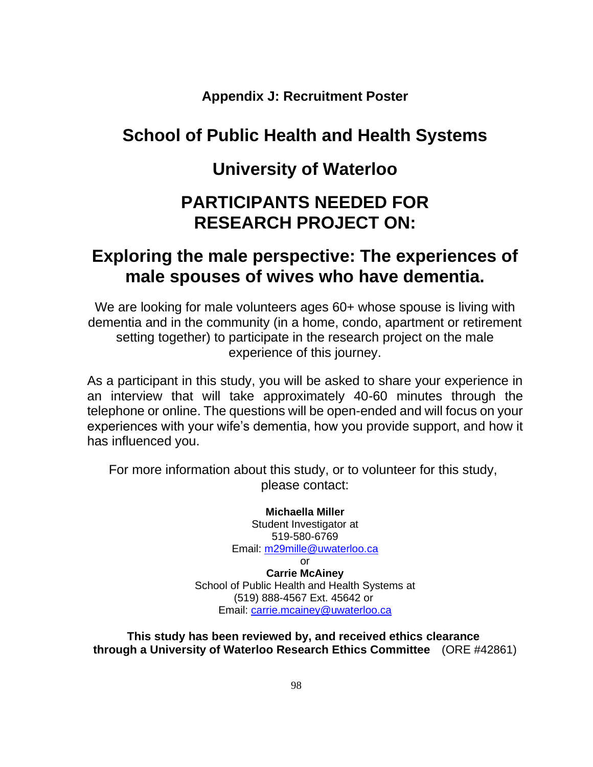**Appendix J: Recruitment Poster**

# **School of Public Health and Health Systems**

# **University of Waterloo**

# **PARTICIPANTS NEEDED FOR RESEARCH PROJECT ON:**

# **Exploring the male perspective: The experiences of male spouses of wives who have dementia.**

We are looking for male volunteers ages 60+ whose spouse is living with dementia and in the community (in a home, condo, apartment or retirement setting together) to participate in the research project on the male experience of this journey.

As a participant in this study, you will be asked to share your experience in an interview that will take approximately 40-60 minutes through the telephone or online. The questions will be open-ended and will focus on your experiences with your wife's dementia, how you provide support, and how it has influenced you.

For more information about this study, or to volunteer for this study, please contact:

> **Michaella Miller**  Student Investigator at 519-580-6769 Email: [m29mille@uwaterloo.ca](mailto:m29mille@uwaterloo.ca) or

**Carrie McAiney** School of Public Health and Health Systems at (519) 888-4567 Ext. 45642 or Email: [carrie.mcainey@uwaterloo.ca](mailto:carrie.mcainey@uwaterloo.ca)

**This study has been reviewed by, and received ethics clearance through a University of Waterloo Research Ethics Committee** (ORE #42861)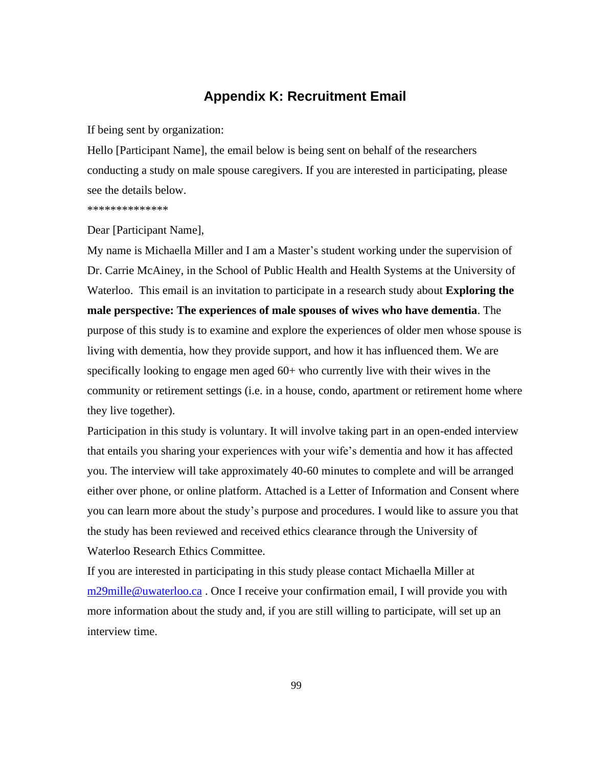#### **Appendix K: Recruitment Email**

If being sent by organization:

Hello [Participant Name], the email below is being sent on behalf of the researchers conducting a study on male spouse caregivers. If you are interested in participating, please see the details below.

\*\*\*\*\*\*\*\*\*\*\*\*\*\*

Dear [Participant Name],

My name is Michaella Miller and I am a Master's student working under the supervision of Dr. Carrie McAiney, in the School of Public Health and Health Systems at the University of Waterloo. This email is an invitation to participate in a research study about **Exploring the male perspective: The experiences of male spouses of wives who have dementia**. The purpose of this study is to examine and explore the experiences of older men whose spouse is living with dementia, how they provide support, and how it has influenced them. We are specifically looking to engage men aged 60+ who currently live with their wives in the community or retirement settings (i.e. in a house, condo, apartment or retirement home where they live together).

Participation in this study is voluntary. It will involve taking part in an open-ended interview that entails you sharing your experiences with your wife's dementia and how it has affected you. The interview will take approximately 40-60 minutes to complete and will be arranged either over phone, or online platform. Attached is a Letter of Information and Consent where you can learn more about the study's purpose and procedures. I would like to assure you that the study has been reviewed and received ethics clearance through the University of Waterloo Research Ethics Committee.

If you are interested in participating in this study please contact Michaella Miller at [m29mille@uwaterloo.ca](mailto:m29mille@uwaterloo.ca) . Once I receive your confirmation email, I will provide you with more information about the study and, if you are still willing to participate, will set up an interview time.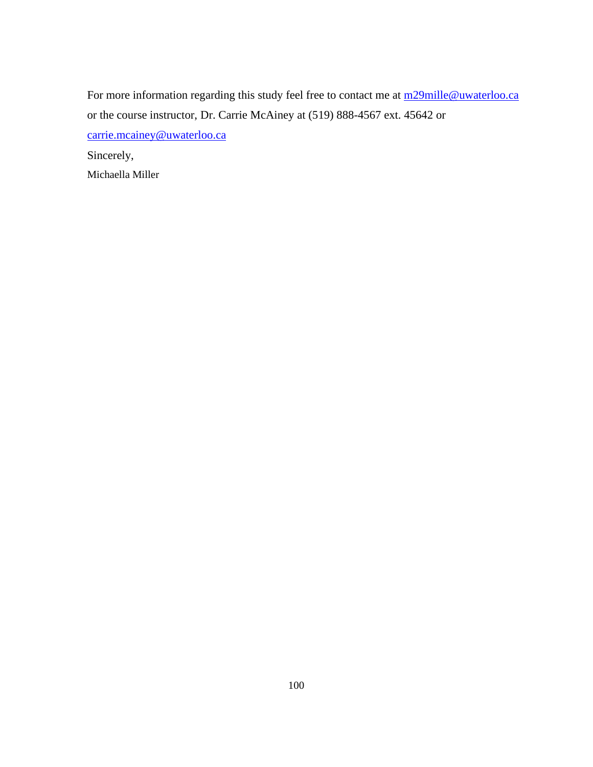For more information regarding this study feel free to contact me at m29mille@uwaterloo.ca or the course instructor, Dr. Carrie McAiney at (519) 888-4567 ext. 45642 or [carrie.mcainey@uwaterloo.ca](mailto:carrie.mcainey@uwaterloo.ca)  Sincerely, Michaella Miller

100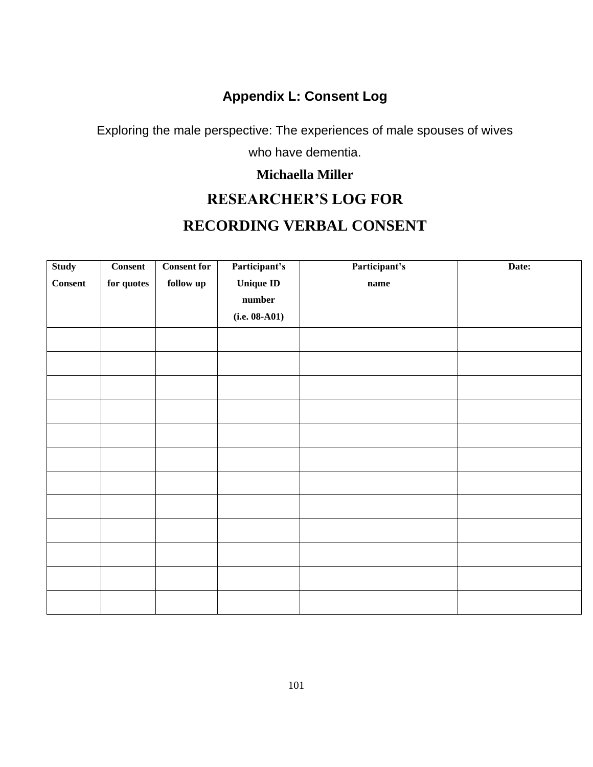## **Appendix L: Consent Log**

Exploring the male perspective: The experiences of male spouses of wives

who have dementia.

#### **Michaella Miller**

### **RESEARCHER'S LOG FOR**

### **RECORDING VERBAL CONSENT**

| <b>Study</b>   | <b>Consent</b>     | <b>Consent for</b>             | Participant's   | Participant's | Date: |
|----------------|--------------------|--------------------------------|-----------------|---------------|-------|
| <b>Consent</b> | $\quad$ for quotes | $\mathbf{follow}\ \mathbf{up}$ | Unique ID       | $\bf name$    |       |
|                |                    |                                | $\quad$ number  |               |       |
|                |                    |                                | $(i.e. 08-A01)$ |               |       |
|                |                    |                                |                 |               |       |
|                |                    |                                |                 |               |       |
|                |                    |                                |                 |               |       |
|                |                    |                                |                 |               |       |
|                |                    |                                |                 |               |       |
|                |                    |                                |                 |               |       |
|                |                    |                                |                 |               |       |
|                |                    |                                |                 |               |       |
|                |                    |                                |                 |               |       |
|                |                    |                                |                 |               |       |
|                |                    |                                |                 |               |       |
|                |                    |                                |                 |               |       |
|                |                    |                                |                 |               |       |
|                |                    |                                |                 |               |       |
|                |                    |                                |                 |               |       |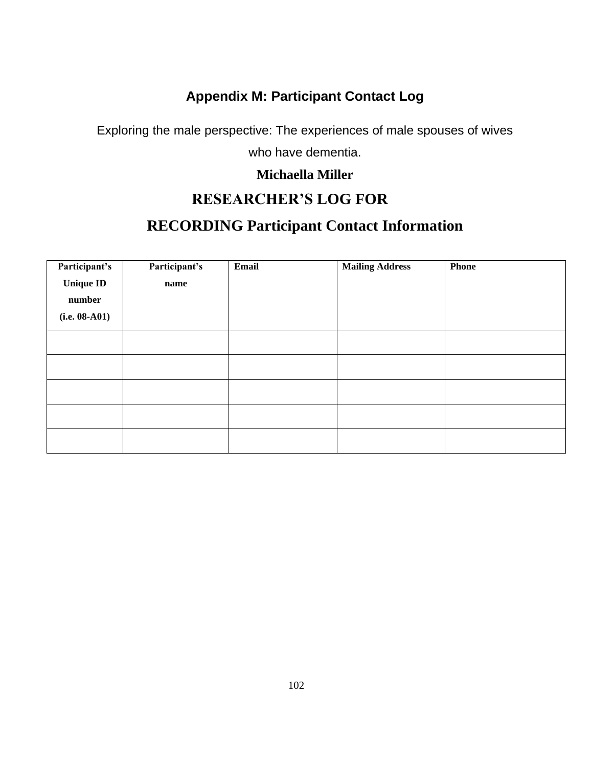## **Appendix M: Participant Contact Log**

Exploring the male perspective: The experiences of male spouses of wives

who have dementia.

#### **Michaella Miller**

## **RESEARCHER'S LOG FOR**

# **RECORDING Participant Contact Information**

| Participant's    | Participant's | Email | <b>Mailing Address</b> | <b>Phone</b> |
|------------------|---------------|-------|------------------------|--------------|
| <b>Unique ID</b> | name          |       |                        |              |
| number           |               |       |                        |              |
| $(i.e. 08-A01)$  |               |       |                        |              |
|                  |               |       |                        |              |
|                  |               |       |                        |              |
|                  |               |       |                        |              |
|                  |               |       |                        |              |
|                  |               |       |                        |              |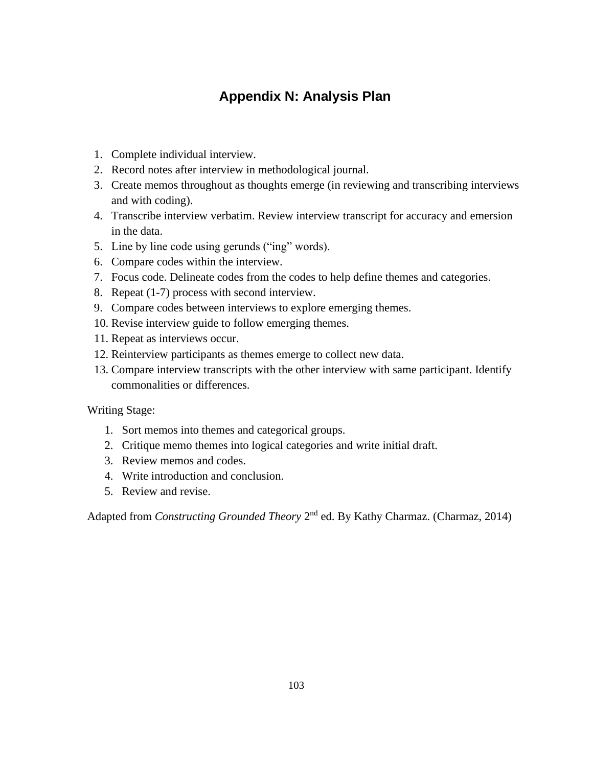### **Appendix N: Analysis Plan**

- 1. Complete individual interview.
- 2. Record notes after interview in methodological journal.
- 3. Create memos throughout as thoughts emerge (in reviewing and transcribing interviews and with coding).
- 4. Transcribe interview verbatim. Review interview transcript for accuracy and emersion in the data.
- 5. Line by line code using gerunds ("ing" words).
- 6. Compare codes within the interview.
- 7. Focus code. Delineate codes from the codes to help define themes and categories.
- 8. Repeat (1-7) process with second interview.
- 9. Compare codes between interviews to explore emerging themes.
- 10. Revise interview guide to follow emerging themes.
- 11. Repeat as interviews occur.
- 12. Reinterview participants as themes emerge to collect new data.
- 13. Compare interview transcripts with the other interview with same participant. Identify commonalities or differences.

Writing Stage:

- 1. Sort memos into themes and categorical groups.
- 2. Critique memo themes into logical categories and write initial draft.
- 3. Review memos and codes.
- 4. Write introduction and conclusion.
- 5. Review and revise.

Adapted from *Constructing Grounded Theory* 2<sup>nd</sup> ed. By Kathy Charmaz. (Charmaz, 2014)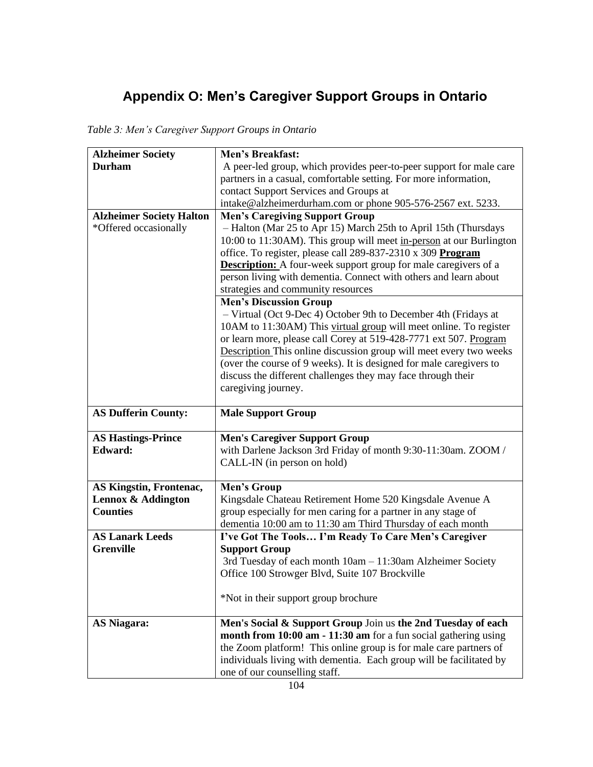# **Appendix O: Men's Caregiver Support Groups in Ontario**

*Table 3: Men's Caregiver Support Groups in Ontario*

| <b>Alzheimer Society</b>        | <b>Men's Breakfast:</b>                                                                                                                  |
|---------------------------------|------------------------------------------------------------------------------------------------------------------------------------------|
| <b>Durham</b>                   | A peer-led group, which provides peer-to-peer support for male care                                                                      |
|                                 | partners in a casual, comfortable setting. For more information,                                                                         |
|                                 | contact Support Services and Groups at                                                                                                   |
|                                 | intake@alzheimerdurham.com or phone 905-576-2567 ext. 5233.                                                                              |
| <b>Alzheimer Society Halton</b> | <b>Men's Caregiving Support Group</b>                                                                                                    |
| *Offered occasionally           | - Halton (Mar 25 to Apr 15) March 25th to April 15th (Thursdays                                                                          |
|                                 | 10:00 to 11:30AM). This group will meet in-person at our Burlington                                                                      |
|                                 | office. To register, please call 289-837-2310 x 309 Program                                                                              |
|                                 | <b>Description:</b> A four-week support group for male caregivers of a                                                                   |
|                                 | person living with dementia. Connect with others and learn about                                                                         |
|                                 | strategies and community resources                                                                                                       |
|                                 | <b>Men's Discussion Group</b>                                                                                                            |
|                                 | - Virtual (Oct 9-Dec 4) October 9th to December 4th (Fridays at                                                                          |
|                                 | 10AM to 11:30AM) This virtual group will meet online. To register                                                                        |
|                                 | or learn more, please call Corey at 519-428-7771 ext 507. Program<br>Description This online discussion group will meet every two weeks  |
|                                 | (over the course of 9 weeks). It is designed for male caregivers to                                                                      |
|                                 | discuss the different challenges they may face through their                                                                             |
|                                 | caregiving journey.                                                                                                                      |
|                                 |                                                                                                                                          |
| <b>AS Dufferin County:</b>      | <b>Male Support Group</b>                                                                                                                |
|                                 |                                                                                                                                          |
|                                 |                                                                                                                                          |
| <b>AS Hastings-Prince</b>       | <b>Men's Caregiver Support Group</b>                                                                                                     |
| Edward:                         | with Darlene Jackson 3rd Friday of month 9:30-11:30am. ZOOM /                                                                            |
|                                 | CALL-IN (in person on hold)                                                                                                              |
|                                 |                                                                                                                                          |
| <b>AS Kingstin, Frontenac,</b>  | Men's Group                                                                                                                              |
| Lennox & Addington              | Kingsdale Chateau Retirement Home 520 Kingsdale Avenue A                                                                                 |
| <b>Counties</b>                 | group especially for men caring for a partner in any stage of                                                                            |
|                                 | dementia 10:00 am to 11:30 am Third Thursday of each month                                                                               |
| <b>AS Lanark Leeds</b>          | I've Got The Tools I'm Ready To Care Men's Caregiver                                                                                     |
| <b>Grenville</b>                | <b>Support Group</b>                                                                                                                     |
|                                 | 3rd Tuesday of each month 10am - 11:30am Alzheimer Society                                                                               |
|                                 | Office 100 Strowger Blvd, Suite 107 Brockville                                                                                           |
|                                 |                                                                                                                                          |
|                                 | *Not in their support group brochure                                                                                                     |
| <b>AS Niagara:</b>              |                                                                                                                                          |
|                                 | Men's Social & Support Group Join us the 2nd Tuesday of each                                                                             |
|                                 | month from 10:00 am - 11:30 am for a fun social gathering using                                                                          |
|                                 | the Zoom platform! This online group is for male care partners of<br>individuals living with dementia. Each group will be facilitated by |